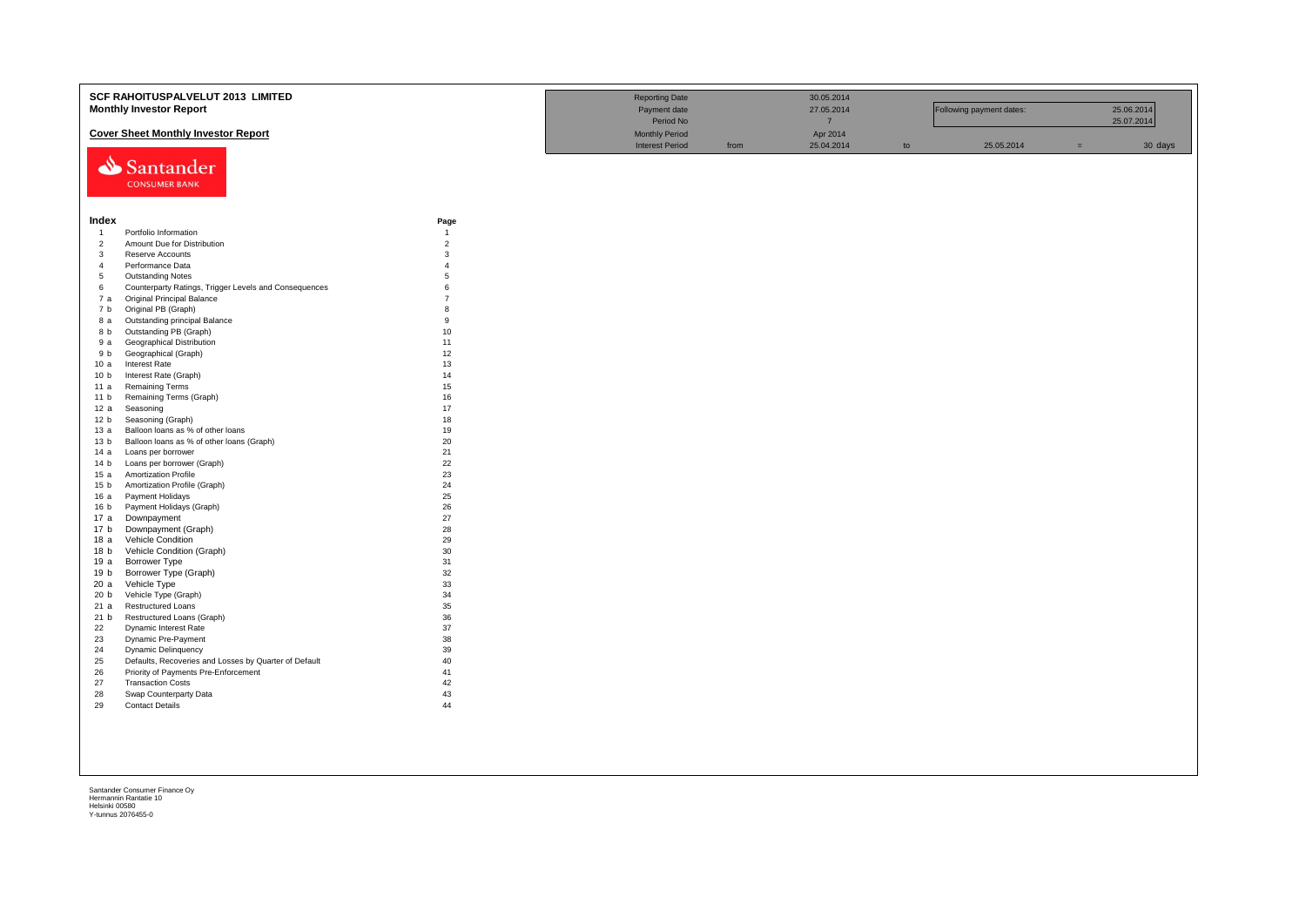|                 | SCF RAHOITUSPALVELUT 2013 LIMITED                     |                | <b>Reporting Date</b>  |      | 30.05.2014     |    |                          |     |            |
|-----------------|-------------------------------------------------------|----------------|------------------------|------|----------------|----|--------------------------|-----|------------|
|                 | <b>Monthly Investor Report</b>                        |                | Payment date           |      | 27.05.2014     |    | Following payment dates: |     | 25.06.2014 |
|                 |                                                       |                | Period No              |      | $\overline{7}$ |    |                          |     | 25.07.2014 |
|                 |                                                       |                |                        |      |                |    |                          |     |            |
|                 | <b>Cover Sheet Monthly Investor Report</b>            |                | <b>Monthly Period</b>  |      | Apr 2014       |    |                          |     |            |
|                 |                                                       |                | <b>Interest Period</b> | from | 25.04.2014     | to | 25.05.2014               | $=$ | 30 days    |
|                 | Santander                                             |                |                        |      |                |    |                          |     |            |
|                 |                                                       |                |                        |      |                |    |                          |     |            |
|                 | <b>CONSUMER BANK</b>                                  |                |                        |      |                |    |                          |     |            |
|                 |                                                       |                |                        |      |                |    |                          |     |            |
|                 |                                                       |                |                        |      |                |    |                          |     |            |
| Index           |                                                       | Page           |                        |      |                |    |                          |     |            |
| $\overline{1}$  | Portfolio Information                                 | $\overline{1}$ |                        |      |                |    |                          |     |            |
| $\overline{c}$  | Amount Due for Distribution                           | $\overline{2}$ |                        |      |                |    |                          |     |            |
| $\mathbf{3}$    | Reserve Accounts                                      | 3              |                        |      |                |    |                          |     |            |
| $\overline{4}$  | Performance Data                                      | $\overline{A}$ |                        |      |                |    |                          |     |            |
| 5               | <b>Outstanding Notes</b>                              | $\overline{5}$ |                        |      |                |    |                          |     |            |
| 6               | Counterparty Ratings, Trigger Levels and Consequences | 6              |                        |      |                |    |                          |     |            |
| 7a              | Original Principal Balance                            | $\overline{7}$ |                        |      |                |    |                          |     |            |
| 7 b             | Original PB (Graph)                                   | 8              |                        |      |                |    |                          |     |            |
| 8 a             | Outstanding principal Balance                         | 9              |                        |      |                |    |                          |     |            |
| 8 b             | Outstanding PB (Graph)                                | 10             |                        |      |                |    |                          |     |            |
| 9 a             | Geographical Distribution                             | 11             |                        |      |                |    |                          |     |            |
| 9 b             | Geographical (Graph)                                  | 12             |                        |      |                |    |                          |     |            |
| 10a             | <b>Interest Rate</b>                                  | 13             |                        |      |                |    |                          |     |            |
| 10 <sub>b</sub> | Interest Rate (Graph)                                 | 14             |                        |      |                |    |                          |     |            |
| 11 a            | <b>Remaining Terms</b>                                | 15             |                        |      |                |    |                          |     |            |
| 11 <sub>b</sub> | Remaining Terms (Graph)                               | 16             |                        |      |                |    |                          |     |            |
| 12a             | Seasoning                                             | 17             |                        |      |                |    |                          |     |            |
| 12 <sub>b</sub> | Seasoning (Graph)                                     | 18             |                        |      |                |    |                          |     |            |
| 13 а            | Balloon loans as % of other loans                     | 19             |                        |      |                |    |                          |     |            |
| 13 <sub>b</sub> | Balloon loans as % of other loans (Graph)             | 20             |                        |      |                |    |                          |     |            |
| 14 a            | Loans per borrower                                    | 21             |                        |      |                |    |                          |     |            |
| 14 <sub>b</sub> | Loans per borrower (Graph)                            | 22             |                        |      |                |    |                          |     |            |
| 15a             | <b>Amortization Profile</b>                           | 23             |                        |      |                |    |                          |     |            |
| 15 <sub>b</sub> | Amortization Profile (Graph)                          | 24             |                        |      |                |    |                          |     |            |
| 16 a            | Payment Holidays                                      | 25             |                        |      |                |    |                          |     |            |
| 16 <sub>b</sub> | Payment Holidays (Graph)                              | 26             |                        |      |                |    |                          |     |            |
| 17 a            | Downpayment                                           | 27             |                        |      |                |    |                          |     |            |
| 17 b            | Downpayment (Graph)                                   | 28             |                        |      |                |    |                          |     |            |
| 18a             | Vehicle Condition                                     | 29             |                        |      |                |    |                          |     |            |
| 18 <sub>b</sub> | Vehicle Condition (Graph)                             | 30             |                        |      |                |    |                          |     |            |
| 19 a            | Borrower Type                                         | 31             |                        |      |                |    |                          |     |            |
| 19 b            | Borrower Type (Graph)                                 | 32             |                        |      |                |    |                          |     |            |
| 20a             | Vehicle Type                                          | 33             |                        |      |                |    |                          |     |            |
| 20 <sub>b</sub> | Vehicle Type (Graph)                                  | 34             |                        |      |                |    |                          |     |            |
| 21a             | <b>Restructured Loans</b>                             | 35             |                        |      |                |    |                          |     |            |
| 21 b            | Restructured Loans (Graph)                            | 36             |                        |      |                |    |                          |     |            |
| 22              | Dynamic Interest Rate                                 | 37             |                        |      |                |    |                          |     |            |
| 23              | Dynamic Pre-Payment                                   | 38             |                        |      |                |    |                          |     |            |
| 24              | <b>Dynamic Delinquency</b>                            | 39             |                        |      |                |    |                          |     |            |
| 25              | Defaults, Recoveries and Losses by Quarter of Default | 40             |                        |      |                |    |                          |     |            |
| 26              | Priority of Payments Pre-Enforcement                  | 41             |                        |      |                |    |                          |     |            |
| 27              | <b>Transaction Costs</b>                              | 42             |                        |      |                |    |                          |     |            |
| 28              | Swap Counterparty Data                                | 43             |                        |      |                |    |                          |     |            |
| 29              | <b>Contact Details</b>                                | 44             |                        |      |                |    |                          |     |            |
|                 |                                                       |                |                        |      |                |    |                          |     |            |
|                 |                                                       |                |                        |      |                |    |                          |     |            |
|                 |                                                       |                |                        |      |                |    |                          |     |            |
|                 |                                                       |                |                        |      |                |    |                          |     |            |
|                 |                                                       |                |                        |      |                |    |                          |     |            |
|                 |                                                       |                |                        |      |                |    |                          |     |            |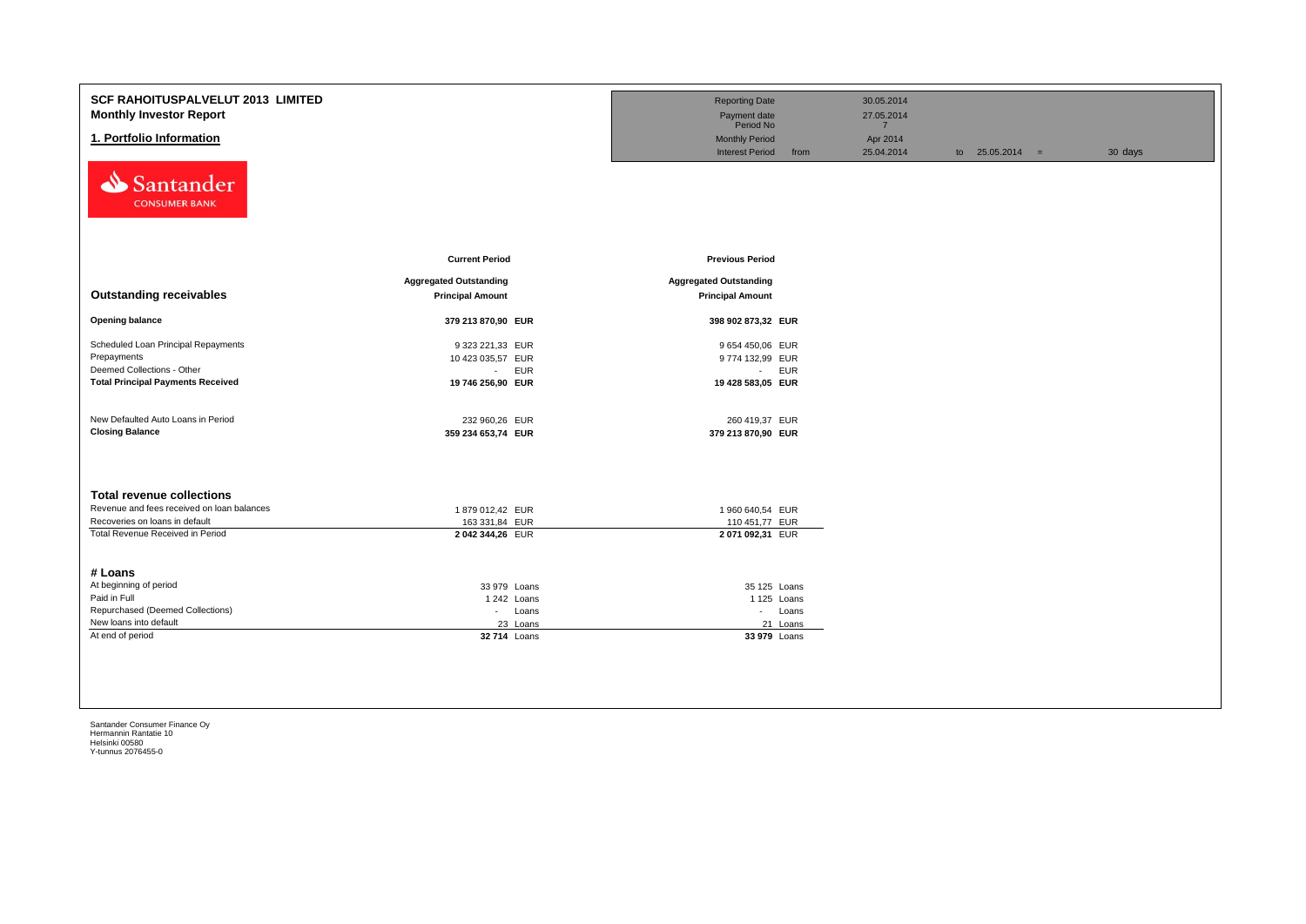| SCF RAHOITUSPALVELUT 2013 LIMITED<br><b>Monthly Investor Report</b><br>1. Portfolio Information<br>Santander<br><b>CONSUMER BANK</b>                 |                                                                                   | <b>Reporting Date</b><br>Payment date<br>Period No<br><b>Monthly Period</b><br><b>Interest Period</b><br>from | 30.05.2014<br>27.05.2014<br>$\overline{7}$<br>Apr 2014<br>25.04.2014 | to $25.05.2014 =$ | 30 days |
|------------------------------------------------------------------------------------------------------------------------------------------------------|-----------------------------------------------------------------------------------|---------------------------------------------------------------------------------------------------------------|----------------------------------------------------------------------|-------------------|---------|
| <b>Outstanding receivables</b>                                                                                                                       | <b>Current Period</b><br><b>Aggregated Outstanding</b><br><b>Principal Amount</b> | <b>Previous Period</b><br><b>Aggregated Outstanding</b><br><b>Principal Amount</b>                            |                                                                      |                   |         |
| <b>Opening balance</b>                                                                                                                               | 379 213 870,90 EUR                                                                | 398 902 873,32 EUR                                                                                            |                                                                      |                   |         |
| Scheduled Loan Principal Repayments<br>Prepayments<br>Deemed Collections - Other<br><b>Total Principal Payments Received</b>                         | 9 323 221,33 EUR<br>10 423 035,57 EUR<br>- EUR<br>19 746 256,90 EUR               | 9 654 450,06 EUR<br>9774 132,99 EUR<br>- EUR<br>19 428 583,05 EUR                                             |                                                                      |                   |         |
| New Defaulted Auto Loans in Period<br><b>Closing Balance</b>                                                                                         | 232 960,26 EUR<br>359 234 653,74 EUR                                              | 260 419,37 EUR<br>379 213 870,90 EUR                                                                          |                                                                      |                   |         |
| <b>Total revenue collections</b><br>Revenue and fees received on loan balances<br>Recoveries on loans in default<br>Total Revenue Received in Period | 1879 012,42 EUR<br>163 331,84 EUR<br>2042 344,26 EUR                              | 1 960 640,54 EUR<br>110 451,77 EUR<br>2071092,31 EUR                                                          |                                                                      |                   |         |
| # Loans<br>At beginning of period<br>Paid in Full<br>Repurchased (Deemed Collections)<br>New loans into default<br>At end of period                  | 33 979 Loans<br>1242 Loans<br>- Loans<br>23 Loans<br>32 714 Loans                 | 35 125 Loans<br>1 125 Loans<br>- Loans<br>21 Loans<br>33 979 Loans                                            |                                                                      |                   |         |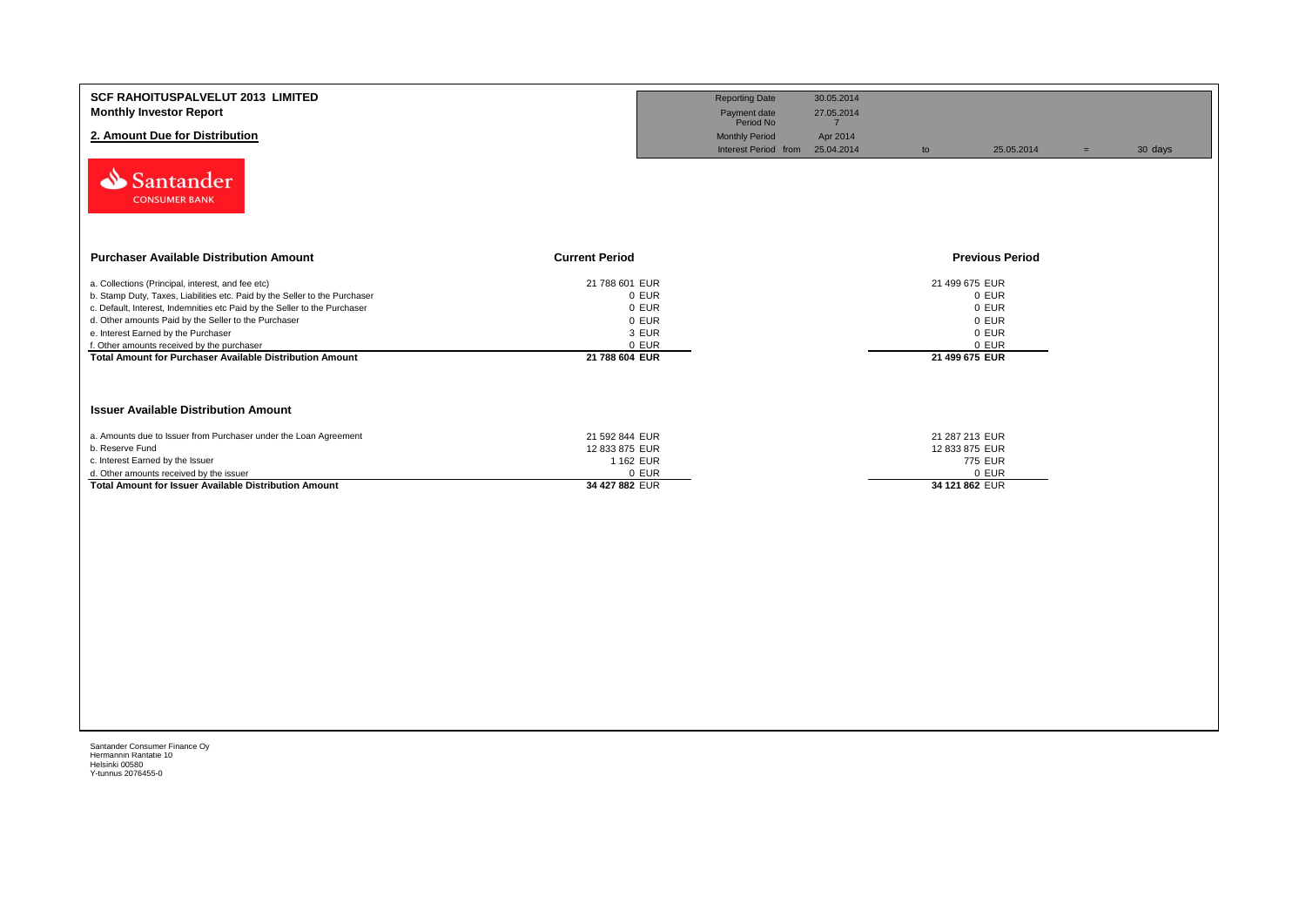| <b>SCF RAHOITUSPALVELUT 2013 LIMITED</b><br><b>Monthly Investor Report</b><br>2. Amount Due for Distribution                                                                                                                                                                                                                                                                                                                 |                                                                               | <b>Reporting Date</b><br>Payment date<br>Period No<br><b>Monthly Period</b><br>Interest Period from 25.04.2014 | 30.05.2014<br>27.05.2014<br>$\overline{7}$<br>Apr 2014 | to                                                 | 25.05.2014                                | $=$ | 30 days |
|------------------------------------------------------------------------------------------------------------------------------------------------------------------------------------------------------------------------------------------------------------------------------------------------------------------------------------------------------------------------------------------------------------------------------|-------------------------------------------------------------------------------|----------------------------------------------------------------------------------------------------------------|--------------------------------------------------------|----------------------------------------------------|-------------------------------------------|-----|---------|
| Santander<br><b>CONSUMER BANK</b>                                                                                                                                                                                                                                                                                                                                                                                            |                                                                               |                                                                                                                |                                                        |                                                    |                                           |     |         |
| <b>Purchaser Available Distribution Amount</b>                                                                                                                                                                                                                                                                                                                                                                               | <b>Current Period</b>                                                         |                                                                                                                |                                                        |                                                    | <b>Previous Period</b>                    |     |         |
| a. Collections (Principal, interest, and fee etc)<br>b. Stamp Duty, Taxes, Liabilities etc. Paid by the Seller to the Purchaser<br>c. Default, Interest, Indemnities etc Paid by the Seller to the Purchaser<br>d. Other amounts Paid by the Seller to the Purchaser<br>e. Interest Earned by the Purchaser<br>f. Other amounts received by the purchaser<br><b>Total Amount for Purchaser Available Distribution Amount</b> | 21 788 601 EUR<br>0 EUR<br>0 EUR<br>0 EUR<br>3 EUR<br>0 EUR<br>21 788 604 EUR |                                                                                                                |                                                        | 21 499 675 EUR<br>21 499 675 EUR                   | 0 EUR<br>0 EUR<br>0 EUR<br>0 EUR<br>0 EUR |     |         |
| <b>Issuer Available Distribution Amount</b>                                                                                                                                                                                                                                                                                                                                                                                  |                                                                               |                                                                                                                |                                                        |                                                    |                                           |     |         |
| a. Amounts due to Issuer from Purchaser under the Loan Agreement<br>b. Reserve Fund<br>c. Interest Earned by the Issuer<br>d. Other amounts received by the issuer<br>Total Amount for Issuer Available Distribution Amount                                                                                                                                                                                                  | 21 592 844 EUR<br>12 833 875 EUR<br>1 162 EUR<br>0 EUR<br>34 427 882 EUR      |                                                                                                                |                                                        | 21 287 213 EUR<br>12 833 875 EUR<br>34 121 862 EUR | 775 EUR<br>0 EUR                          |     |         |
|                                                                                                                                                                                                                                                                                                                                                                                                                              |                                                                               |                                                                                                                |                                                        |                                                    |                                           |     |         |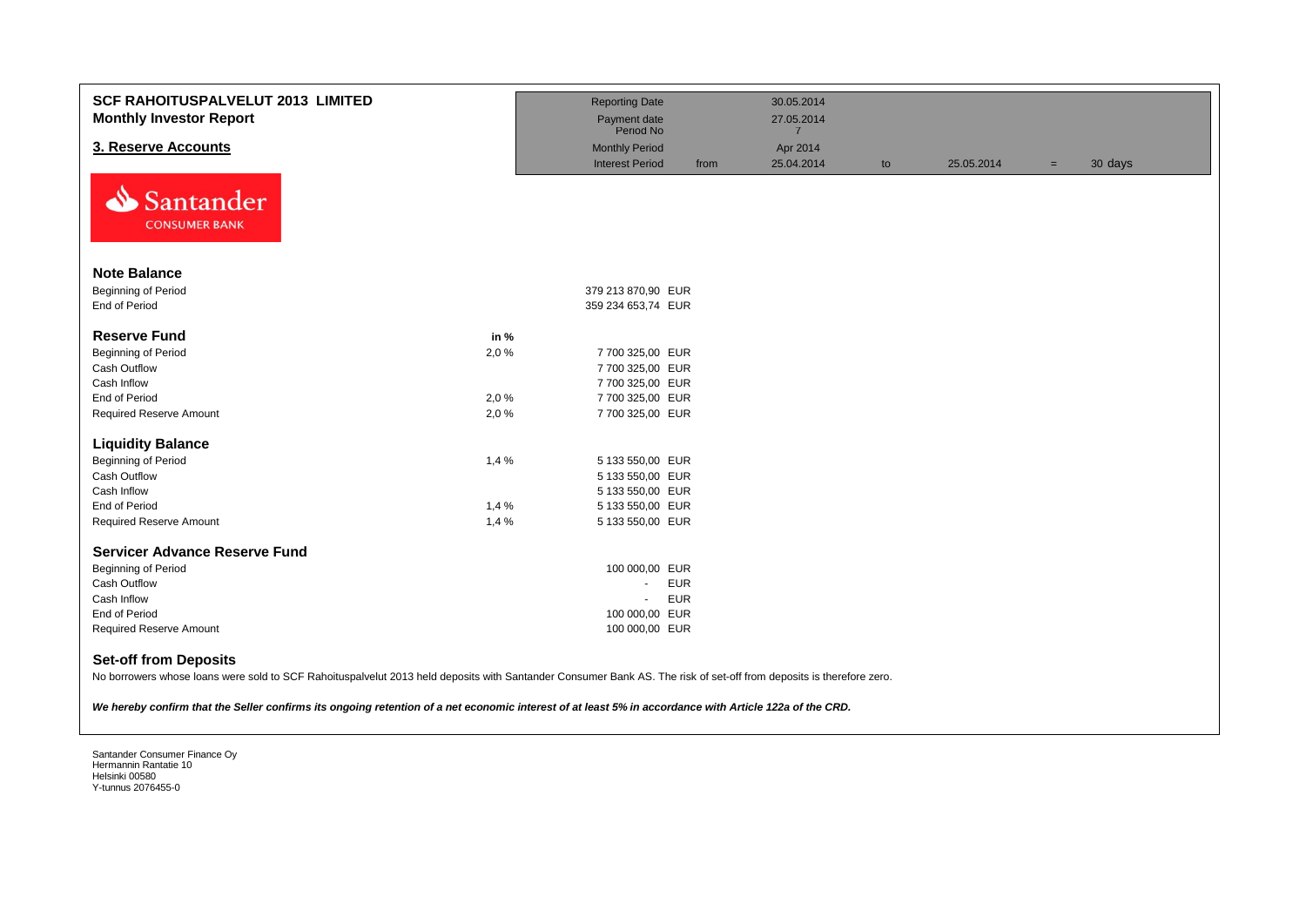| <b>SCF RAHOITUSPALVELUT 2013 LIMITED</b><br><b>Monthly Investor Report</b>                                                                                          |              | <b>Reporting Date</b><br>Payment date<br>Period No |      | 30.05.2014<br>27.05.2014<br>$\overline{7}$ |    |            |     |         |
|---------------------------------------------------------------------------------------------------------------------------------------------------------------------|--------------|----------------------------------------------------|------|--------------------------------------------|----|------------|-----|---------|
| 3. Reserve Accounts                                                                                                                                                 |              | <b>Monthly Period</b>                              |      | Apr 2014                                   |    |            |     |         |
|                                                                                                                                                                     |              | <b>Interest Period</b>                             | from | 25.04.2014                                 | to | 25.05.2014 | $=$ | 30 days |
| Santander                                                                                                                                                           |              |                                                    |      |                                            |    |            |     |         |
| <b>CONSUMER BANK</b>                                                                                                                                                |              |                                                    |      |                                            |    |            |     |         |
| <b>Note Balance</b>                                                                                                                                                 |              |                                                    |      |                                            |    |            |     |         |
| <b>Beginning of Period</b>                                                                                                                                          |              | 379 213 870,90 EUR                                 |      |                                            |    |            |     |         |
| End of Period                                                                                                                                                       |              | 359 234 653,74 EUR                                 |      |                                            |    |            |     |         |
| <b>Reserve Fund</b>                                                                                                                                                 | in %         |                                                    |      |                                            |    |            |     |         |
| <b>Beginning of Period</b>                                                                                                                                          | 2,0%         | 7 700 325,00 EUR                                   |      |                                            |    |            |     |         |
| <b>Cash Outflow</b>                                                                                                                                                 |              | 7 700 325,00 EUR                                   |      |                                            |    |            |     |         |
| Cash Inflow<br>End of Period                                                                                                                                        |              | 7 700 325,00 EUR                                   |      |                                            |    |            |     |         |
| <b>Required Reserve Amount</b>                                                                                                                                      | 2,0%<br>2,0% | 7 700 325,00 EUR<br>7 700 325,00 EUR               |      |                                            |    |            |     |         |
|                                                                                                                                                                     |              |                                                    |      |                                            |    |            |     |         |
| <b>Liquidity Balance</b>                                                                                                                                            |              |                                                    |      |                                            |    |            |     |         |
| <b>Beginning of Period</b>                                                                                                                                          | 1,4%         | 5 133 550,00 EUR                                   |      |                                            |    |            |     |         |
| Cash Outflow                                                                                                                                                        |              | 5 133 550,00 EUR                                   |      |                                            |    |            |     |         |
| Cash Inflow                                                                                                                                                         |              | 5 133 550,00 EUR                                   |      |                                            |    |            |     |         |
| <b>End of Period</b>                                                                                                                                                | 1,4%         | 5 133 550,00 EUR                                   |      |                                            |    |            |     |         |
| <b>Required Reserve Amount</b>                                                                                                                                      | 1,4%         | 5 133 550,00 EUR                                   |      |                                            |    |            |     |         |
| <b>Servicer Advance Reserve Fund</b>                                                                                                                                |              |                                                    |      |                                            |    |            |     |         |
| <b>Beginning of Period</b>                                                                                                                                          |              | 100 000,00 EUR                                     |      |                                            |    |            |     |         |
| <b>Cash Outflow</b>                                                                                                                                                 |              | <b>EUR</b><br>÷.                                   |      |                                            |    |            |     |         |
| Cash Inflow                                                                                                                                                         |              | <b>EUR</b><br>$\blacksquare$                       |      |                                            |    |            |     |         |
| End of Period                                                                                                                                                       |              | 100 000,00 EUR                                     |      |                                            |    |            |     |         |
| <b>Required Reserve Amount</b>                                                                                                                                      |              | 100 000,00 EUR                                     |      |                                            |    |            |     |         |
| <b>Set-off from Deposits</b>                                                                                                                                        |              |                                                    |      |                                            |    |            |     |         |
| No borrowers whose loans were sold to SCF Rahoituspalvelut 2013 held deposits with Santander Consumer Bank AS. The risk of set-off from deposits is therefore zero. |              |                                                    |      |                                            |    |            |     |         |
| We hereby confirm that the Seller confirms its ongoing retention of a net economic interest of at least 5% in accordance with Article 122a of the CRD.              |              |                                                    |      |                                            |    |            |     |         |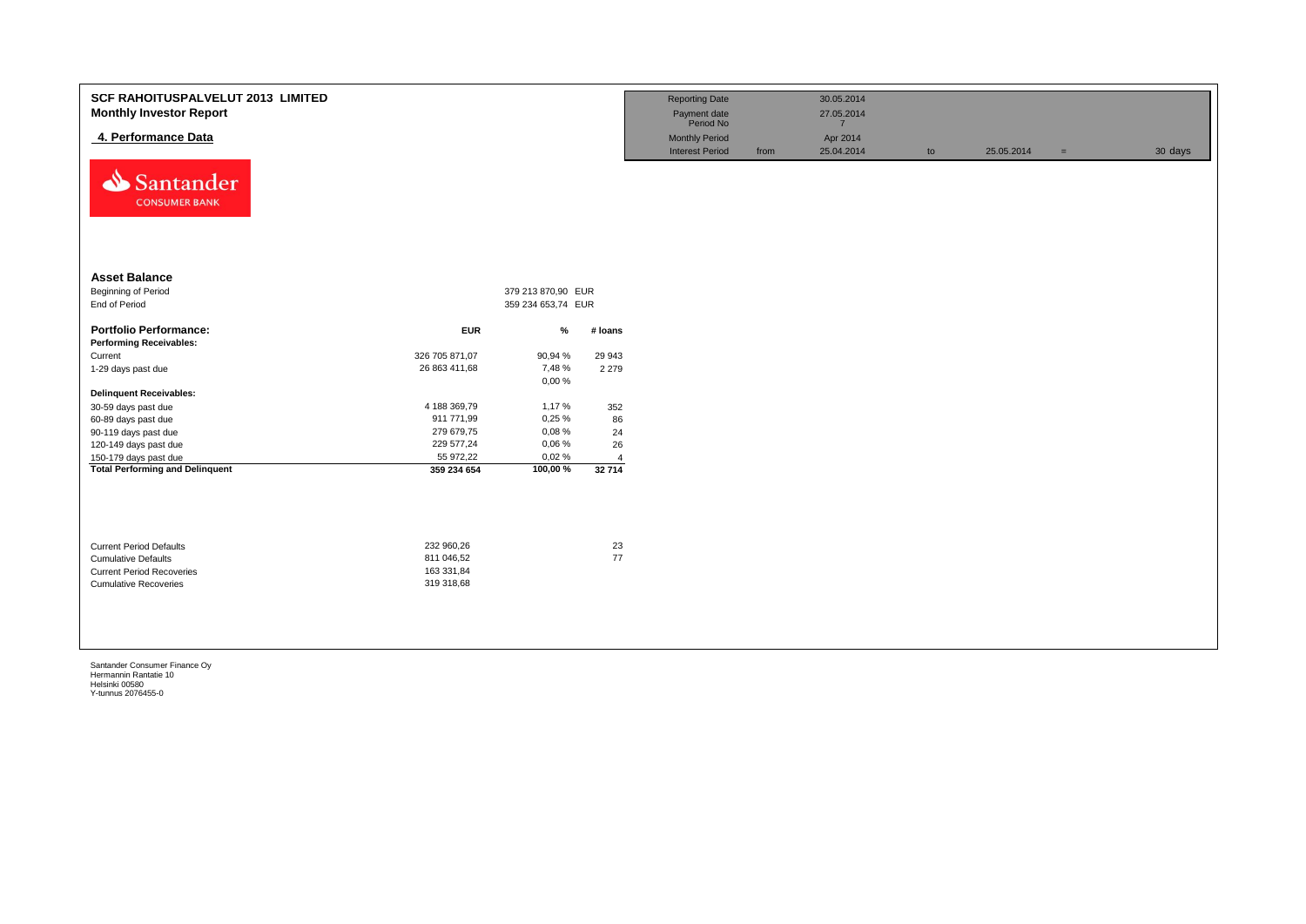| <b>SCF RAHOITUSPALVELUT 2013 LIMITED</b><br><b>Monthly Investor Report</b><br>4. Performance Data<br>⇘<br>Santander<br><b>CONSUMER BANK</b> |                                                      |                    |                | <b>Reporting Date</b><br>Payment date<br>Period No<br><b>Monthly Period</b><br><b>Interest Period</b> | from | 30.05.2014<br>27.05.2014<br>$\overline{7}$<br>Apr 2014<br>25.04.2014 | to | 25.05.2014 | $\equiv$ | 30 days |
|---------------------------------------------------------------------------------------------------------------------------------------------|------------------------------------------------------|--------------------|----------------|-------------------------------------------------------------------------------------------------------|------|----------------------------------------------------------------------|----|------------|----------|---------|
| <b>Asset Balance</b>                                                                                                                        |                                                      |                    |                |                                                                                                       |      |                                                                      |    |            |          |         |
| Beginning of Period                                                                                                                         |                                                      | 379 213 870,90 EUR |                |                                                                                                       |      |                                                                      |    |            |          |         |
| End of Period                                                                                                                               |                                                      | 359 234 653,74 EUR |                |                                                                                                       |      |                                                                      |    |            |          |         |
| <b>Portfolio Performance:</b>                                                                                                               | <b>EUR</b>                                           |                    |                |                                                                                                       |      |                                                                      |    |            |          |         |
| <b>Performing Receivables:</b>                                                                                                              |                                                      | $\%$               | # Ioans        |                                                                                                       |      |                                                                      |    |            |          |         |
| Current                                                                                                                                     | 326 705 871,07                                       | 90,94 %            | 29 943         |                                                                                                       |      |                                                                      |    |            |          |         |
| 1-29 days past due                                                                                                                          | 26 863 411,68                                        | 7,48%              | 2 2 7 9        |                                                                                                       |      |                                                                      |    |            |          |         |
|                                                                                                                                             |                                                      | 0,00%              |                |                                                                                                       |      |                                                                      |    |            |          |         |
| <b>Delinquent Receivables:</b>                                                                                                              |                                                      |                    |                |                                                                                                       |      |                                                                      |    |            |          |         |
| 30-59 days past due                                                                                                                         | 4 188 369,79                                         | 1,17%              | 352            |                                                                                                       |      |                                                                      |    |            |          |         |
| 60-89 days past due                                                                                                                         | 911 771,99                                           | 0,25%              | 86             |                                                                                                       |      |                                                                      |    |            |          |         |
| 90-119 days past due                                                                                                                        | 279 679,75                                           | 0,08%              | 24             |                                                                                                       |      |                                                                      |    |            |          |         |
| 120-149 days past due                                                                                                                       | 229 577,24                                           | 0,06%              | 26             |                                                                                                       |      |                                                                      |    |            |          |         |
| 150-179 days past due                                                                                                                       | 55 972,22                                            | 0,02%              | $\overline{4}$ |                                                                                                       |      |                                                                      |    |            |          |         |
| <b>Total Performing and Delinquent</b>                                                                                                      | 359 234 654                                          | 100,00%            | 32 714         |                                                                                                       |      |                                                                      |    |            |          |         |
| <b>Current Period Defaults</b><br><b>Cumulative Defaults</b><br><b>Current Period Recoveries</b><br><b>Cumulative Recoveries</b>            | 232 960,26<br>811 046,52<br>163 331,84<br>319 318,68 |                    | 23<br>77       |                                                                                                       |      |                                                                      |    |            |          |         |
|                                                                                                                                             |                                                      |                    |                |                                                                                                       |      |                                                                      |    |            |          |         |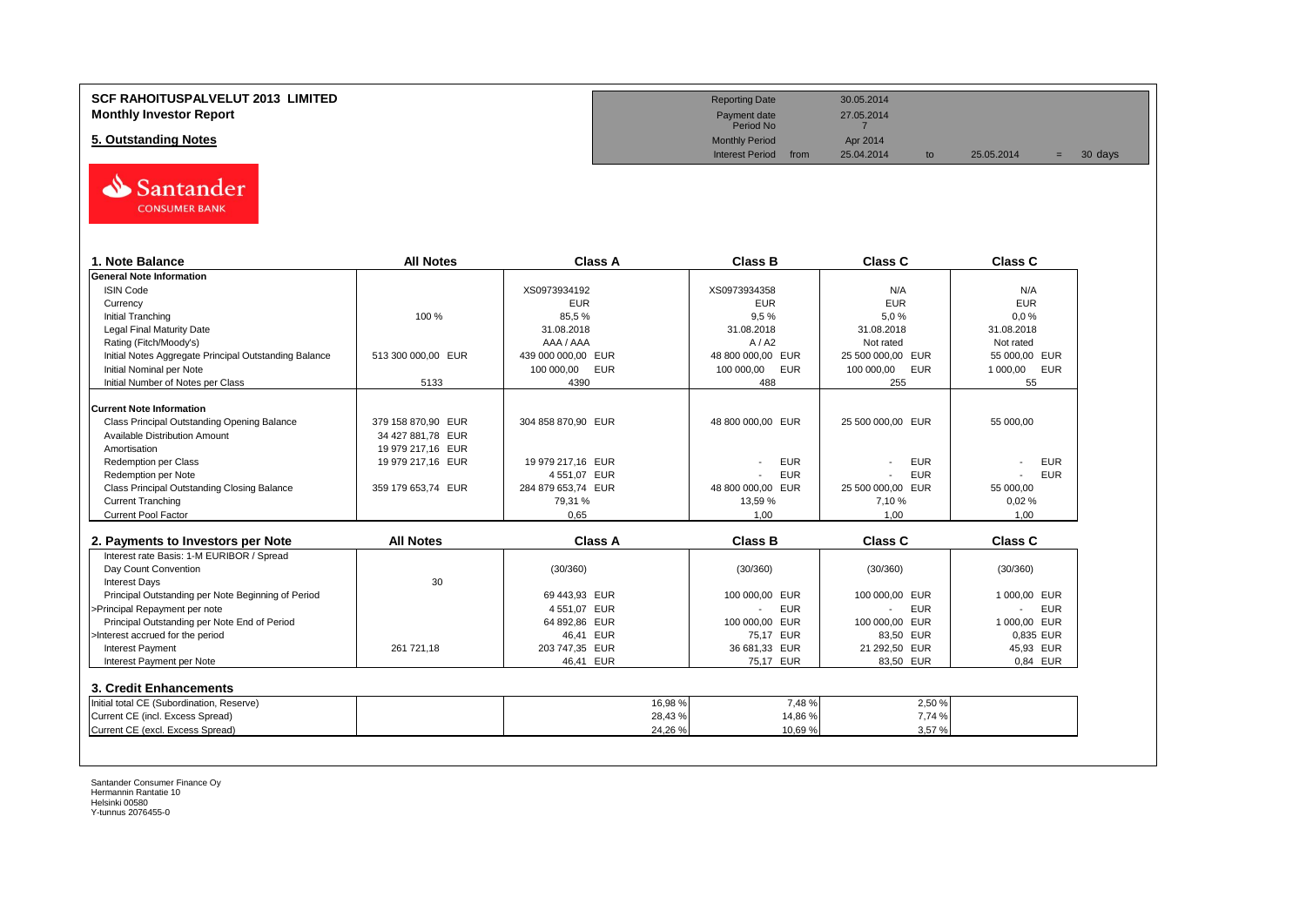## **SCF RAHOITUSPALVELUT 2013 LIMITED Reporting Date** 30.05.2014 **Monthly Investor Report** 27.05.2014<br> **Monthly Investor Report** 27.05.2014<br>
Payment date 27.05.2014

**5. Outstanding Notes** Monthly Period Apr 2014<br> **5. Outstanding Notes** Apr 2014<br> **1950-1970 Monthly Period** Apr 2014



| 1. Note Balance                                       | <b>All Notes</b>   | Class A                  | <b>Class B</b>           | Class C                  | Class C                      |
|-------------------------------------------------------|--------------------|--------------------------|--------------------------|--------------------------|------------------------------|
| <b>General Note Information</b>                       |                    |                          |                          |                          |                              |
| <b>ISIN Code</b>                                      |                    | XS0973934192             | XS0973934358             | N/A                      | N/A                          |
| Currency                                              |                    | <b>EUR</b>               | <b>EUR</b>               | <b>EUR</b>               | <b>EUR</b>                   |
| <b>Initial Tranching</b>                              | 100 %              | 85.5%                    | 9.5%                     | 5.0%                     | 0.0%                         |
| <b>Legal Final Maturity Date</b>                      |                    | 31.08.2018               | 31.08.2018               | 31.08.2018               | 31.08.2018                   |
| Rating (Fitch/Moody's)                                |                    | AAA / AAA                | A/ A2                    | Not rated                | Not rated                    |
| Initial Notes Aggregate Principal Outstanding Balance | 513 300 000,00 EUR | 439 000 000.00 EUR       | 48 800 000.00 EUR        | 25 500 000.00 EUR        | 55 000.00 EUR                |
| Initial Nominal per Note                              |                    | 100 000.00<br><b>EUR</b> | <b>EUR</b><br>100 000.00 | 100 000,00<br><b>EUR</b> | 1 000,00<br><b>EUR</b>       |
| Initial Number of Notes per Class                     | 5133               | 4390                     | 488                      | 255                      | 55                           |
| <b>Current Note Information</b>                       |                    |                          |                          |                          |                              |
| Class Principal Outstanding Opening Balance           | 379 158 870.90 EUR | 304 858 870.90 EUR       | 48 800 000.00 EUR        | 25 500 000.00 EUR        | 55 000.00                    |
| Available Distribution Amount                         | 34 427 881.78 EUR  |                          |                          |                          |                              |
| Amortisation                                          | 19 979 217,16 EUR  |                          |                          |                          |                              |
| <b>Redemption per Class</b>                           | 19 979 217,16 EUR  | 19 979 217,16 EUR        | <b>EUR</b>               | <b>EUR</b>               | <b>EUR</b>                   |
| Redemption per Note                                   |                    | 4 551,07 EUR             | <b>EUR</b>               | <b>EUR</b>               | <b>EUR</b>                   |
| Class Principal Outstanding Closing Balance           | 359 179 653,74 EUR | 284 879 653.74 EUR       | 48 800 000,00 EUR        | 25 500 000,00 EUR        | 55 000,00                    |
| <b>Current Tranching</b>                              |                    | 79,31%                   | 13,59 %                  | 7,10%                    | 0,02%                        |
| Current Pool Factor                                   |                    | 0.65                     | 1.00                     | 1.00                     | 1.00                         |
| 2. Payments to Investors per Note                     | <b>All Notes</b>   | <b>Class A</b>           | <b>Class B</b>           | <b>Class C</b>           | <b>Class C</b>               |
| Interest rate Basis: 1-M EURIBOR / Spread             |                    |                          |                          |                          |                              |
| Day Count Convention                                  |                    | (30/360)                 | (30/360)                 | (30/360)                 | (30/360)                     |
| <b>Interest Days</b>                                  | 30                 |                          |                          |                          |                              |
| Principal Outstanding per Note Beginning of Period    |                    | 69 443.93 EUR            | <b>EUR</b><br>100 000.00 | 100 000.00 EUR           | 1 000.00 EUR                 |
| >Principal Repayment per note                         |                    | 4 551,07 EUR             | <b>EUR</b>               | <b>EUR</b>               | <b>EUR</b><br>$\blacksquare$ |
| Principal Outstanding per Note End of Period          |                    | 64 892,86 EUR            | 100 000,00 EUR           | 100 000.00 EUR           | 1 000.00 EUR                 |
| >Interest accrued for the period                      |                    | 46.41 EUR                | 75.17 EUR                | 83.50 EUR                | 0.835 EUR                    |
| Interest Payment                                      | 261 721,18         | 203 747,35 EUR           | 36 681,33 EUR            | 21 292.50 EUR            | 45,93 EUR                    |
| Interest Payment per Note                             |                    | 46.41 EUR                | 75.17 EUR                | 83.50 EUR                | 0.84 EUR                     |
| 3. Credit Enhancements                                |                    |                          |                          |                          |                              |
| Initial total CE (Subordination, Reserve)             |                    | 16,98%                   | 7,48%                    | 2,50%                    |                              |
| Current CE (incl. Excess Spread)                      |                    | 28,43%                   | 14,86 %                  | 7,74 %                   |                              |
|                                                       |                    |                          |                          |                          |                              |

Payment date<br>Period No

Interest Period from 25.04.2014 to 25.05.2014 = 30 days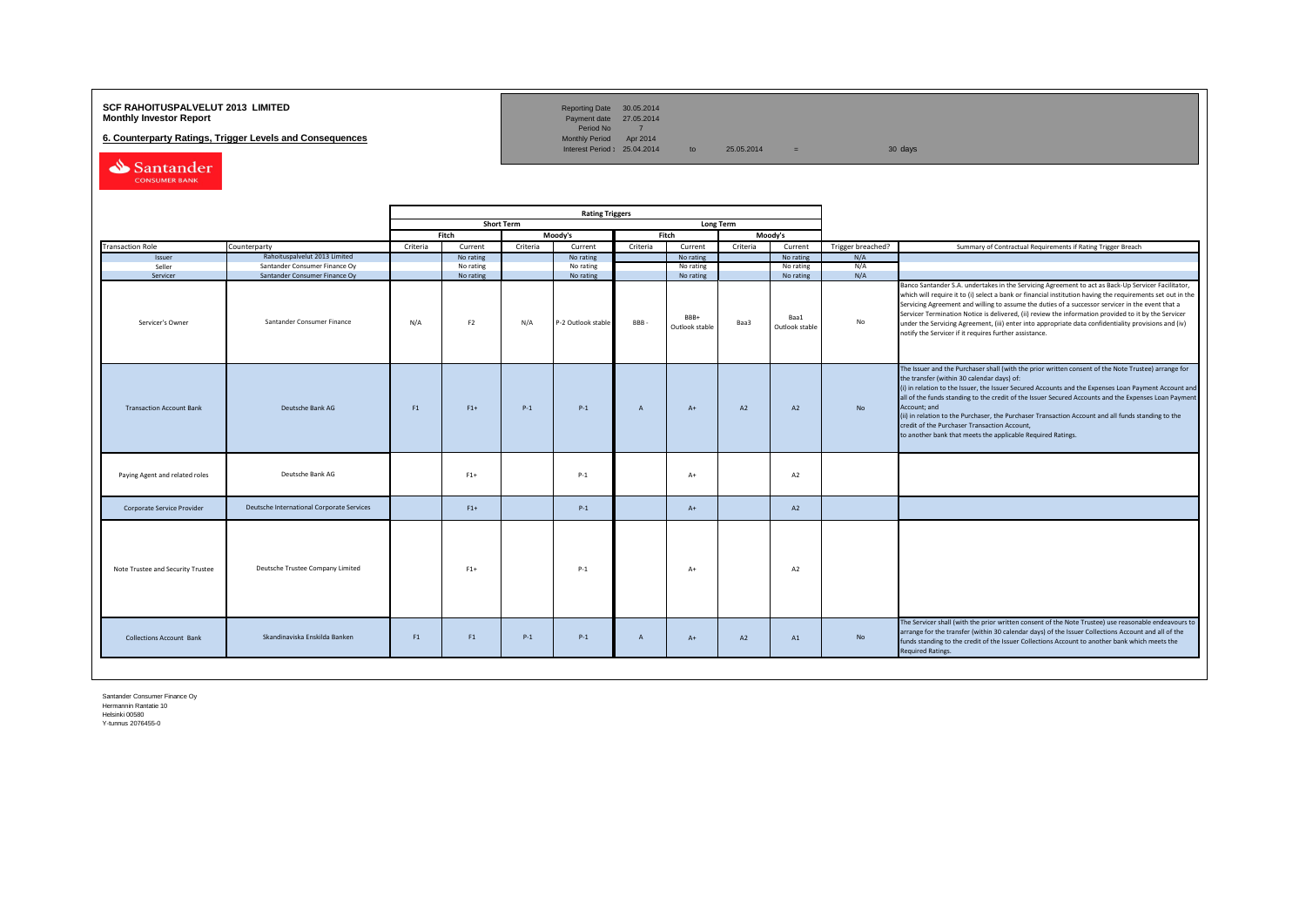## **SCF RAHOITUSPALVELUT 2013 LIMITED**<br>**Monthly Investor Report** Payment date 27.05.2014

**6. Counterparty Ratings, Trigger Levels and Consequences** 

Reporting Date 30.05.2014<br>Payment date 27.05.2014<br>Period No 7<br>Monthly Period Apr 2014

Interest Period:  $25.04.2014$  to  $25.05.2014$  = 30 days

Santander CONSUMER BANK

|                                                                                    |                                           | <b>Rating Triggers</b> |                |          |                    |                |                        |          |                        |                   |                                                                                                                                                                                                                                                                                                                                                                                                                                                                                                                                                                                                        |
|------------------------------------------------------------------------------------|-------------------------------------------|------------------------|----------------|----------|--------------------|----------------|------------------------|----------|------------------------|-------------------|--------------------------------------------------------------------------------------------------------------------------------------------------------------------------------------------------------------------------------------------------------------------------------------------------------------------------------------------------------------------------------------------------------------------------------------------------------------------------------------------------------------------------------------------------------------------------------------------------------|
|                                                                                    | <b>Short Term</b><br>Long Term            |                        |                |          |                    |                |                        |          |                        |                   |                                                                                                                                                                                                                                                                                                                                                                                                                                                                                                                                                                                                        |
|                                                                                    |                                           |                        | Fitch          |          | Moody's            |                | Fitch                  |          | Moody's                |                   |                                                                                                                                                                                                                                                                                                                                                                                                                                                                                                                                                                                                        |
| <b>Transaction Role</b><br>Counterparty<br>Rahoituspalvelut 2013 Limited<br>Issuer |                                           | Criteria               | Current        | Criteria | Current            | Criteria       | Current                | Criteria | Current                | Trigger breached? | Summary of Contractual Requirements if Rating Trigger Breach                                                                                                                                                                                                                                                                                                                                                                                                                                                                                                                                           |
|                                                                                    |                                           |                        | No rating      |          | No rating          |                | No rating              |          | No rating              | N/A               |                                                                                                                                                                                                                                                                                                                                                                                                                                                                                                                                                                                                        |
| Seller                                                                             | Santander Consumer Finance Oy             |                        | No rating      |          | No rating          |                | No rating              |          | No rating              | N/A               |                                                                                                                                                                                                                                                                                                                                                                                                                                                                                                                                                                                                        |
| Servicer                                                                           | Santander Consumer Finance Oy             |                        | No rating      |          | No rating          |                | No rating              |          | No rating              | N/A               |                                                                                                                                                                                                                                                                                                                                                                                                                                                                                                                                                                                                        |
| Servicer's Owner                                                                   | Santander Consumer Finance                | N/A                    | F <sub>2</sub> | N/A      | P-2 Outlook stable | <b>BBB</b>     | BBB+<br>Outlook stable | Baa3     | Baa1<br>Outlook stable | No                | Banco Santander S.A. undertakes in the Servicing Agreement to act as Back-Up Servicer Facilitator,<br>which will require it to (i) select a bank or financial institution having the requirements set out in the<br>Servicing Agreement and willing to assume the duties of a successor servicer in the event that a<br>Servicer Termination Notice is delivered, (ii) review the information provided to it by the Servicer<br>under the Servicing Agreement, (iii) enter into appropriate data confidentiality provisions and (iv)<br>notify the Servicer if it requires further assistance.         |
| <b>Transaction Account Bank</b>                                                    | Deutsche Bank AG                          | F1                     | $F1+$          | $P-1$    | $P-1$              | $\overline{A}$ | $A+$                   | A2       | A2                     | <b>No</b>         | The Issuer and the Purchaser shall (with the prior written consent of the Note Trustee) arrange for<br>the transfer (within 30 calendar days) of:<br>(i) in relation to the Issuer, the Issuer Secured Accounts and the Expenses Loan Payment Account and<br>all of the funds standing to the credit of the Issuer Secured Accounts and the Expenses Loan Payment<br>Account; and<br>(ii) in relation to the Purchaser, the Purchaser Transaction Account and all funds standing to the<br>credit of the Purchaser Transaction Account,<br>to another bank that meets the applicable Required Ratings. |
| Paying Agent and related roles                                                     | Deutsche Bank AG                          |                        | $F1+$          |          | $P-1$              |                | $A+$                   |          | A2                     |                   |                                                                                                                                                                                                                                                                                                                                                                                                                                                                                                                                                                                                        |
| Corporate Service Provider                                                         | Deutsche International Corporate Services |                        | $F1+$          |          | $P-1$              |                | $A+$                   |          | A2                     |                   |                                                                                                                                                                                                                                                                                                                                                                                                                                                                                                                                                                                                        |
| Note Trustee and Security Trustee                                                  | Deutsche Trustee Company Limited          |                        | $F1+$          |          | $P-1$              |                | $A+$                   |          | A2                     |                   |                                                                                                                                                                                                                                                                                                                                                                                                                                                                                                                                                                                                        |
| <b>Collections Account Bank</b>                                                    | Skandinaviska Enskilda Banken             | F1                     | F1             | $P-1$    | $P-1$              | $\overline{A}$ | $A+$                   | A2       | A1                     | <b>No</b>         | The Servicer shall (with the prior written consent of the Note Trustee) use reasonable endeavours to<br>arrange for the transfer (within 30 calendar days) of the Issuer Collections Account and all of the<br>funds standing to the credit of the Issuer Collections Account to another bank which meets the<br><b>Required Ratings.</b>                                                                                                                                                                                                                                                              |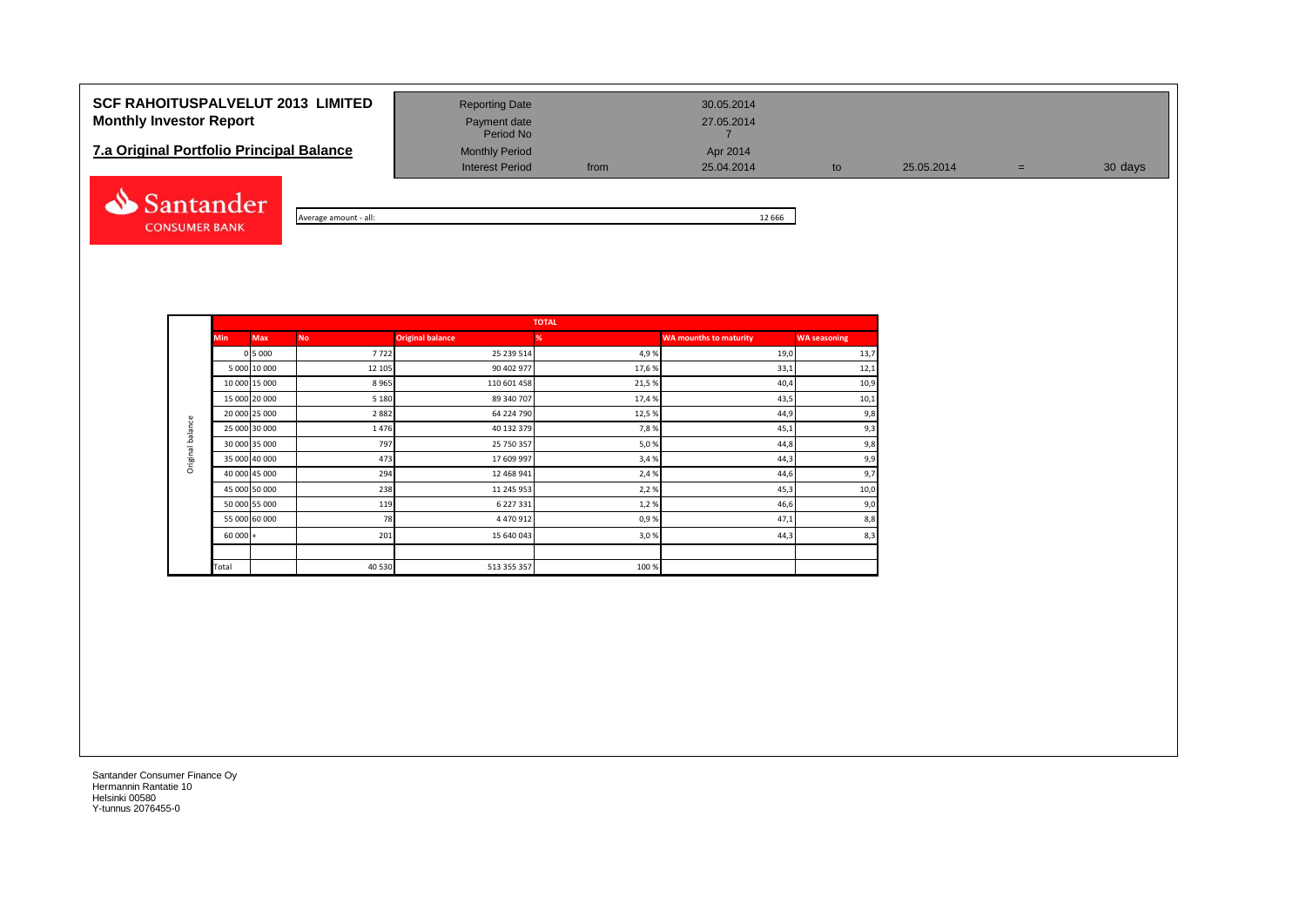# **SCF RAHOITUSPALVELUT 2013 LIMITED** Reporting Date 30.05.2014 **Monthly Investor Report Payment date** Payment date 27.05.2014

# **7.a Original Portfolio Principal Balance** Monthly Period **Apr 2014** Apr 2014<br>
Interest Period **Apr 2014** Apr 2014



| - all:<br>Average amount | 666<br>ᅭ |
|--------------------------|----------|

Payment date<br>Period No

Interest Period from 25.04.2014 to 25.05.2014 = 30 days

|                                                                                                                                                                                                                                      |            |           |                         | <b>TOTAL</b> |                               |                     |
|--------------------------------------------------------------------------------------------------------------------------------------------------------------------------------------------------------------------------------------|------------|-----------|-------------------------|--------------|-------------------------------|---------------------|
| Min.                                                                                                                                                                                                                                 | <b>Max</b> | <b>No</b> | <b>Original balance</b> | %            | <b>WA mounths to maturity</b> | <b>WA seasoning</b> |
| 0 5 0 0 0<br>5 000 10 000<br>10 000 15 000<br>15 000 20 000<br>20 000 25 000<br>Original balance<br>25 000 30 000<br>30 000 35 000<br>35 000 40 000<br>40 000 45 000<br>45 000 50 000<br>50 000 55 000<br>55 000 60 000<br>$60000 +$ |            | 7722      | 25 239 514              | 4,9%         | 19,0                          | 13,7                |
|                                                                                                                                                                                                                                      |            | 12 105    | 90 402 977              | 17,6%        | 33,1                          | 12,1                |
|                                                                                                                                                                                                                                      |            | 8965      | 110 601 458             | 21,5%        | 40,4                          | 10,9                |
|                                                                                                                                                                                                                                      |            | 5 1 8 0   | 89 340 707              | 17,4%        | 43,5                          | 10,1                |
|                                                                                                                                                                                                                                      |            | 2882      | 64 224 790              | 12,5 %       | 44,9                          | 9,8                 |
|                                                                                                                                                                                                                                      |            | 1476      | 40 132 379              | 7,8%         | 45,1                          | 9,3                 |
|                                                                                                                                                                                                                                      |            | 797       | 25 750 357              | 5,0%         | 44,8                          | 9,8                 |
|                                                                                                                                                                                                                                      |            | 473       | 17 609 997              | 3,4%         | 44,3                          | 9,9                 |
|                                                                                                                                                                                                                                      |            | 294       | 12 468 941              | 2,4 %        | 44,6                          | 9,7                 |
|                                                                                                                                                                                                                                      |            | 238       | 11 245 953              | 2,2%         | 45,3                          | 10,0                |
|                                                                                                                                                                                                                                      |            | 119       | 6 227 331               | 1,2%         | 46,6                          | 9,0                 |
|                                                                                                                                                                                                                                      |            | 78        | 4 470 912               | 0,9%         | 47,1                          | 8,8                 |
|                                                                                                                                                                                                                                      |            | 201       | 15 640 043              | 3,0%         | 44,3                          | 8,3                 |
|                                                                                                                                                                                                                                      |            |           |                         |              |                               |                     |
| Total                                                                                                                                                                                                                                |            | 40 530    | 513 355 357             | 100%         |                               |                     |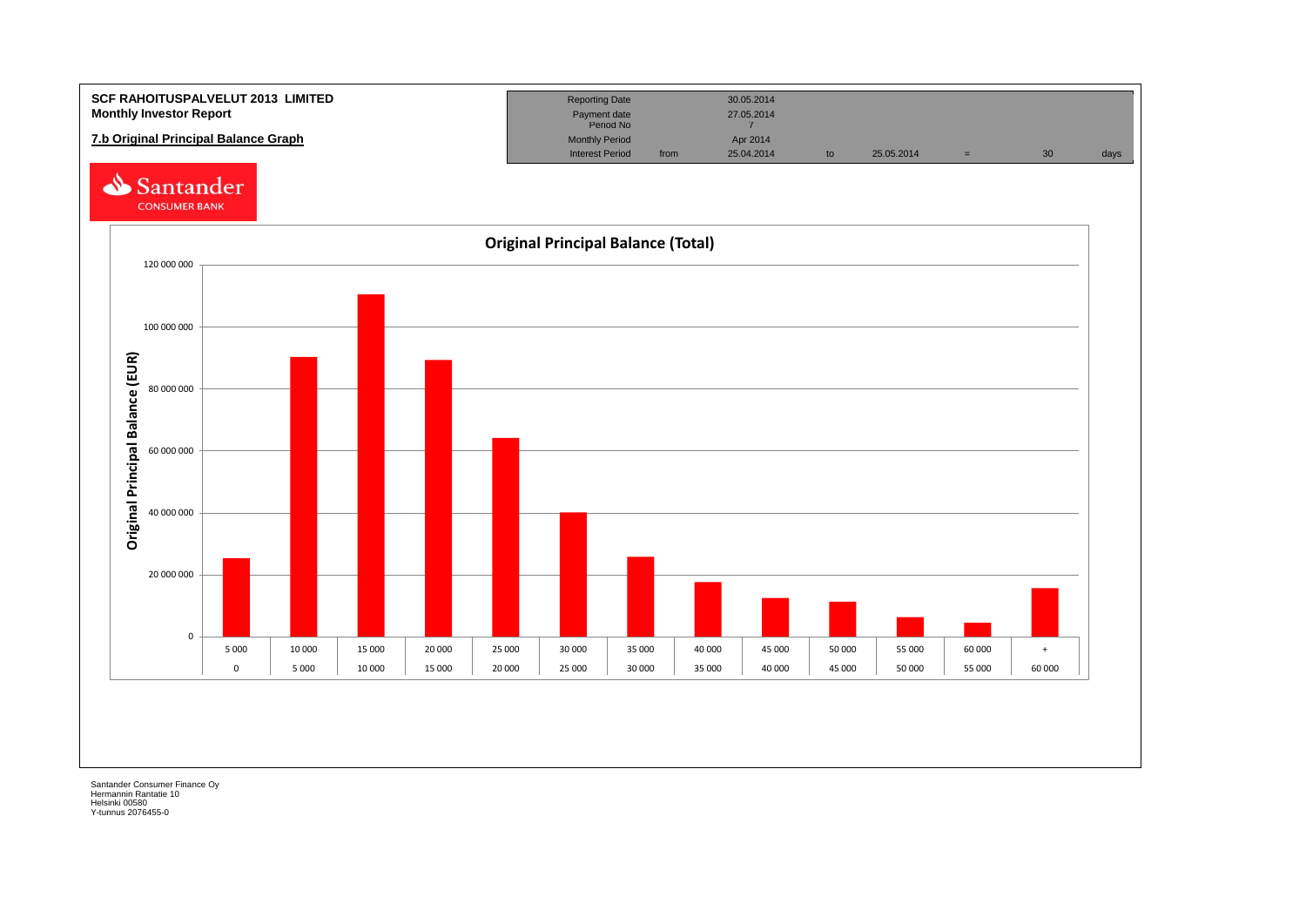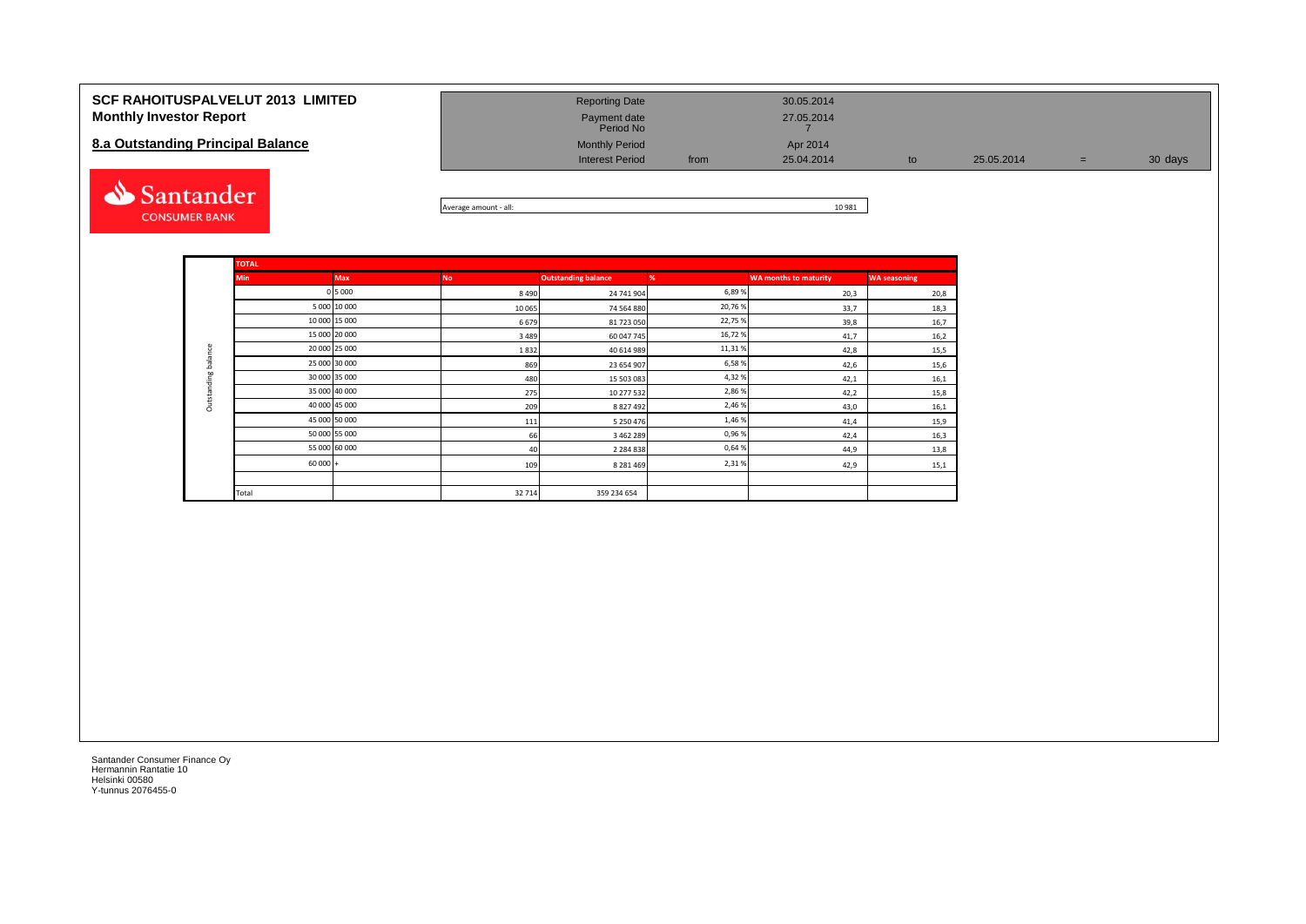| <b>SCF RAHOITUSPALVELUT 2013 LIMITED</b><br><b>Monthly Investor Report</b><br>8.a Outstanding Principal Balance | <b>Reporting Date</b><br>Payment date<br>Period No<br><b>Monthly Period</b><br><b>Interest Period</b> | from | 30.05.2014<br>27.05.2014<br>Apr 2014<br>25.04.2014 | to | 25.05.2014 | $=$ | 30 days |
|-----------------------------------------------------------------------------------------------------------------|-------------------------------------------------------------------------------------------------------|------|----------------------------------------------------|----|------------|-----|---------|
| Santander                                                                                                       | .                                                                                                     |      | 10001                                              |    |            |     |         |

Average amount - all: 10 981

| <b>TOTAL</b>  |               |           |                            |        |                              |                     |
|---------------|---------------|-----------|----------------------------|--------|------------------------------|---------------------|
| <b>Min</b>    | <b>Max</b>    | <b>No</b> | <b>Outstanding balance</b> | %      | <b>WA months to maturity</b> | <b>WA seasoning</b> |
|               | 0 5 0 0 0     | 8 4 9 0   | 24 741 904                 | 6,89%  | 20,3                         | 20,8                |
|               | 5 000 10 000  | 10 065    | 74 564 880                 | 20,76% | 33,7                         | 18,3                |
| 10 000 15 000 |               | 6679      | 81 723 050                 | 22,75% | 39,8                         | 16,7                |
| 15 000 20 000 |               | 3 4 8 9   | 60 047 745                 | 16,72% | 41,7                         | 16,2                |
| 20 000 25 000 |               | 1832      | 40 614 989                 | 11,31% | 42,8                         | 15,5                |
|               | 25 000 30 000 | 869       | 23 654 907                 | 6,58%  | 42,6                         | 15,6                |
|               | 30 000 35 000 | 480       | 15 503 083                 | 4,32%  | 42,1                         | 16,1                |
|               | 35 000 40 000 | 275       | 10 277 532                 | 2,86%  | 42,2                         | 15,8                |
| 40 000 45 000 |               | 209       | 8 8 2 7 4 9 2              | 2,46%  | 43,0                         | 16,1                |
| 45 000 50 000 |               | 111       | 5 250 476                  | 1,46%  | 41,4                         | 15,9                |
|               | 50 000 55 000 | 66        | 3 4 6 2 2 8 9              | 0,96%  | 42,4                         | 16,3                |
| 55 000 60 000 |               | 40        | 2 2 8 4 8 3 8              | 0,64%  | 44,9                         | 13,8                |
| $60000 +$     |               | 109       | 8 2 8 1 4 6 9              | 2,31%  | 42,9                         | 15,1                |
| Total         |               | 32 714    | 359 234 654                |        |                              |                     |

Santander Consumer Finance Oy Hermannin Rantatie 10 Helsinki 00580 Y-tunnus 2076455-0

**CONSUMER BANK**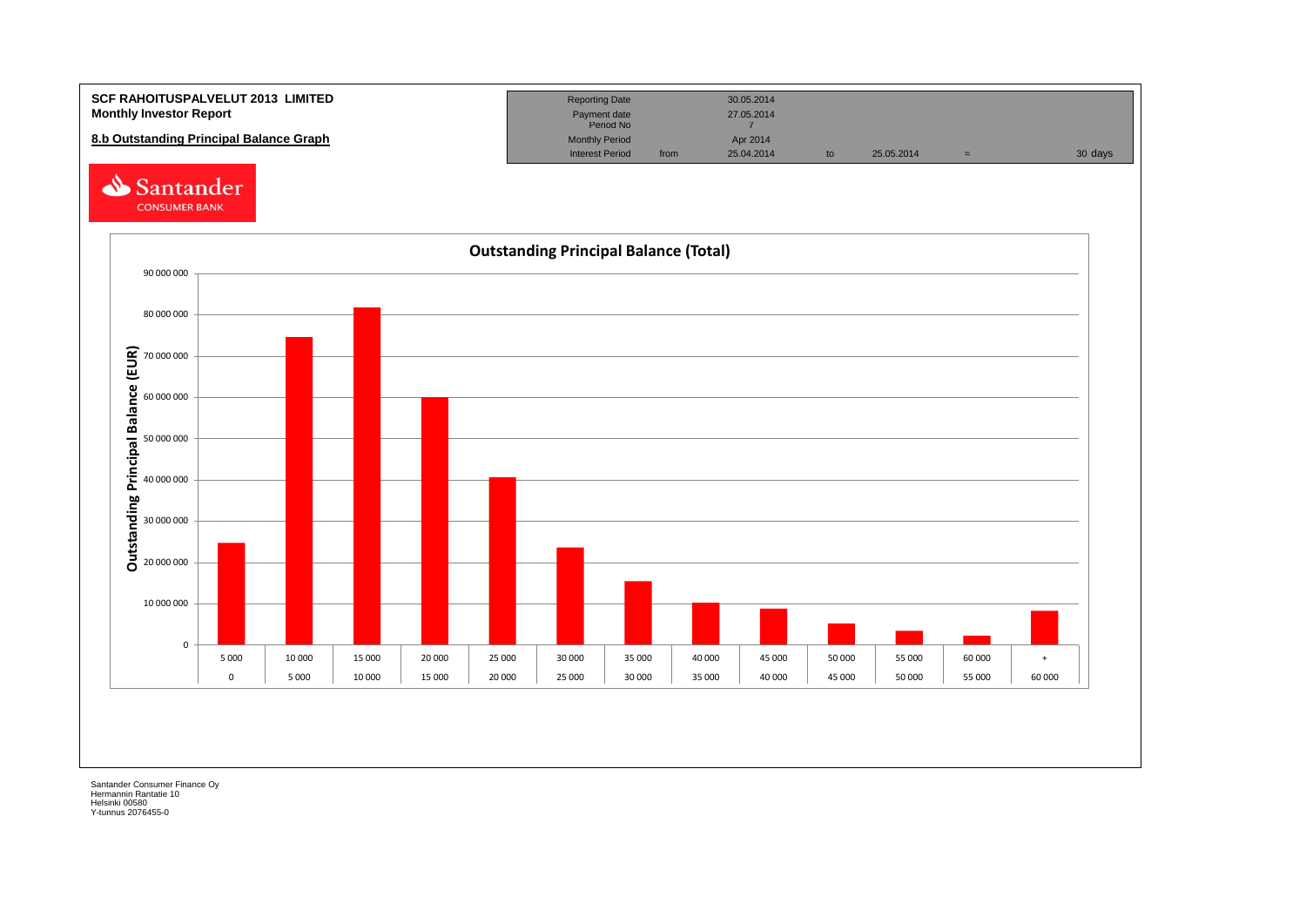

Hermannin Rantatie 10 Helsinki 00580 Y-tunnus 2076455-0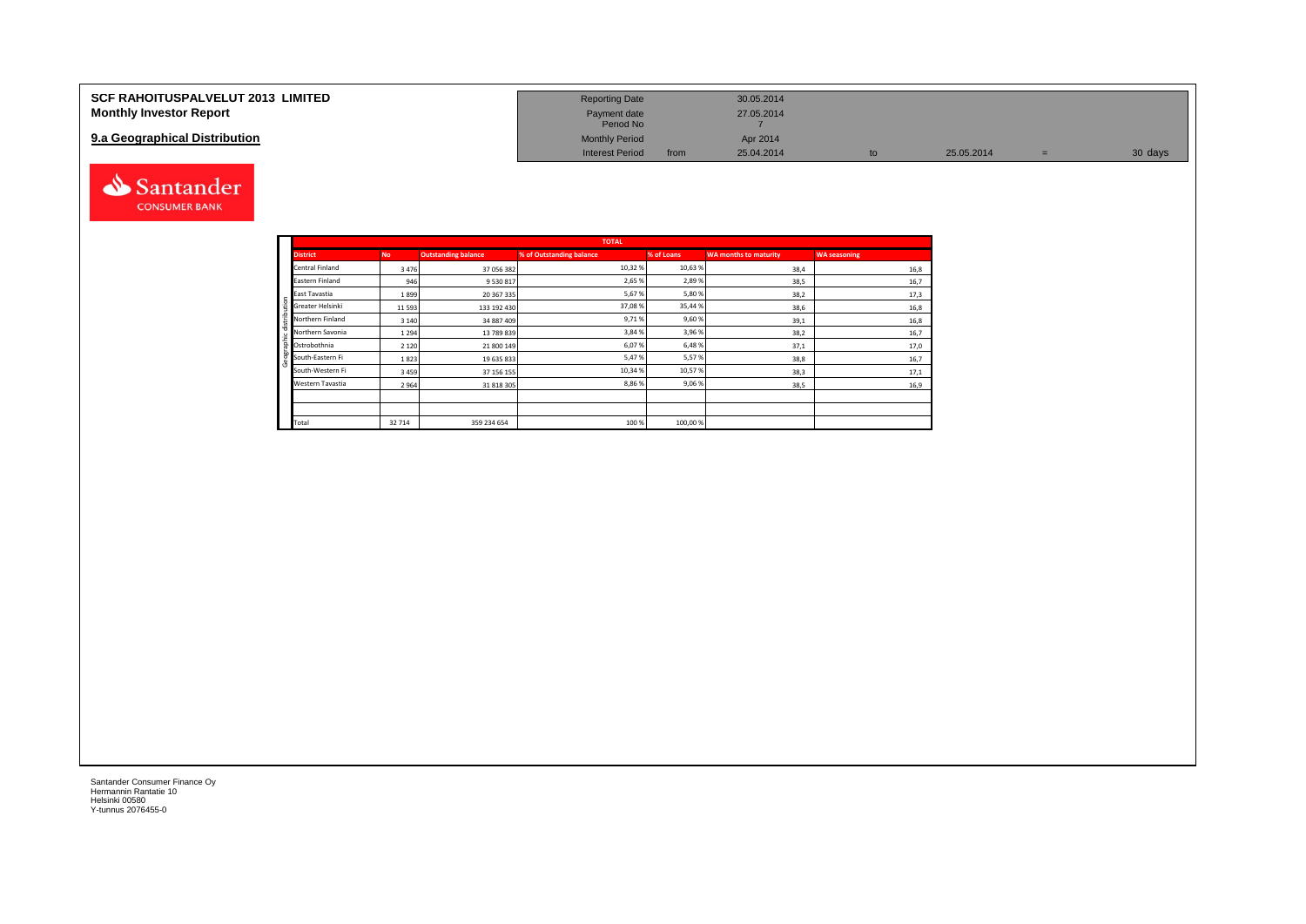| <b>SCF RAHOITUSPALVELUT 2013 LIMITED</b> | <b>Reporting Date</b>     |      | 30.05.2014 |    |            |         |
|------------------------------------------|---------------------------|------|------------|----|------------|---------|
| <b>Monthly Investor Report</b>           | Payment date<br>Period No |      | 27.05.2014 |    |            |         |
| 9.a Geographical Distribution            | <b>Monthly Period</b>     |      | Apr 2014   |    |            |         |
|                                          | <b>Interest Period</b>    | from | 25.04.2014 | to | 25.05.2014 | 30 days |



|              |                  |           |                            | <b>TOTAL</b>             |            |                       |                     |
|--------------|------------------|-----------|----------------------------|--------------------------|------------|-----------------------|---------------------|
|              | <b>District</b>  | <b>No</b> | <b>Outstanding balance</b> | % of Outstanding balance | % of Loans | WA months to maturity | <b>WA seasoning</b> |
|              | Central Finland  | 3476      | 37 056 382                 | 10,32%                   | 10,63%     | 38,4                  | 16,8                |
|              | Eastern Finland  | 946       | 9 5 3 0 8 1 7              | 2,65%                    | 2,89%      | 38,5                  | 16,7                |
|              | East Tavastia    | 1899      | 20 367 335                 | 5,67%                    | 5,80%      | 38,2                  | 17,3                |
| distribution | Greater Helsinki | 11593     | 133 192 430                | 37,08%                   | 35,44%     | 38,6                  | 16,8                |
|              | Northern Finland | 3 1 4 0   | 34 887 409                 | 9,71%                    | 9,60%      | 39,1                  | 16,8                |
|              | Northern Savonia | 1294      | 13 789 839                 | 3,84 %                   | 3,96%      | 38,2                  | 16,7                |
| raphic       | Ostrobothnia     | 2 1 2 0   | 21 800 149                 | 6,07%                    | 6,48%      | 37,1                  | 17,0                |
| æ<br>පි      | South-Eastern Fi | 1823      | 19 635 833                 | 5,47%                    | 5,57%      | 38,8                  | 16,7                |
|              | South-Western Fi | 3459      | 37 156 155                 | 10,34 %                  | 10,57%     | 38,3                  | 17,1                |
|              | Western Tavastia | 2964      | 31 818 305                 | 8,86%                    | 9,06%      | 38,5                  | 16,9                |
|              |                  |           |                            |                          |            |                       |                     |
|              |                  |           |                            |                          |            |                       |                     |
|              | Total            | 32 714    | 359 234 654                | 100 %                    | 100,00%    |                       |                     |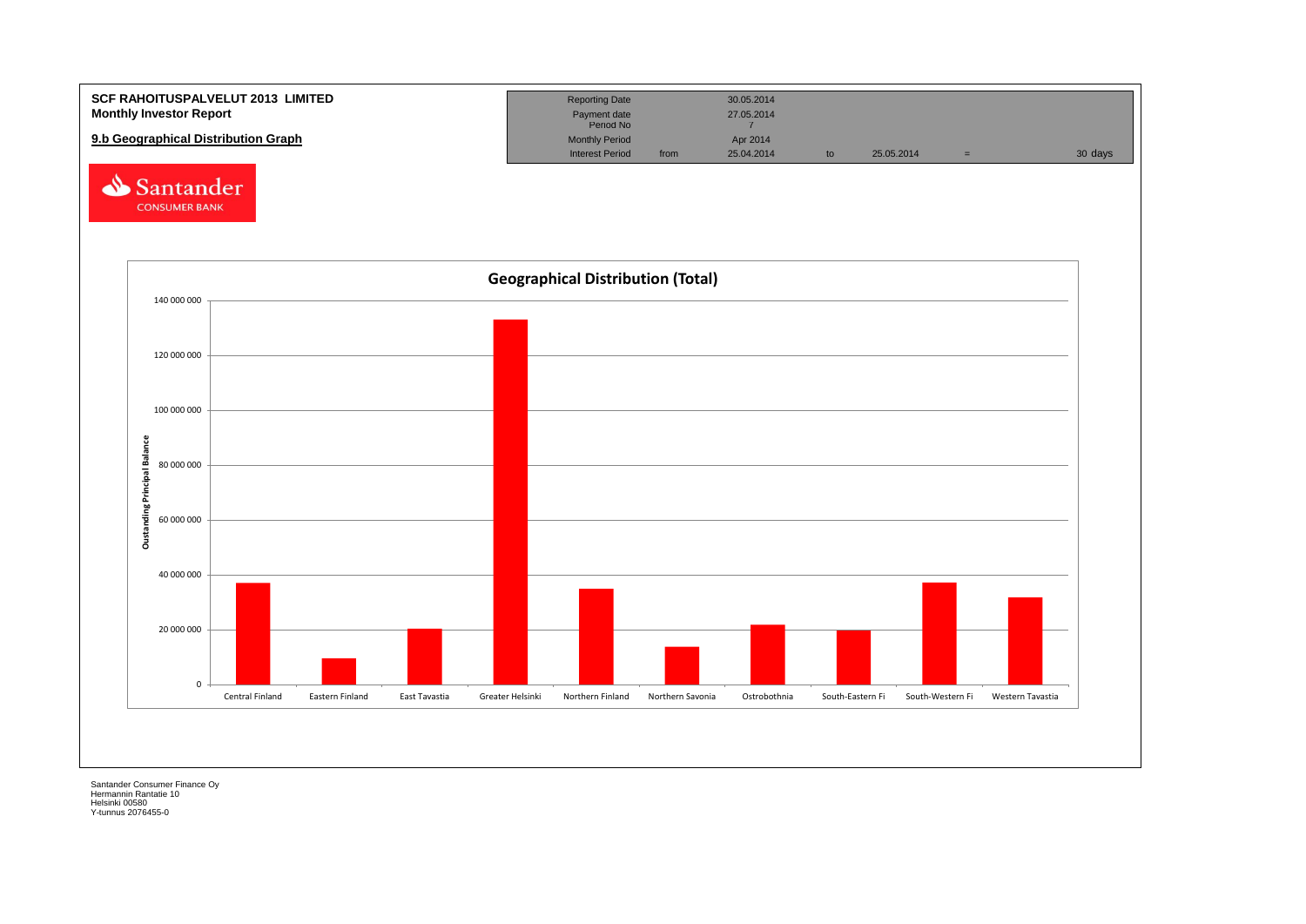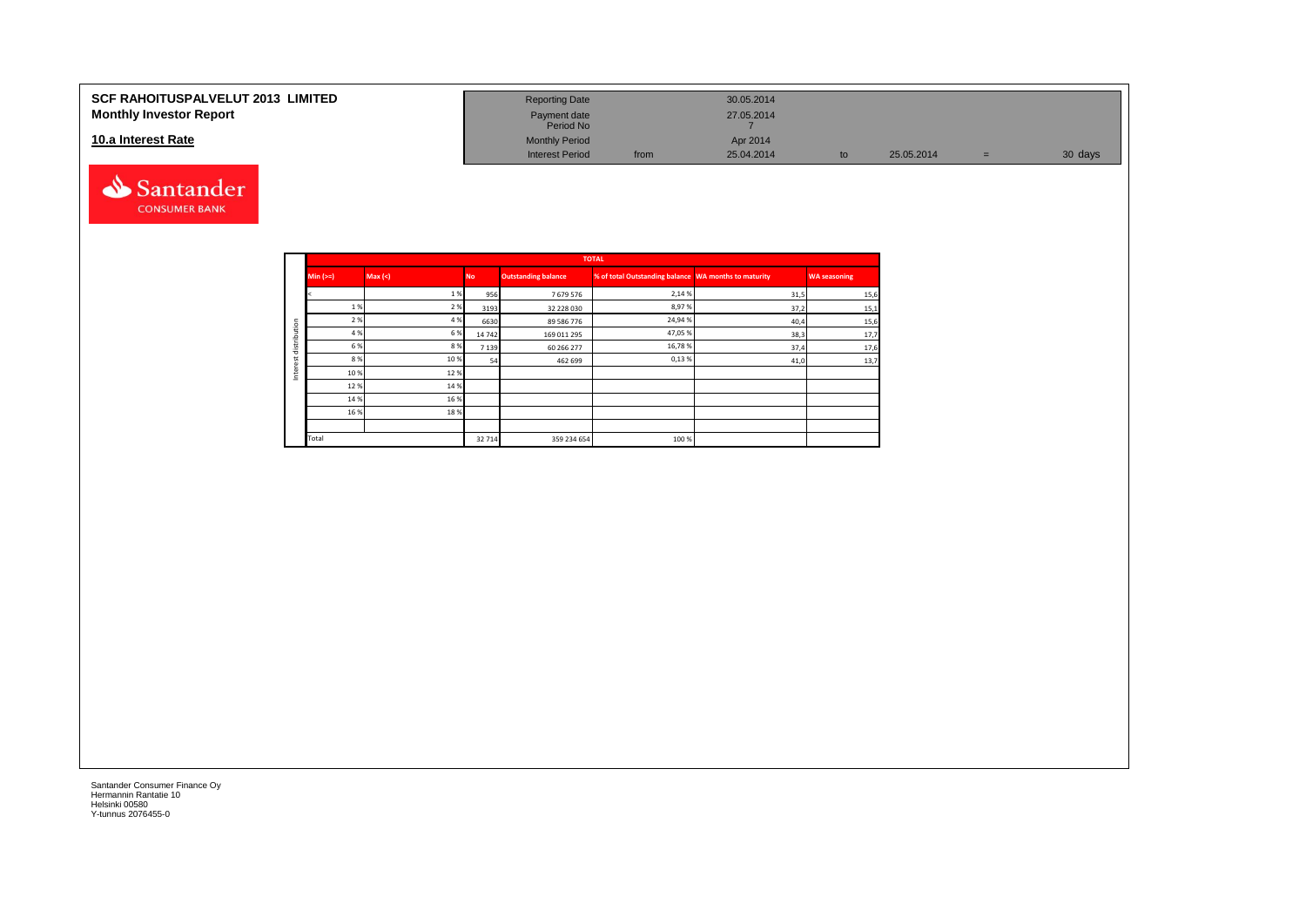#### **SCF RAHOITUSPALVELUT 2013 LIMITED Monthly Investor Report**

#### **10.a Interest Rate**



| <b>Reporting Date</b>     |      | 30.05.2014 |    |            |     |         |
|---------------------------|------|------------|----|------------|-----|---------|
| Payment date<br>Period No |      | 27.05.2014 |    |            |     |         |
| <b>Monthly Period</b>     |      | Apr 2014   |    |            |     |         |
| <b>Interest Period</b>    | from | 25.04.2014 | to | 25.05.2014 | $=$ | 30 days |

|         |          |         |           |                            | <b>TOTAL</b>                                         |      |                     |
|---------|----------|---------|-----------|----------------------------|------------------------------------------------------|------|---------------------|
|         | $Min (=$ | Max (<) | <b>No</b> | <b>Outstanding balance</b> | % of total Outstanding balance WA months to maturity |      | <b>WA seasoning</b> |
|         |          | 1%      | 956       | 7679576                    | 2,14 %                                               | 31,5 | 15,6                |
|         | 1 %      | 2 %     | 3193      | 32 228 030                 | 8,97%                                                | 37,2 | 15,1                |
| ution   | 2 %      | 4 %     | 6630      | 89 586 776                 | 24,94%                                               | 40,4 | 15,6                |
|         | 4 %      | 6 %     | 14742     | 169 011 295                | 47,05%                                               | 38,3 | 17,7                |
| distrib | 6 %      | 8%      | 7139      | 60 266 277                 | 16,78%                                               | 37,4 | 17,6                |
|         | 8%       | 10%     | 54        | 462 699                    | 0,13%                                                | 41,0 | 13,7                |
| ğ<br>Ξ  | 10%      | 12%     |           |                            |                                                      |      |                     |
|         | 12%      | 14 %    |           |                            |                                                      |      |                     |
|         | 14 %     | 16 %    |           |                            |                                                      |      |                     |
|         | 16 %     | 18%     |           |                            |                                                      |      |                     |
|         |          |         |           |                            |                                                      |      |                     |
|         | Total    |         | 32714     | 359 234 654                | 100 %                                                |      |                     |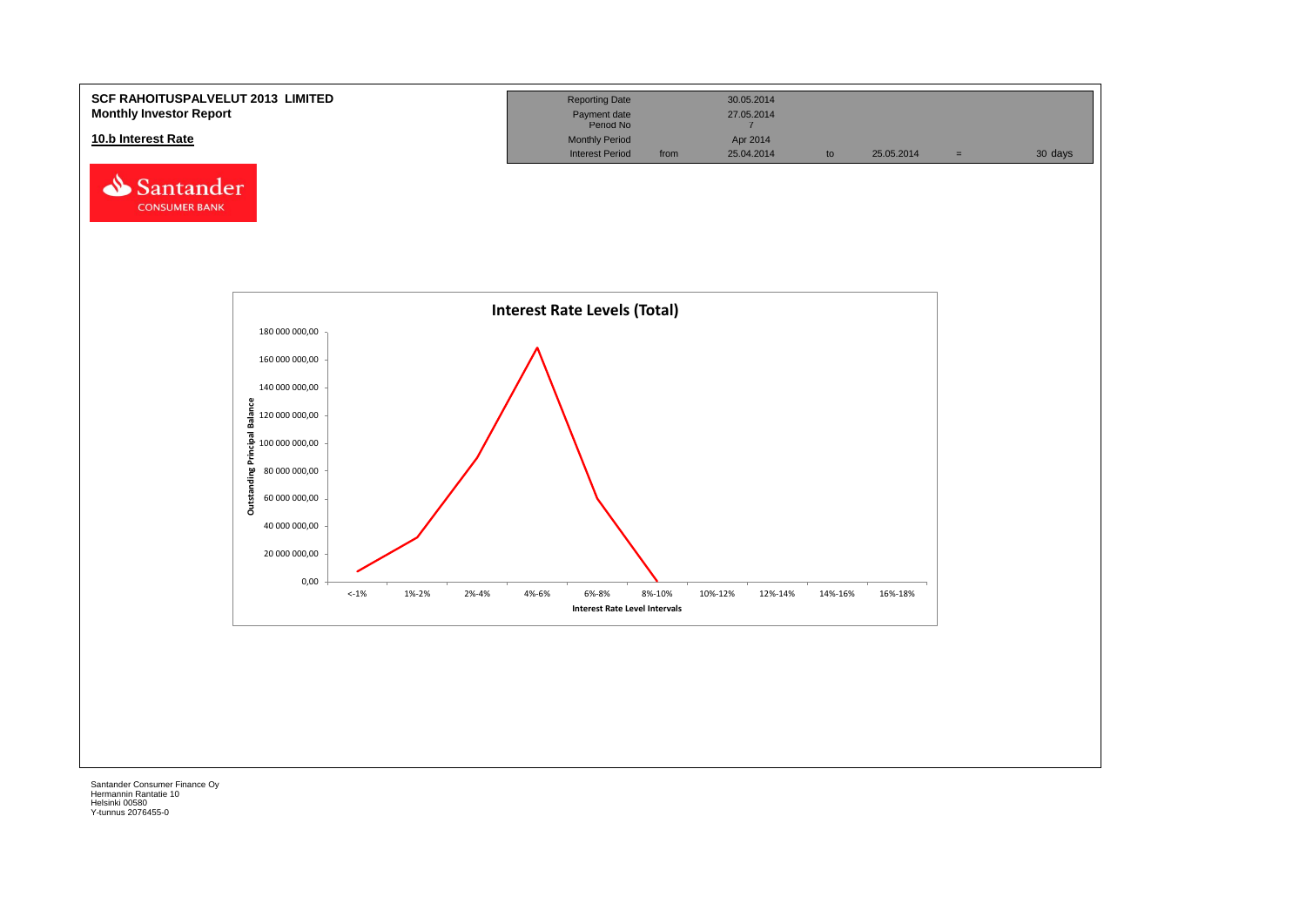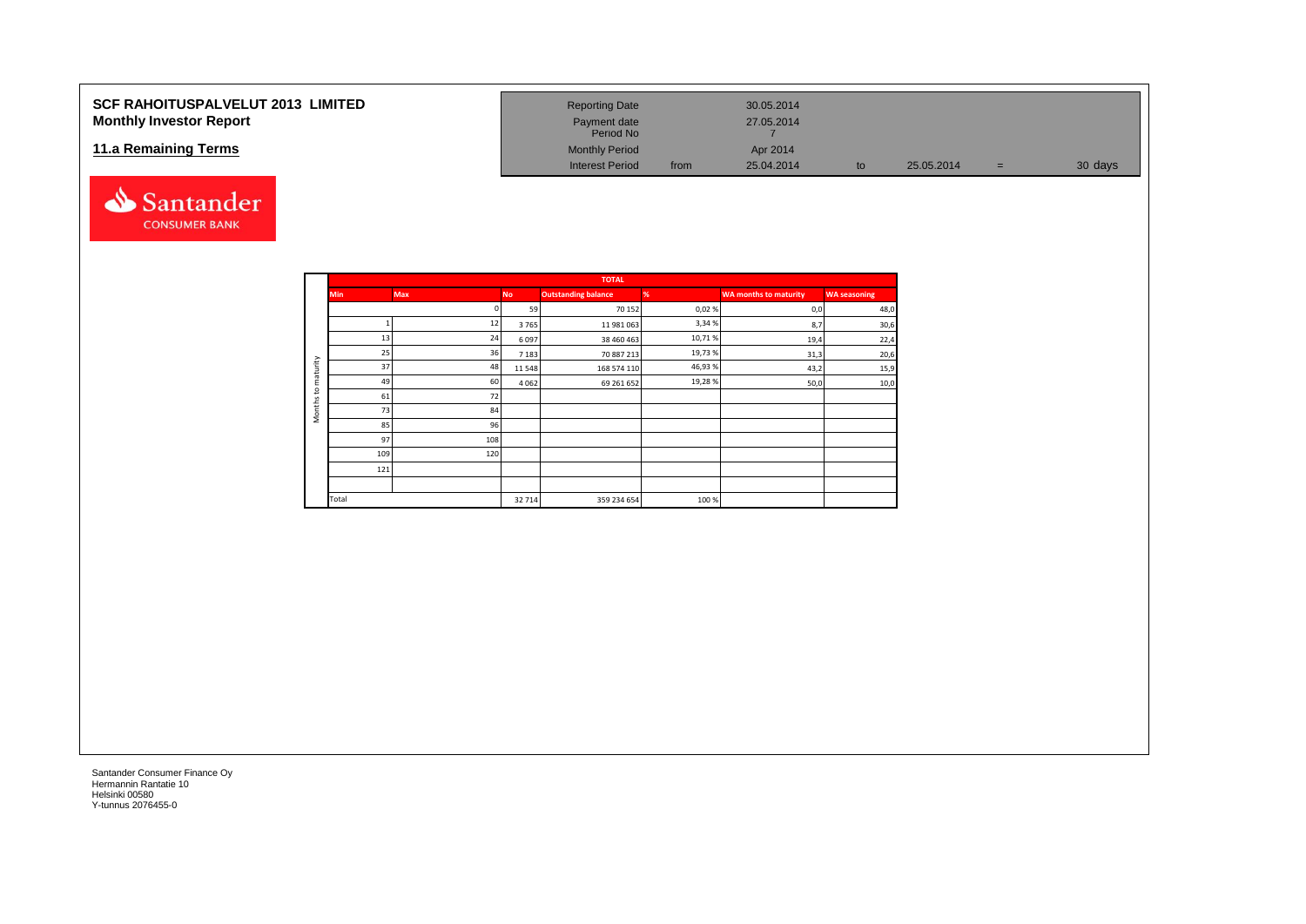### **SCF RAHOITUSPALVELUT 2013 LIMITED Monthly Investor Report**

#### **11.a Remaining Terms**



| <b>Reporting Date</b>  |      | 30.05.2014 |    |            |          |         |
|------------------------|------|------------|----|------------|----------|---------|
|                        |      |            |    |            |          |         |
| Payment date           |      | 27.05.2014 |    |            |          |         |
| Period No              |      |            |    |            |          |         |
| <b>Monthly Period</b>  |      | Apr 2014   |    |            |          |         |
| <b>Interest Period</b> | from | 25.04.2014 | to | 25.05.2014 | $\equiv$ | 30 days |

|                     |            |            |           | <b>TOTAL</b>               |         |                              |                     |
|---------------------|------------|------------|-----------|----------------------------|---------|------------------------------|---------------------|
|                     | <b>Min</b> | <b>Max</b> | <b>No</b> | <b>Outstanding balance</b> | %       | <b>WA months to maturity</b> | <b>WA seasoning</b> |
|                     |            |            | 59        | 70 152                     | 0,02%   | 0,0                          | 48,0                |
|                     |            | 12         | 3765      | 11 981 063                 | 3,34%   | 8,7                          | 30,6                |
|                     | 13         | 24         | 6097      | 38 460 463                 | 10,71%  | 19,4                         | 22,4                |
|                     | 25         | 36         | 7 1 8 3   | 70 887 213                 | 19,73%  | 31,3                         | 20,6                |
| maturity            | 37         | 48         | 11 5 48   | 168 574 110                | 46,93 % | 43,2                         | 15,9                |
| $\mathtt{S}$        | 49         | 60         | 4 0 6 2   | 69 261 652                 | 19,28%  | 50,0                         | 10 <sub>1</sub>     |
|                     | 61         | 72         |           |                            |         |                              |                     |
| Months <sub>1</sub> | 73         | 84         |           |                            |         |                              |                     |
|                     | 85         | 96         |           |                            |         |                              |                     |
|                     | 97         | 108        |           |                            |         |                              |                     |
|                     | 109        | 120        |           |                            |         |                              |                     |
|                     | 121        |            |           |                            |         |                              |                     |
|                     |            |            |           |                            |         |                              |                     |
|                     | Total      |            | 32 714    | 359 234 654                | 100%    |                              |                     |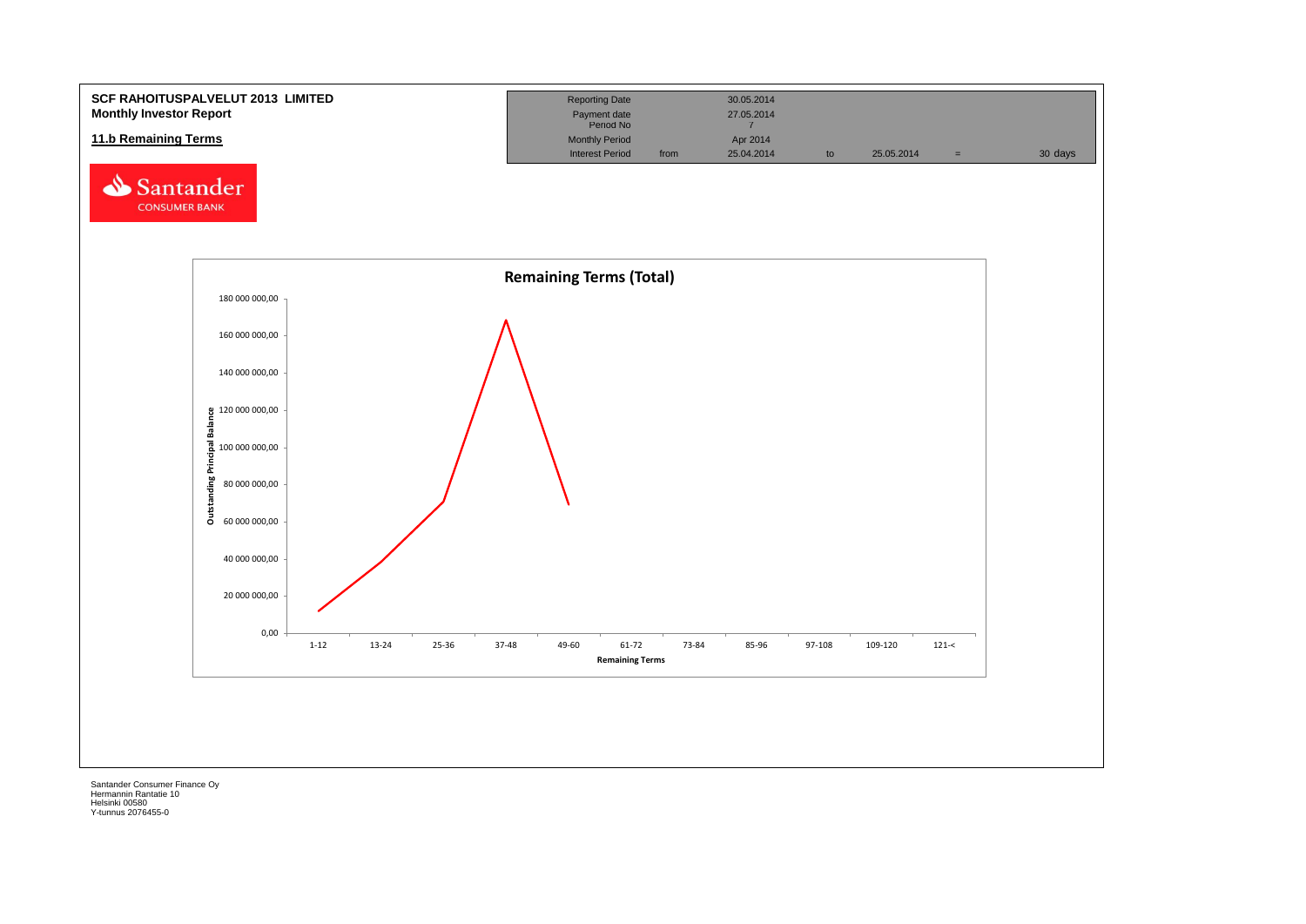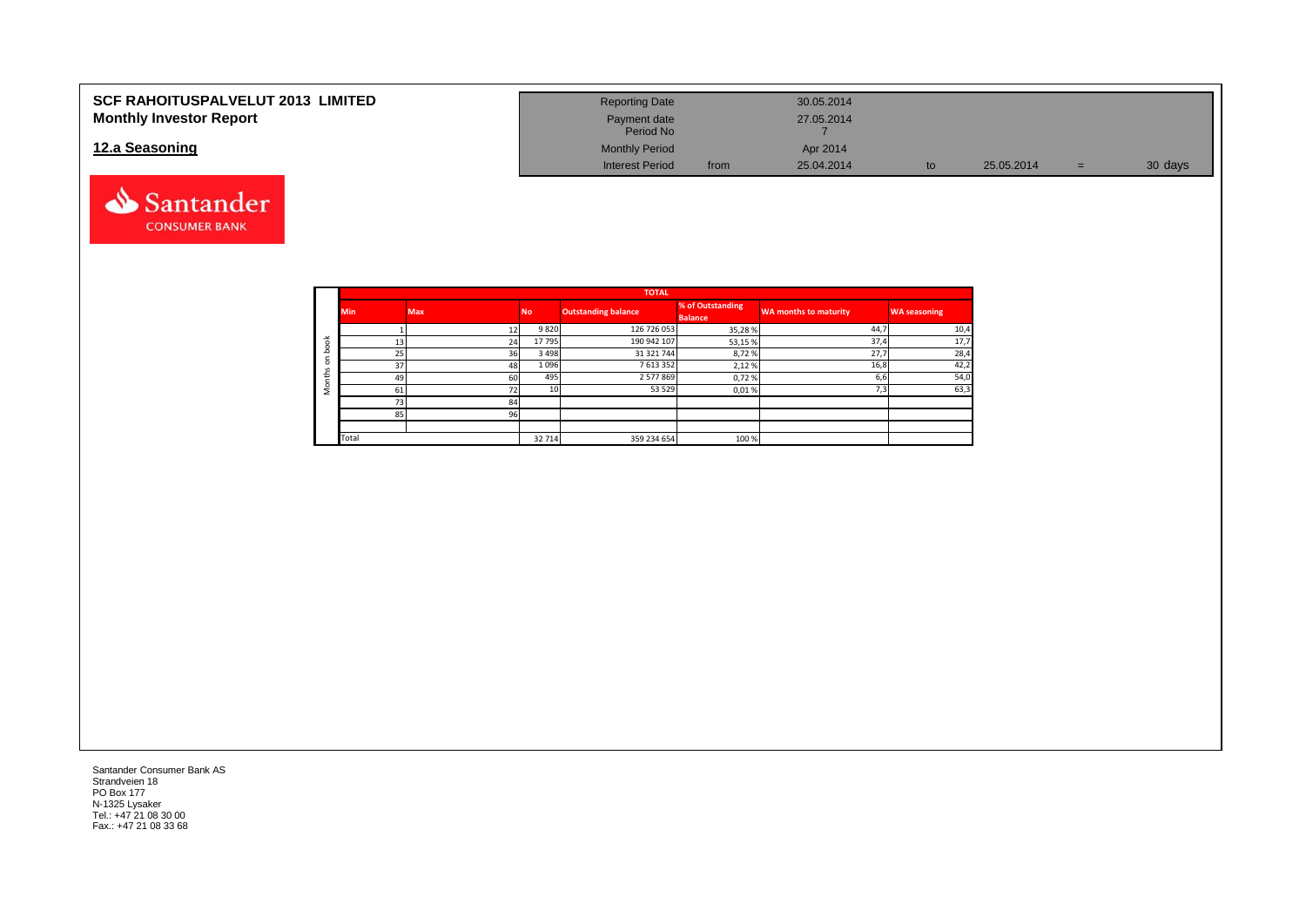| <b>SCF RAHOITUSPALVELUT 2013 LIMITED</b> | <b>Reporting Date</b>     |      | 30.05.2014 |            |    |         |
|------------------------------------------|---------------------------|------|------------|------------|----|---------|
| <b>Monthly Investor Report</b>           | Payment date<br>Period No |      | 27.05.2014 |            |    |         |
| 12.a Seasoning                           | <b>Monthly Period</b>     |      | Apr 2014   |            |    |         |
|                                          | <b>Interest Period</b>    | from | 25.04.2014 | 25.05.2014 | ÷. | 30 days |



|                       |            |            |                 | <b>TOTAL</b>               |                                    |                              |                     |
|-----------------------|------------|------------|-----------------|----------------------------|------------------------------------|------------------------------|---------------------|
|                       | <b>Min</b> | <b>Max</b> | <b>No</b>       | <b>Outstanding balance</b> | % of Outstanding<br><b>Balance</b> | <b>WA months to maturity</b> | <b>WA seasoning</b> |
|                       |            |            | 9820            | 126 726 053                | 35,28%                             | 44,7                         | 10,4                |
| $\breve{\phantom{a}}$ | 13         | 24         | 17 795          | 190 942 107                | 53,15%                             | 37,4                         | 17,7                |
| c                     | 25         | 36         | 3 4 9 8         | 31 321 744                 | 8,72%                              | 27,7                         | 28,4                |
| $\Omega$              | 37         | 48         | 1 0 9 6         | 7613352                    | 2,12%                              | 16,8                         | 42,2                |
| £                     | 49         | 60         | 495             | 2577869                    | 0,72%                              | 6,6                          | 54,0                |
|                       | 61         | 72         | 10 <sup>1</sup> | 53 5 29                    | 0,01%                              | 7,3                          | 63,3                |
|                       | 73         | 84         |                 |                            |                                    |                              |                     |
|                       | 85         | 96         |                 |                            |                                    |                              |                     |
|                       |            |            |                 |                            |                                    |                              |                     |
|                       | Total      |            | 32 714          | 359 234 654                | 100 %                              |                              |                     |

Santander Consumer Bank AS Strandveien 18 PO Box 177 N-1325 Lysaker Tel.: +47 21 08 30 00 Fax.: +47 21 08 33 68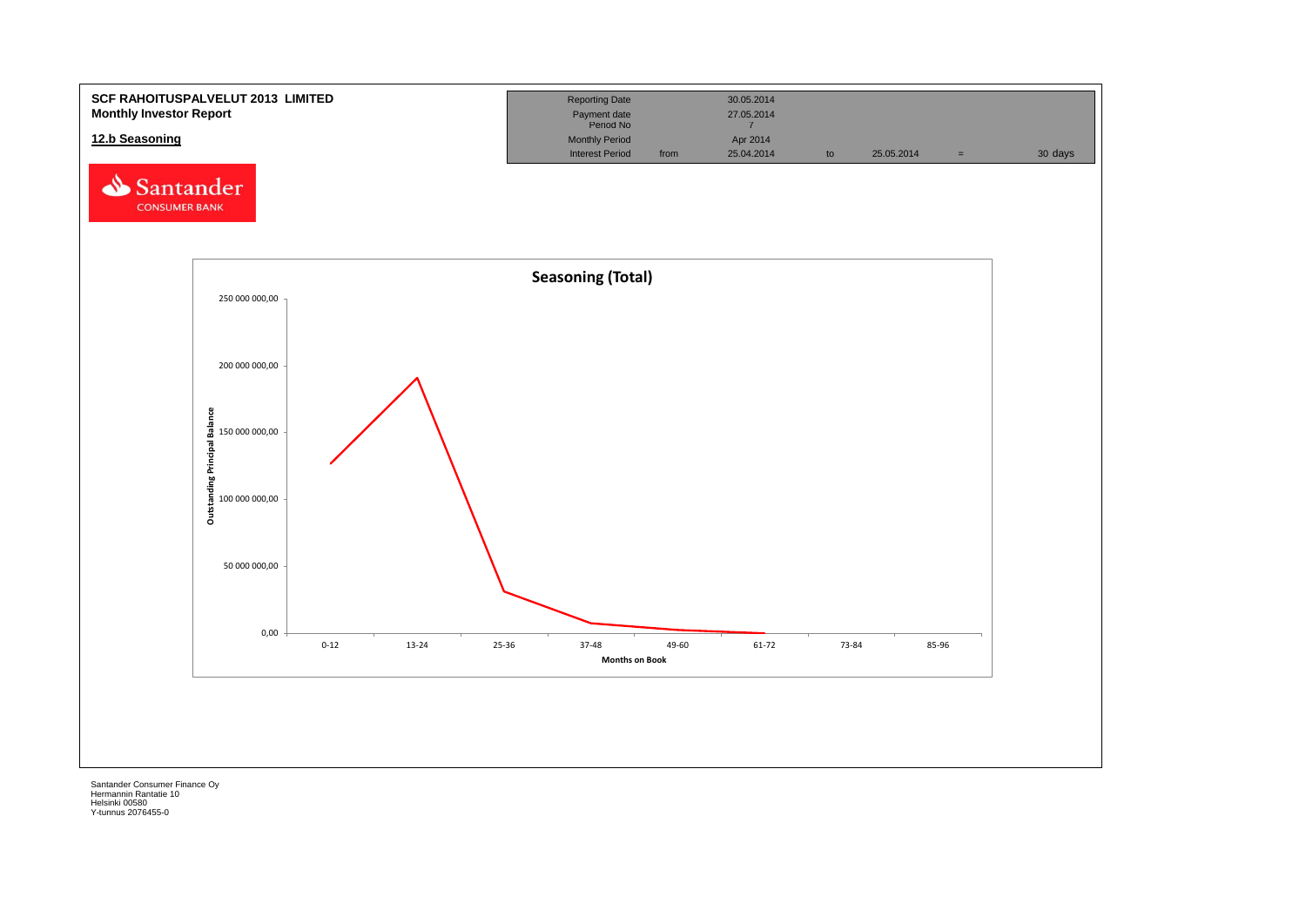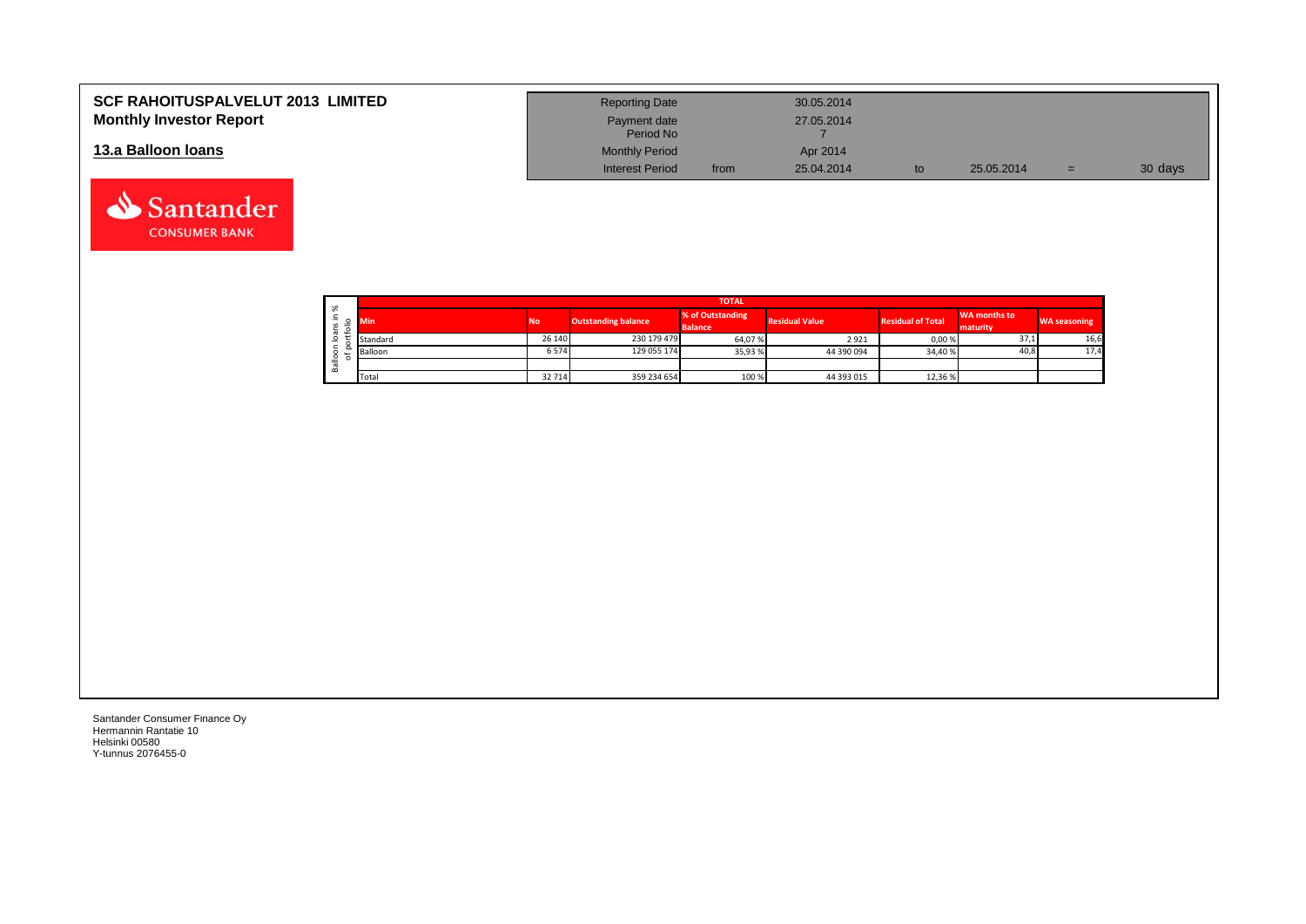| <b>SCF RAHOITUSPALVELUT 2013 LIMITED</b> | <b>Reporting Date</b>     |      | 30.05.2014 |            |     |         |
|------------------------------------------|---------------------------|------|------------|------------|-----|---------|
| <b>Monthly Investor Report</b>           | Payment date<br>Period No |      | 27.05.2014 |            |     |         |
| 13.a Balloon Ioans                       | <b>Monthly Period</b>     |      | Apr 2014   |            |     |         |
|                                          | <b>Interest Period</b>    | from | 25.04.2014 | 25.05.2014 | $=$ | 30 days |

|  |                                 | <b>TOTAL</b> |           |                            |                                    |                       |                          |                          |                     |  |  |  |  |  |
|--|---------------------------------|--------------|-----------|----------------------------|------------------------------------|-----------------------|--------------------------|--------------------------|---------------------|--|--|--|--|--|
|  | వి<br>∸.<br>≔<br>$\overline{ }$ | <b>Min</b>   | <b>No</b> | <b>Outstanding balance</b> | % of Outstanding<br><b>Balance</b> | <b>Residual Value</b> | <b>Residual of Total</b> | WA months to<br>maturity | <b>WA seasoning</b> |  |  |  |  |  |
|  | ത                               | Standard     | 26 140    | 230 179 479                | 64,07%                             | 2921                  | 0,00%                    | 37,1                     | 16,6                |  |  |  |  |  |
|  | ∽                               | Balloon      | 6 574     | 129 055 174                | 35,93%                             | 44 390 094            | 34,40 %                  | 40,8                     | 17,4                |  |  |  |  |  |
|  | 을<br>≃                          |              |           |                            |                                    |                       |                          |                          |                     |  |  |  |  |  |
|  |                                 | Total        | 32 714    | 359 234 654                | 100 %                              | 44 393 015            | 12,36 %                  |                          |                     |  |  |  |  |  |

┑

Santander Consumer Finance Oy Hermannin Rantatie 10 Helsinki 00580 Y-tunnus 2076455-0

Santander **CONSUMER BANK**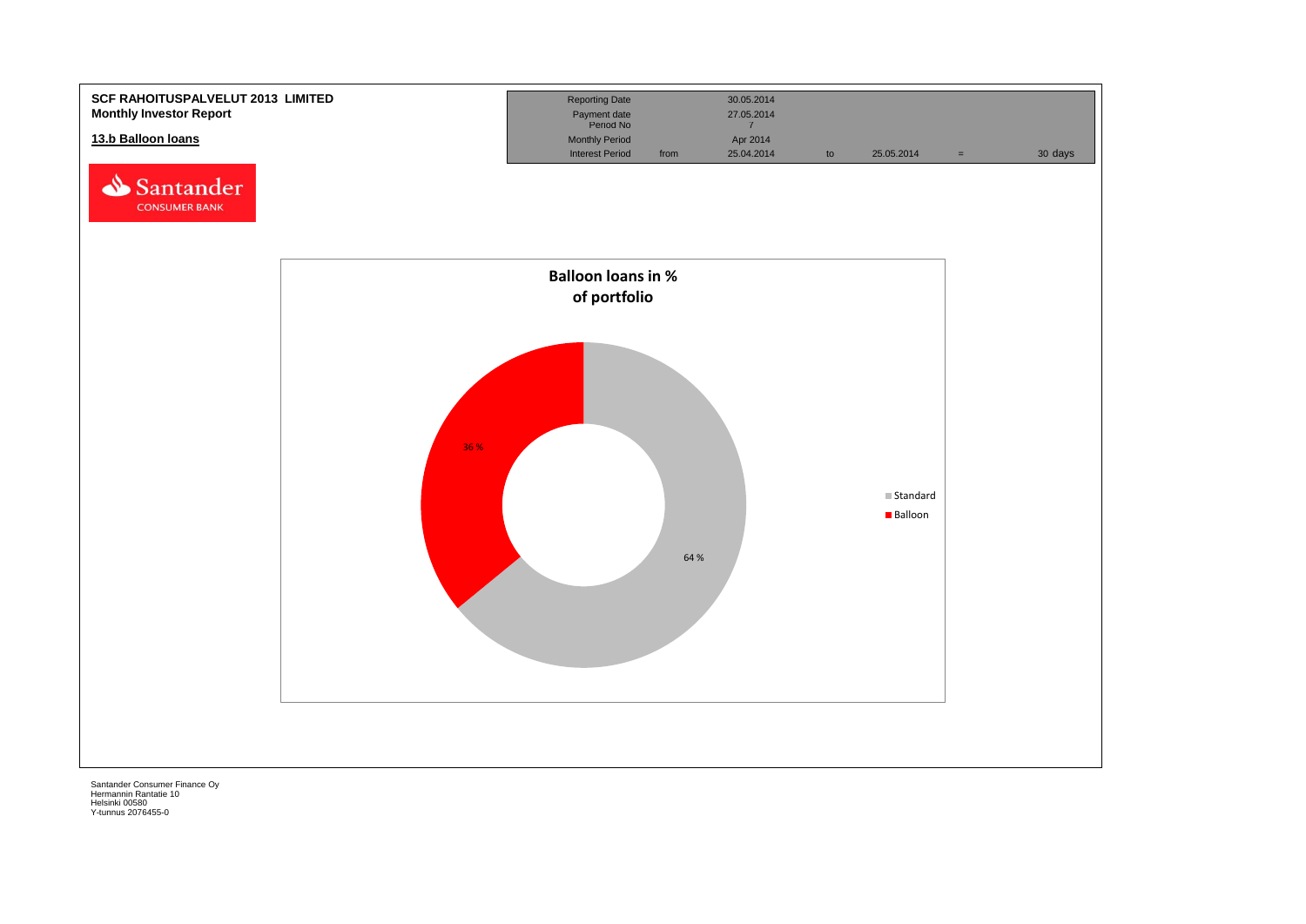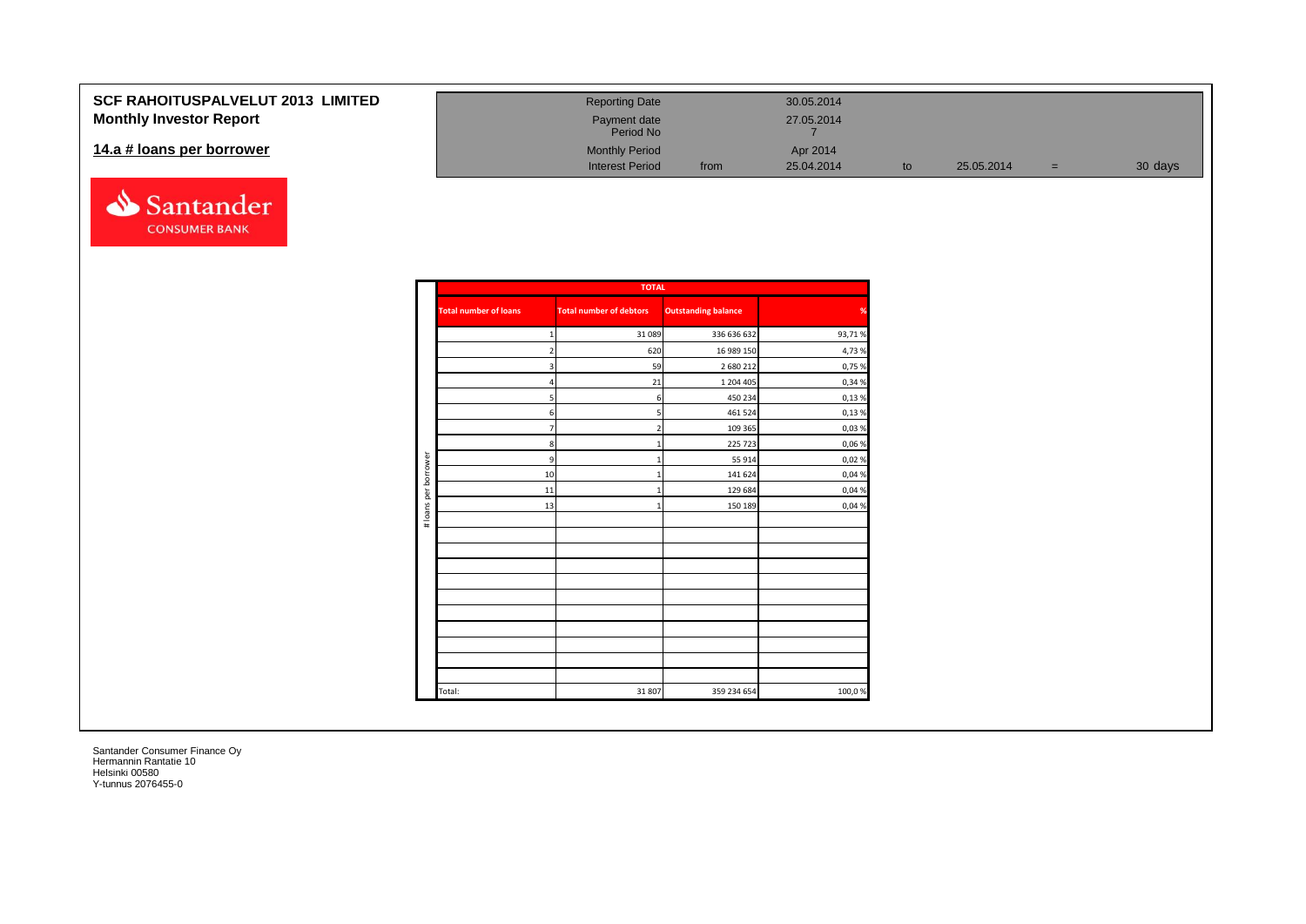#### **SCF RAHOITUSPALVELUT Monthly Investor Report**

#### 14.a # loans per borrower



| <b>2013 LIMITED</b> | <b>Reporting Date</b>     |      | 30.05.2014 |    |            |   |         |
|---------------------|---------------------------|------|------------|----|------------|---|---------|
|                     | Payment date<br>Period No |      | 27.05.2014 |    |            |   |         |
|                     | <b>Monthly Period</b>     |      | Apr 2014   |    |            |   |         |
|                     | <b>Interest Period</b>    | from | 25.04.2014 | to | 25.05.2014 | = | 30 days |

|                      |                              | <b>TOTAL</b>                   |                            |        |
|----------------------|------------------------------|--------------------------------|----------------------------|--------|
|                      | <b>Total number of loans</b> | <b>Total number of debtors</b> | <b>Outstanding balance</b> | %      |
|                      |                              | 31 0 89                        | 336 636 632                | 93,71% |
|                      | $\overline{2}$               | 620                            | 16 989 150                 | 4,73%  |
|                      | 3                            | 59                             | 2 680 212                  | 0,75 % |
|                      | 4                            | 21                             | 1 204 405                  | 0,34 % |
|                      | 5                            | 6                              | 450 234                    | 0,13%  |
|                      | 6                            | 5                              | 461 524                    | 0,13%  |
|                      | $\overline{7}$               | $\overline{2}$                 | 109 365                    | 0,03%  |
|                      | 8                            | 1                              | 225 723                    | 0,06 % |
| # loans per borrower | 9                            | $\mathbf{1}$                   | 55 914                     | 0,02%  |
|                      | 10                           | 1                              | 141 624                    | 0,04 % |
|                      | 11                           |                                | 129 684                    | 0,04 % |
|                      | 13                           | $\mathbf{1}$                   | 150 189                    | 0,04 % |
|                      |                              |                                |                            |        |
|                      |                              |                                |                            |        |
|                      |                              |                                |                            |        |
|                      |                              |                                |                            |        |
|                      |                              |                                |                            |        |
|                      |                              |                                |                            |        |
|                      |                              |                                |                            |        |
|                      |                              |                                |                            |        |
|                      |                              |                                |                            |        |
|                      |                              |                                |                            |        |
|                      |                              |                                |                            |        |
|                      | Total:                       | 31 807                         | 359 234 654                | 100,0% |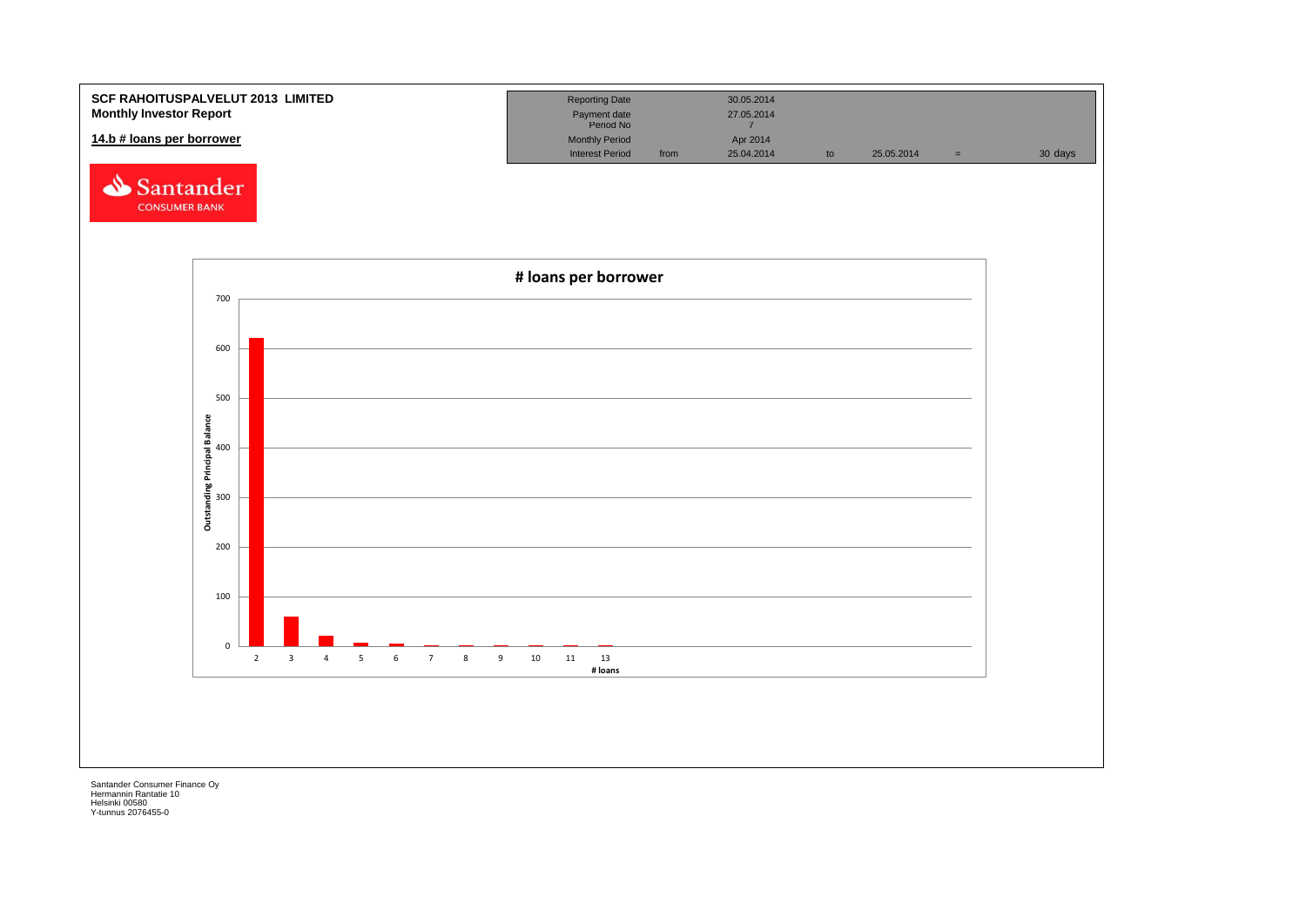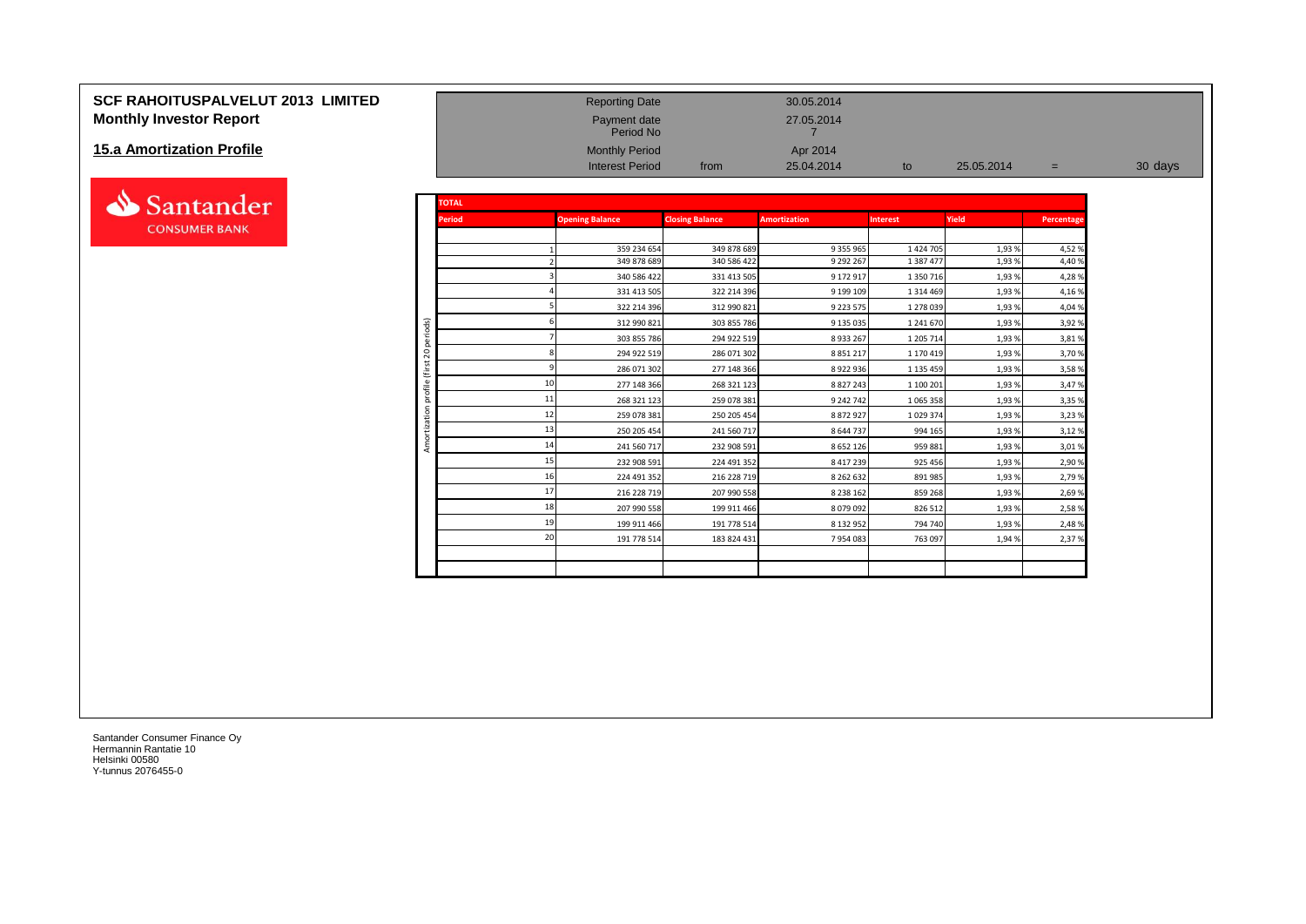# **SCF RAHOITUSPALVELUT 2013 LIMITED** Reporting Date 30.05.2014 **Monthly Investor Report Payment date** 27.05.2014

#### **15.a Amortization Profile**



| <b>Monthly Investor Report</b> |                        |               | Payment date<br>Period No                       |                        | 27.05.2014             |                 |            |            |         |
|--------------------------------|------------------------|---------------|-------------------------------------------------|------------------------|------------------------|-----------------|------------|------------|---------|
| 15.a Amortization Profile      |                        |               | <b>Monthly Period</b><br><b>Interest Period</b> | from                   | Apr 2014<br>25.04.2014 | to              | 25.05.2014 | $=$        | 30 days |
| Santander                      |                        | <b>TOTAL</b>  |                                                 |                        |                        |                 |            |            |         |
| <b>CONSUMER BANK</b>           |                        | <b>Period</b> | <b>Opening Balance</b>                          | <b>Closing Balance</b> | <b>Amortization</b>    | <b>Interest</b> | Yield      | Percentage |         |
|                                |                        |               | 359 234 654                                     | 349 878 689            | 9 355 965              | 1 4 2 4 7 0 5   | 1,93%      | 4,52 %     |         |
|                                |                        |               | 349 878 689                                     | 340 586 422            | 9 292 267              | 1 387 477       | 1,93%      | 4,40%      |         |
|                                |                        |               | 340 586 422                                     | 331 413 505            | 9 172 917              | 1 350 716       | 1,93%      | 4,28%      |         |
|                                |                        |               | 331 413 505                                     | 322 214 396            | 9 199 109              | 1 3 1 4 4 6 9   | 1,93%      | 4,16 %     |         |
|                                |                        |               | 322 214 396                                     | 312 990 821            | 9 223 575              | 1 278 039       | 1,93%      | 4,04 %     |         |
|                                |                        |               | 312 990 821                                     | 303 855 786            | 9 135 035              | 1 241 670       | 1,93%      | 3,92 %     |         |
|                                | periods)               |               | 303 855 786                                     | 294 922 519            | 8 9 3 2 6 7            | 1 205 714       | 1,93%      | 3,81 %     |         |
|                                | $\overline{c}$         |               | 294 922 519                                     | 286 071 302            | 8 8 5 1 2 1 7          | 1 170 419       | 1,93%      | 3,70%      |         |
|                                | €                      |               | 286 071 302                                     | 277 148 366            | 8 9 2 2 9 3 6          | 1 1 3 4 4 5 9   | 1,93%      | 3,58%      |         |
|                                | profile                |               | 10<br>277 148 366                               | 268 321 123            | 8 8 2 7 2 4 3          | 1 100 201       | 1,93%      | 3,47 %     |         |
|                                |                        |               | 11<br>268 321 123                               | 259 078 381            | 9 242 742              | 1 0 6 5 3 5 8   | 1,93%      | 3,35 %     |         |
|                                | $\overline{5}$<br>zati |               | 12<br>259 078 381                               | 250 205 454            | 8 872 927              | 1 0 29 3 74     | 1,93%      | 3,23 %     |         |
|                                |                        |               | 13<br>250 205 454                               | 241 560 717            | 8 644 737              | 994 165         | 1,93%      | 3,12%      |         |
|                                | Amo                    |               | 14<br>241 560 717                               | 232 908 591            | 8 652 126              | 959 881         | 1,93%      | 3,01%      |         |
|                                |                        |               | 15<br>232 908 591                               | 224 491 352            | 8 417 239              | 925 456         | 1,93%      | 2,90%      |         |
|                                |                        |               | 16<br>224 491 352                               | 216 228 719            | 8 2 6 2 6 3 2          | 891 985         | 1,93%      | 2,79 %     |         |
|                                |                        |               | 17<br>216 228 719                               | 207 990 558            | 8 2 3 8 1 6 2          | 859 268         | 1,93%      | 2,69 %     |         |
|                                |                        |               | 18<br>207 990 558                               | 199 911 466            | 8 079 092              | 826 512         | 1,93%      | 2,58%      |         |
|                                |                        |               | 19<br>199 911 466                               | 191 778 514            | 8 132 952              | 794 740         | 1,93%      | 2,48%      |         |
|                                |                        |               | 20<br>191 778 514                               | 183 824 431            | 7954083                | 763 097         | 1,94%      | 2,37 %     |         |
|                                |                        |               |                                                 |                        |                        |                 |            |            |         |
|                                |                        |               |                                                 |                        |                        |                 |            |            |         |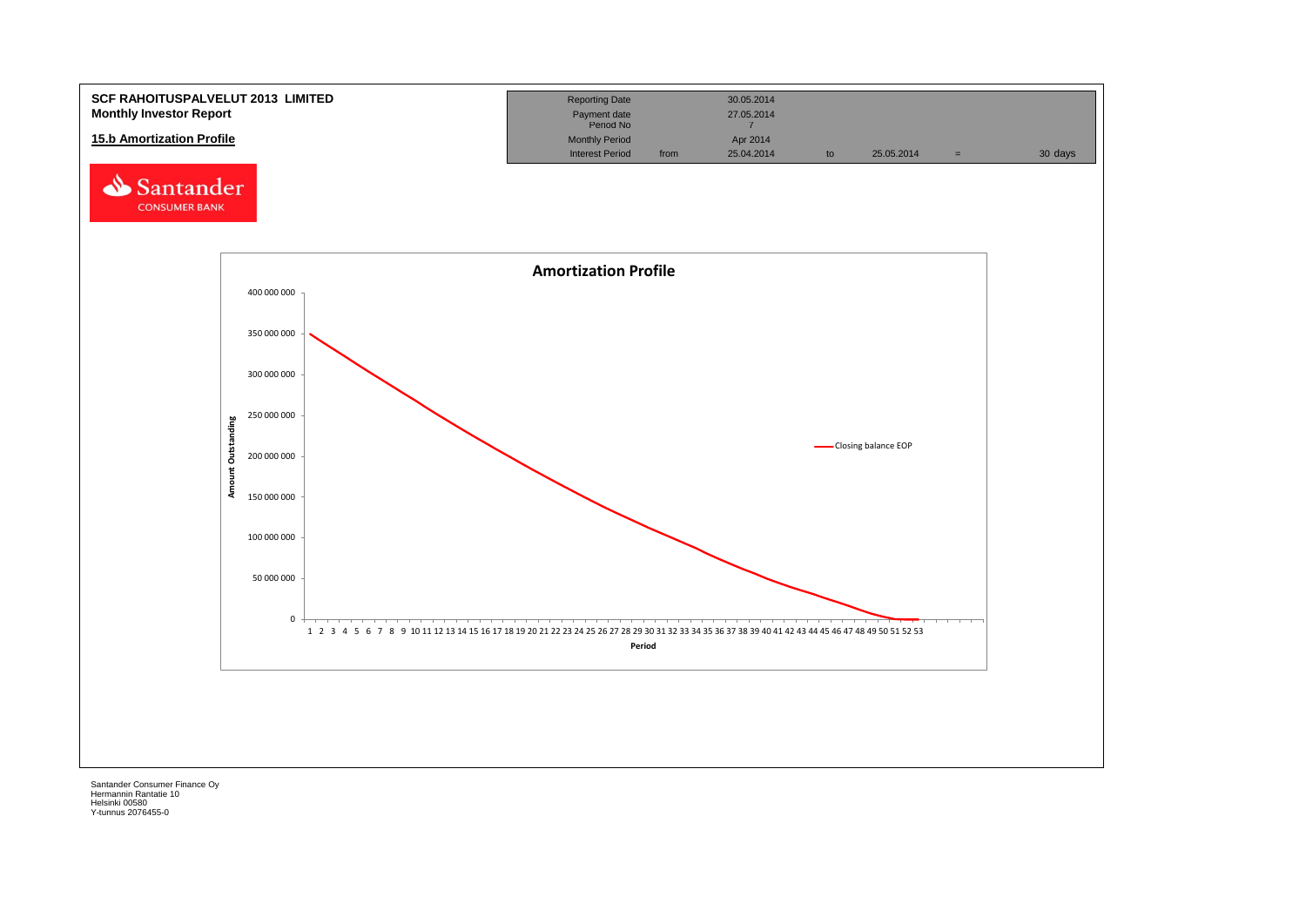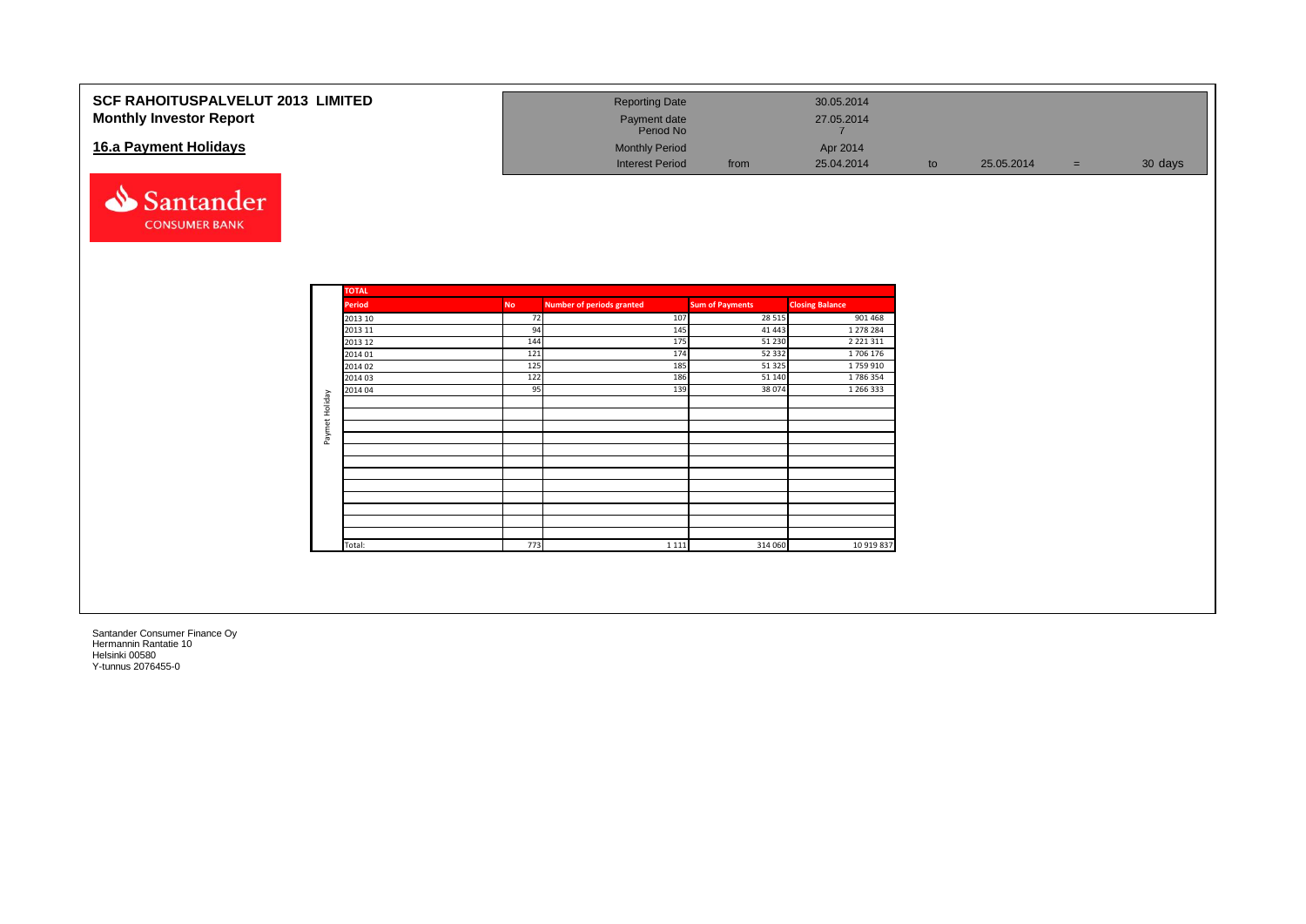| <b>SCF RAHOITUSPALVELUT 2013 LIMITED</b><br><b>Monthly Investor Report</b><br>16.a Payment Holidays |              |           | <b>Reporting Date</b><br>Payment date<br>Period No<br><b>Monthly Period</b> |                        |                   | 30.05.2014<br>27.05.2014<br>7<br>Apr 2014 |    |            |     |         |
|-----------------------------------------------------------------------------------------------------|--------------|-----------|-----------------------------------------------------------------------------|------------------------|-------------------|-------------------------------------------|----|------------|-----|---------|
| N<br>Santander<br><b>CONSUMER BANK</b>                                                              |              |           | <b>Interest Period</b>                                                      |                        | from              | 25.04.2014                                | to | 25.05.2014 | $=$ | 30 days |
|                                                                                                     | <b>TOTAL</b> |           |                                                                             |                        |                   |                                           |    |            |     |         |
|                                                                                                     | Period       | <b>No</b> | <b>Number of periods granted</b>                                            | <b>Sum of Payments</b> |                   | <b>Closing Balance</b>                    |    |            |     |         |
|                                                                                                     | 2013 10      |           | 72<br>107                                                                   |                        | 28 5 15           | 901 468                                   |    |            |     |         |
|                                                                                                     | 2013 11      |           | 94<br>145                                                                   |                        | 41 4 43           | 1 278 284                                 |    |            |     |         |
|                                                                                                     | 2013 12      | 144       | 175<br>174                                                                  |                        | 51 230<br>52 3 32 | 2 2 2 1 3 1 1                             |    |            |     |         |
|                                                                                                     | 2014 01      | 121       |                                                                             |                        |                   | 1706 176                                  |    |            |     |         |
|                                                                                                     | 2014 02      | 125       | 185                                                                         |                        | 51 3 25           | 1759 910<br>1786354                       |    |            |     |         |
|                                                                                                     | 2014 03      | 122       | 186<br>95<br>139                                                            |                        | 51 140<br>38 0 74 | 1 266 333                                 |    |            |     |         |
|                                                                                                     | 2014 04      |           |                                                                             |                        |                   |                                           |    |            |     |         |
|                                                                                                     |              |           |                                                                             |                        |                   |                                           |    |            |     |         |
|                                                                                                     |              |           |                                                                             |                        |                   |                                           |    |            |     |         |
| Paymet Holiday                                                                                      |              |           |                                                                             |                        |                   |                                           |    |            |     |         |
|                                                                                                     |              |           |                                                                             |                        |                   |                                           |    |            |     |         |
|                                                                                                     |              |           |                                                                             |                        |                   |                                           |    |            |     |         |
|                                                                                                     |              |           |                                                                             |                        |                   |                                           |    |            |     |         |
|                                                                                                     |              |           |                                                                             |                        |                   |                                           |    |            |     |         |
|                                                                                                     |              |           |                                                                             |                        |                   |                                           |    |            |     |         |
|                                                                                                     |              |           |                                                                             |                        |                   |                                           |    |            |     |         |
|                                                                                                     |              |           |                                                                             |                        |                   |                                           |    |            |     |         |
|                                                                                                     |              |           |                                                                             |                        |                   |                                           |    |            |     |         |
|                                                                                                     | Total:       | 773       | 1 1 1 1                                                                     |                        | 314 060           | 10 919 837                                |    |            |     |         |
|                                                                                                     |              |           |                                                                             |                        |                   |                                           |    |            |     |         |
|                                                                                                     |              |           |                                                                             |                        |                   |                                           |    |            |     |         |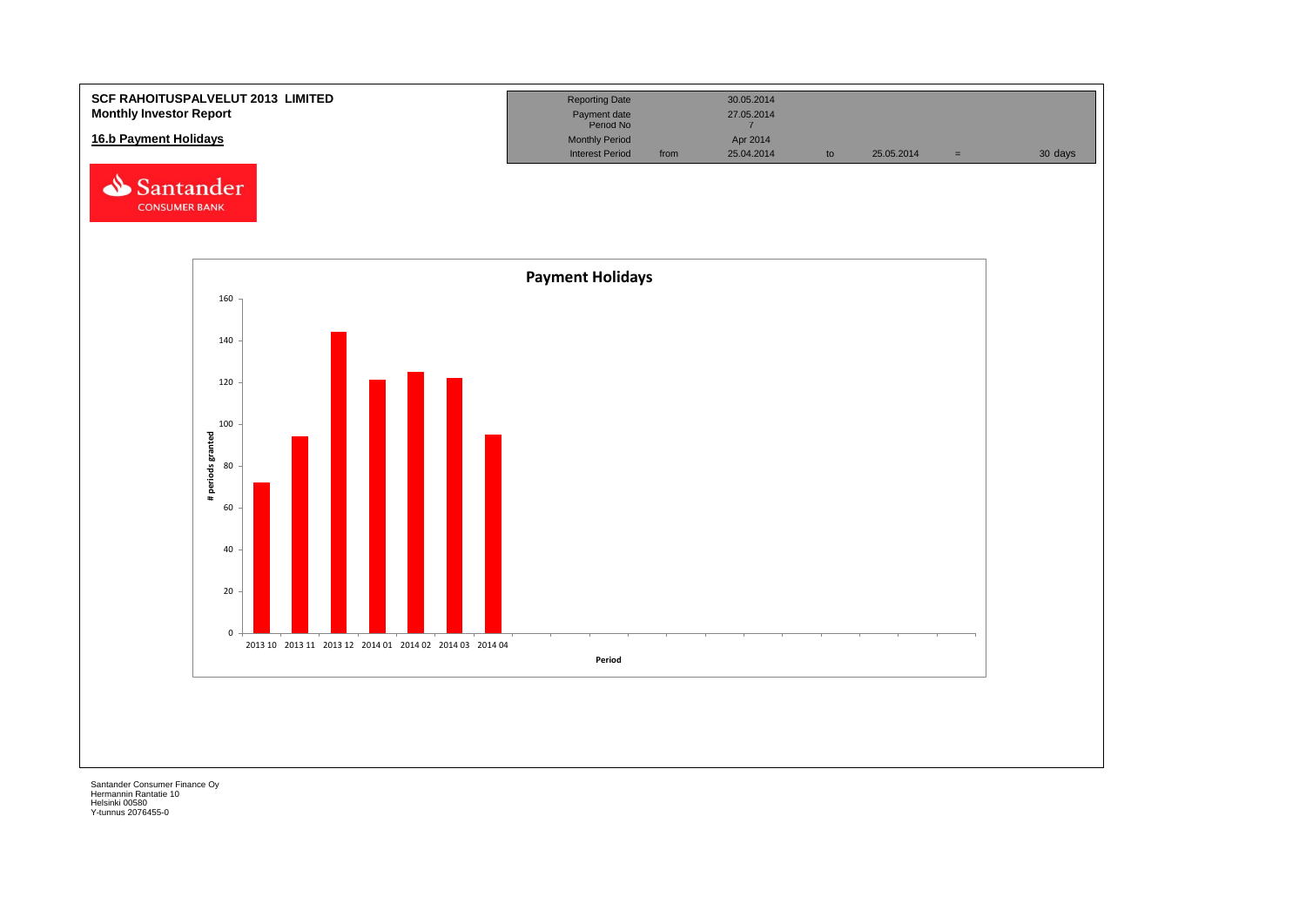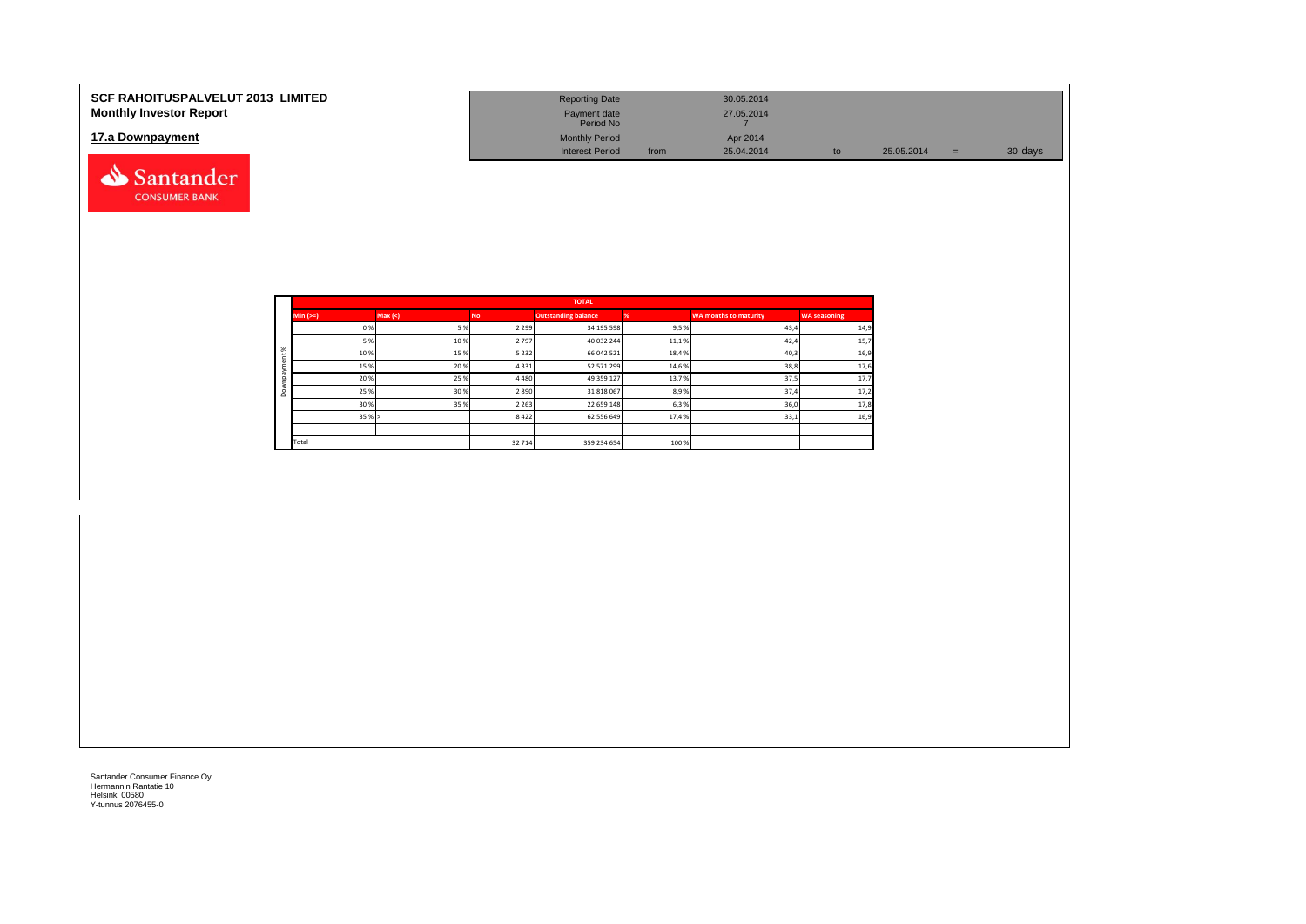| <b>SCF RAHOITUSPALVELUT 2013 LIMITED</b><br><b>Monthly Investor Report</b> | <b>Reporting Date</b><br>Payment date<br>Period No |      | 30.05.2014<br>27.05.2014 |    |            |     |         |
|----------------------------------------------------------------------------|----------------------------------------------------|------|--------------------------|----|------------|-----|---------|
| 17.a Downpayment                                                           | <b>Monthly Period</b><br><b>Interest Period</b>    | from | Apr 2014<br>25.04.2014   | to | 25.05.2014 | $=$ | 30 days |
| Santander                                                                  |                                                    |      |                          |    |            |     |         |

| <b>TOTAL</b><br>Max(<)<br><b>Outstanding balance</b><br>$Min (=)$<br><b>WA months to maturity</b><br><b>No</b><br>0%<br>2 2 9 9<br>34 195 598<br>9,5%<br>5%<br>5 %<br>10%<br>2797<br>40 032 244<br>11,1%<br>$\aleph$<br>10%<br>15%<br>5 2 3 2<br>66 042 521<br>18,4%<br>15%<br>20%<br>4 3 3 1<br>52 571 299<br>14,6%<br>20%<br>25%<br>4480<br>49 359 127<br>13,7% |       |     |         |             |       |      |                     |
|-------------------------------------------------------------------------------------------------------------------------------------------------------------------------------------------------------------------------------------------------------------------------------------------------------------------------------------------------------------------|-------|-----|---------|-------------|-------|------|---------------------|
|                                                                                                                                                                                                                                                                                                                                                                   |       |     |         |             |       |      | <b>WA seasoning</b> |
|                                                                                                                                                                                                                                                                                                                                                                   |       |     |         |             |       | 43,4 | 14,9                |
|                                                                                                                                                                                                                                                                                                                                                                   |       |     |         |             |       | 42,4 | 15,7                |
|                                                                                                                                                                                                                                                                                                                                                                   |       |     |         |             |       | 40,3 | 16,9                |
|                                                                                                                                                                                                                                                                                                                                                                   |       |     |         |             |       | 38,8 | 17,6                |
|                                                                                                                                                                                                                                                                                                                                                                   |       |     |         |             |       | 37,5 | 17,7                |
| ۵                                                                                                                                                                                                                                                                                                                                                                 | 25 %  | 30% | 2890    | 31 818 067  | 8,9%  | 37,4 | 17,2                |
|                                                                                                                                                                                                                                                                                                                                                                   | 30%   | 35% | 2 2 6 3 | 22 659 148  | 6,3%  | 36,0 | 17,8                |
|                                                                                                                                                                                                                                                                                                                                                                   | 35%   |     | 8422    | 62 556 649  | 17,4% | 33,1 | 16,9                |
|                                                                                                                                                                                                                                                                                                                                                                   |       |     |         |             |       |      |                     |
|                                                                                                                                                                                                                                                                                                                                                                   | Total |     | 32 714  | 359 234 654 | 100 % |      |                     |

**CONSUMER BANK**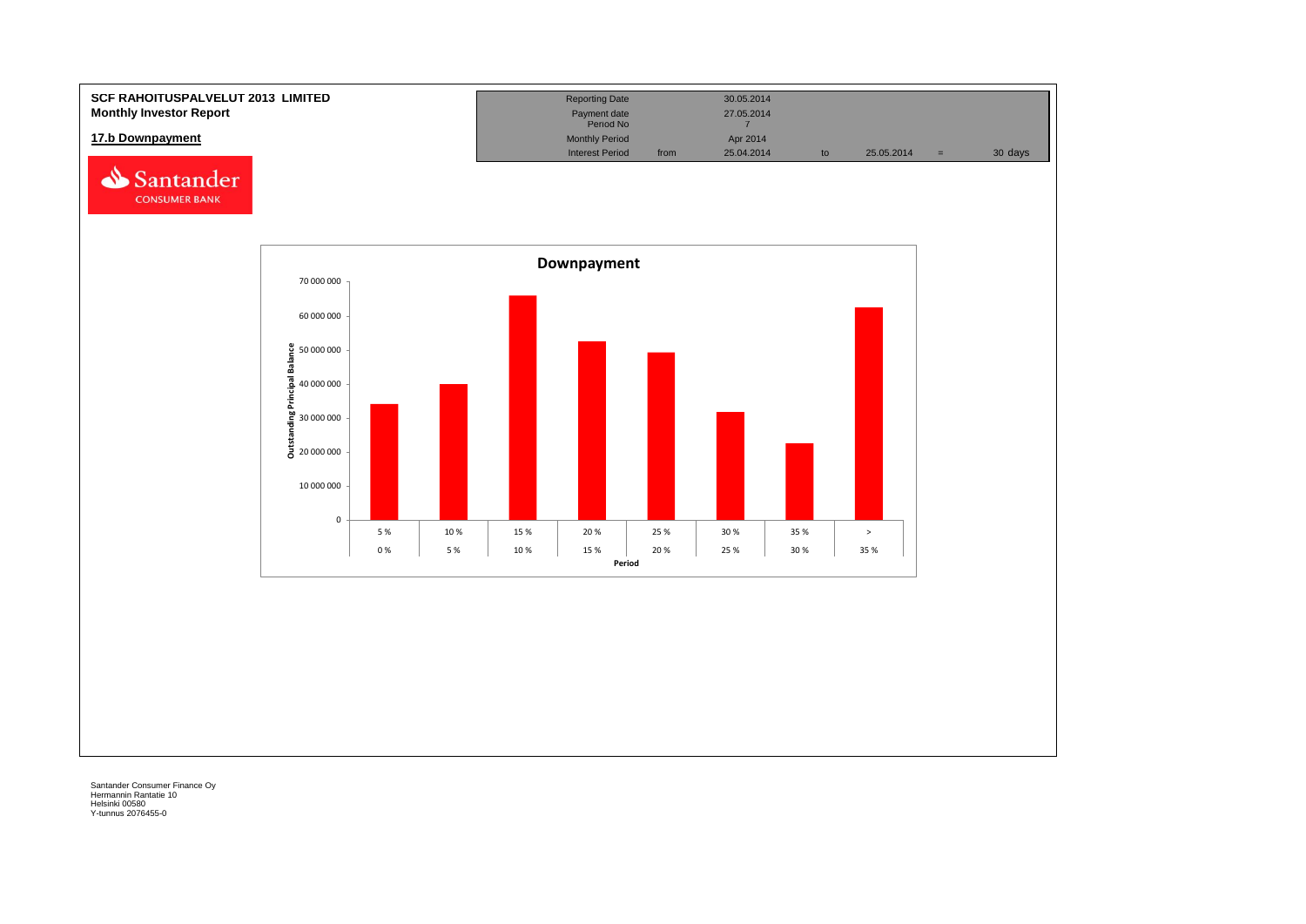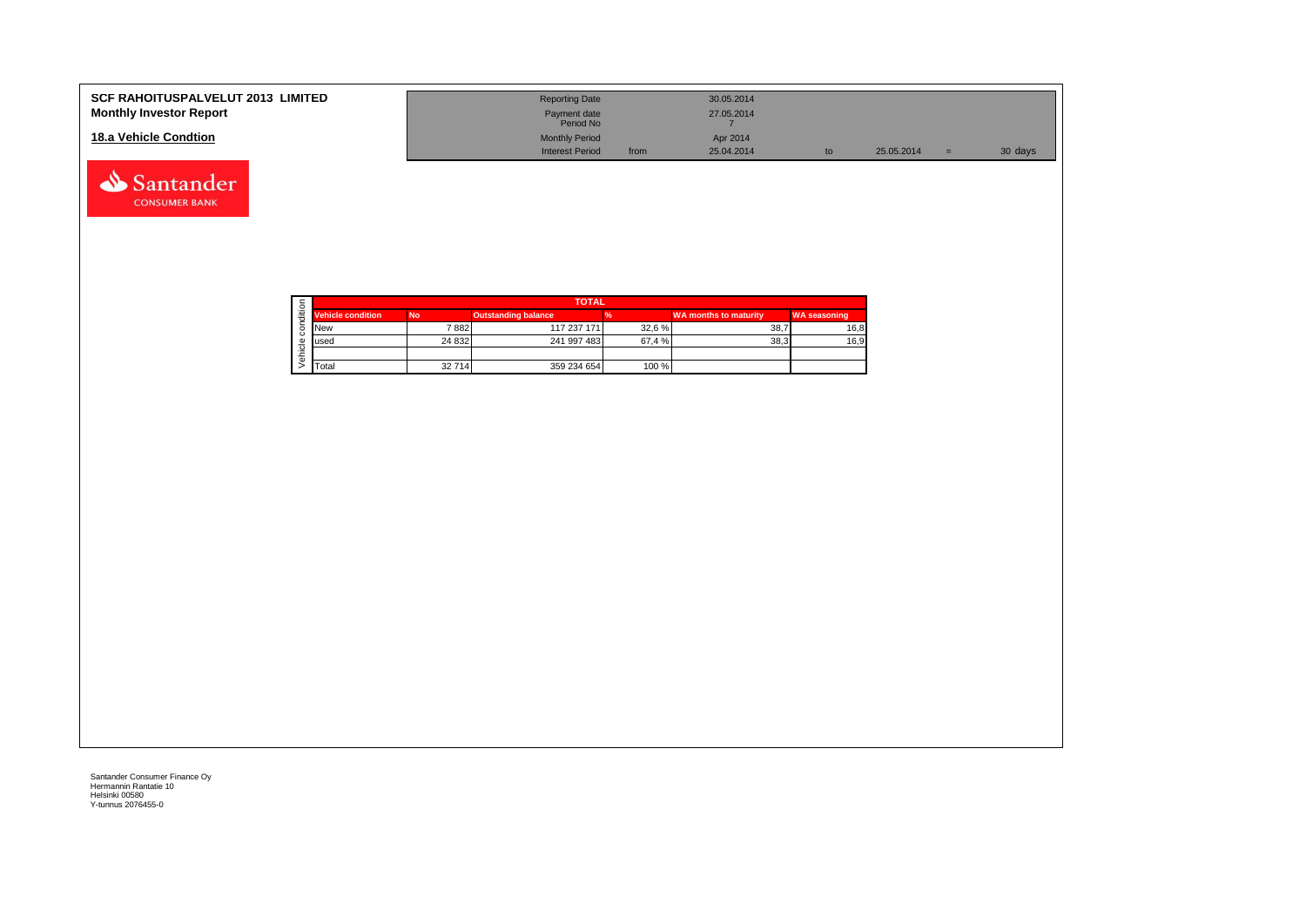| <b>SCF RAHOITUSPALVELUT 2013 LIMITED</b><br><b>Monthly Investor Report</b> | <b>Reporting Date</b><br>Payment date<br>Period No |      | 30.05.2014<br>27.05.2014 |    |            |     |         |
|----------------------------------------------------------------------------|----------------------------------------------------|------|--------------------------|----|------------|-----|---------|
| 18.a Vehicle Condtion                                                      | <b>Monthly Period</b><br><b>Interest Period</b>    | from | Apr 2014<br>25.04.2014   | to | 25.05.2014 | $=$ | 30 days |

|   |                          |           | <b>TOTAL</b>               |        |                              |                     |
|---|--------------------------|-----------|----------------------------|--------|------------------------------|---------------------|
| ≝ | <b>Vehicle condition</b> | <b>No</b> | <b>Outstanding balance</b> |        | <b>WA months to maturity</b> | <b>WA seasoning</b> |
|   | <b>INew</b>              | 7 882     | 117 237 171                | 32,6%  | 38.7                         | 16,8                |
|   | lused                    | 24 8 32   | 241 997 483                | 67,4 % | 38.3                         | 16,9                |
|   |                          |           |                            |        |                              |                     |
|   | <b>T</b> otal            | 32714     | 359 234 654                | 100 %  |                              |                     |

Santander **CONSUMER BANK**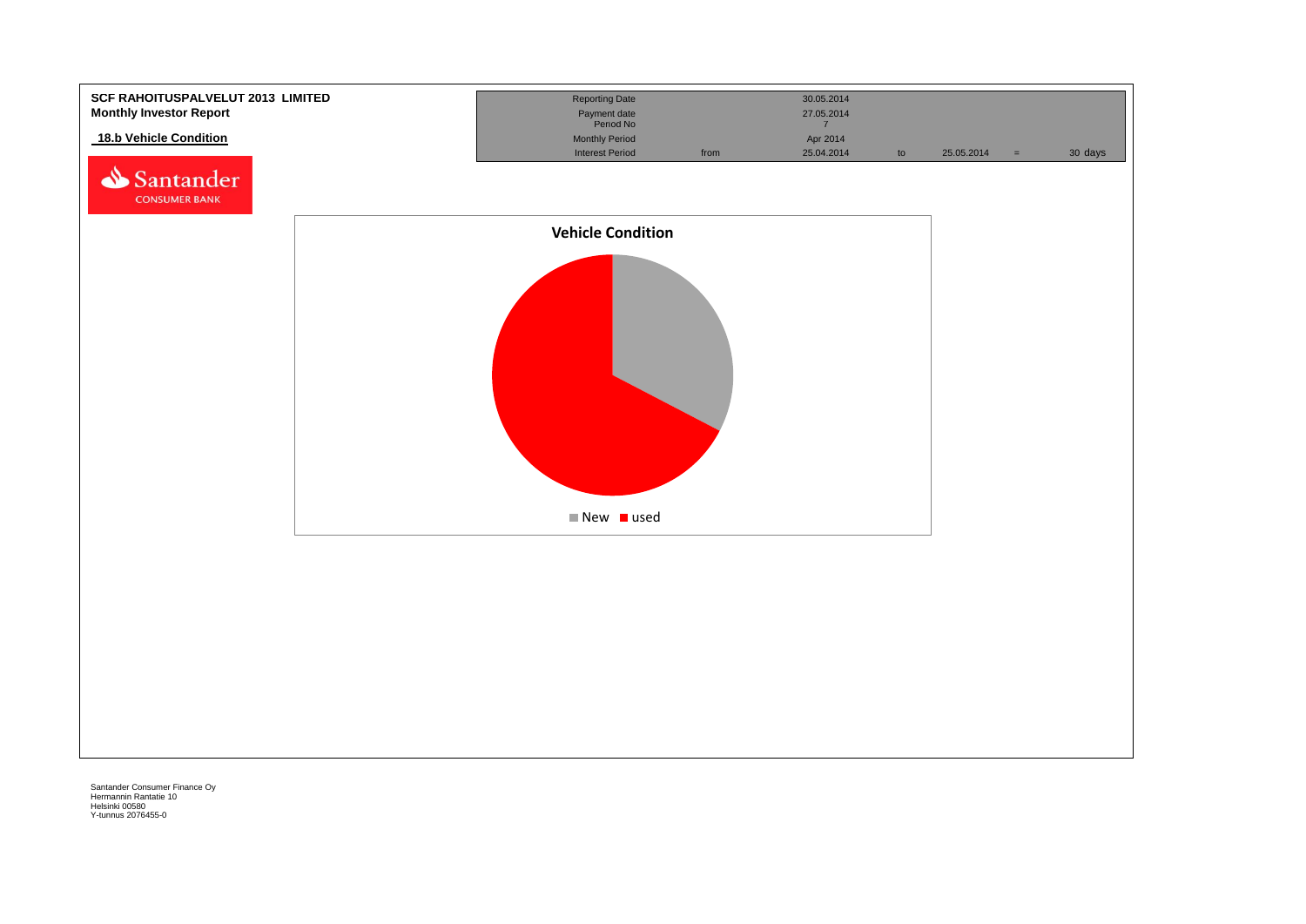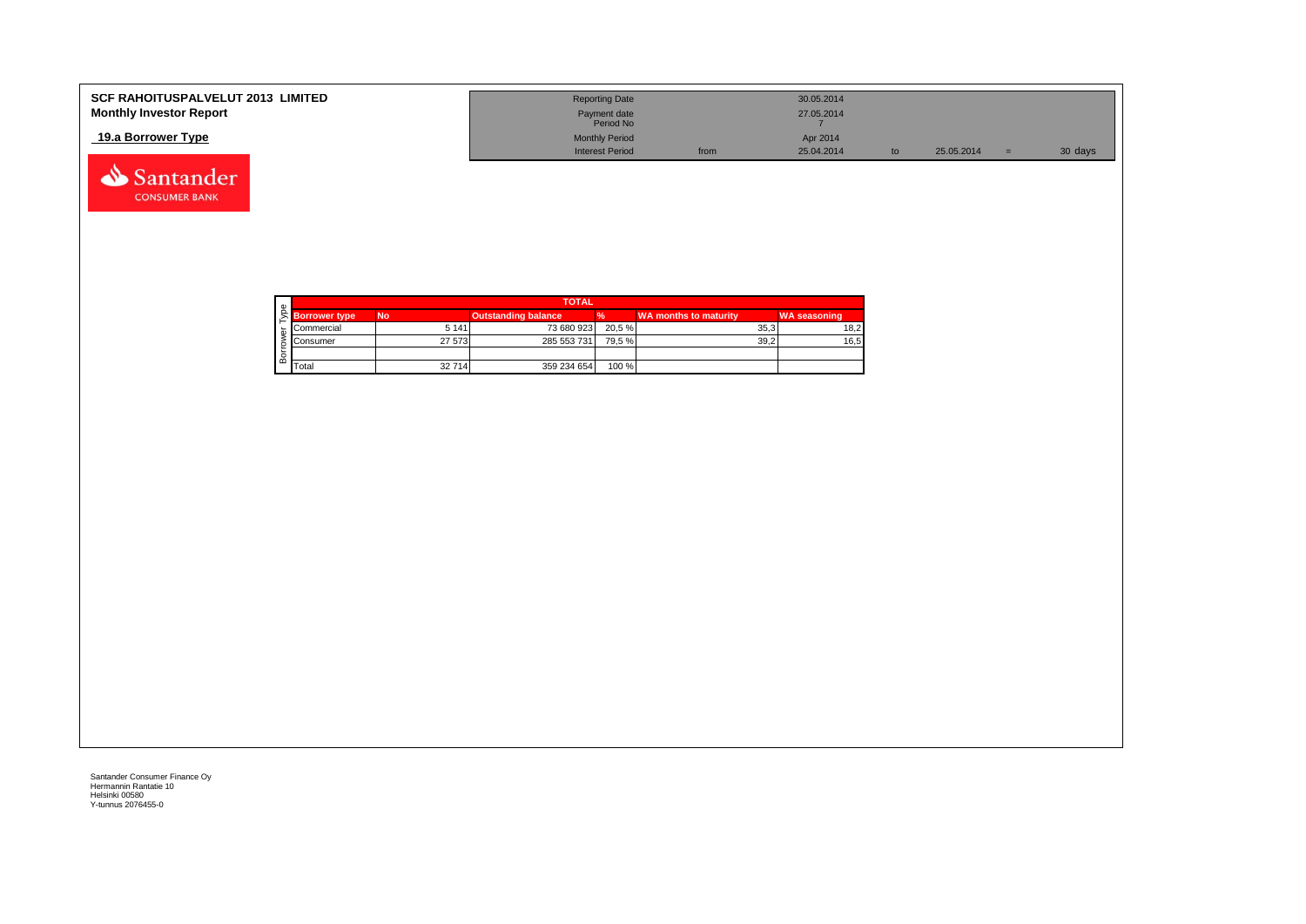| <b>SCF RAHOITUSPALVELUT 2013 LIMITED</b> | <b>Reporting Date</b>     |      | 30.05.2014 |    |            |         |
|------------------------------------------|---------------------------|------|------------|----|------------|---------|
| <b>Monthly Investor Report</b>           | Payment date<br>Period No |      | 27.05.2014 |    |            |         |
| 19.a Borrower Type                       | <b>Monthly Period</b>     |      | Apr 2014   |    |            |         |
|                                          | <b>Interest Period</b>    | from | 25.04.2014 | to | 25.05.2014 | 30 days |



Santander **CONSUMER BANK**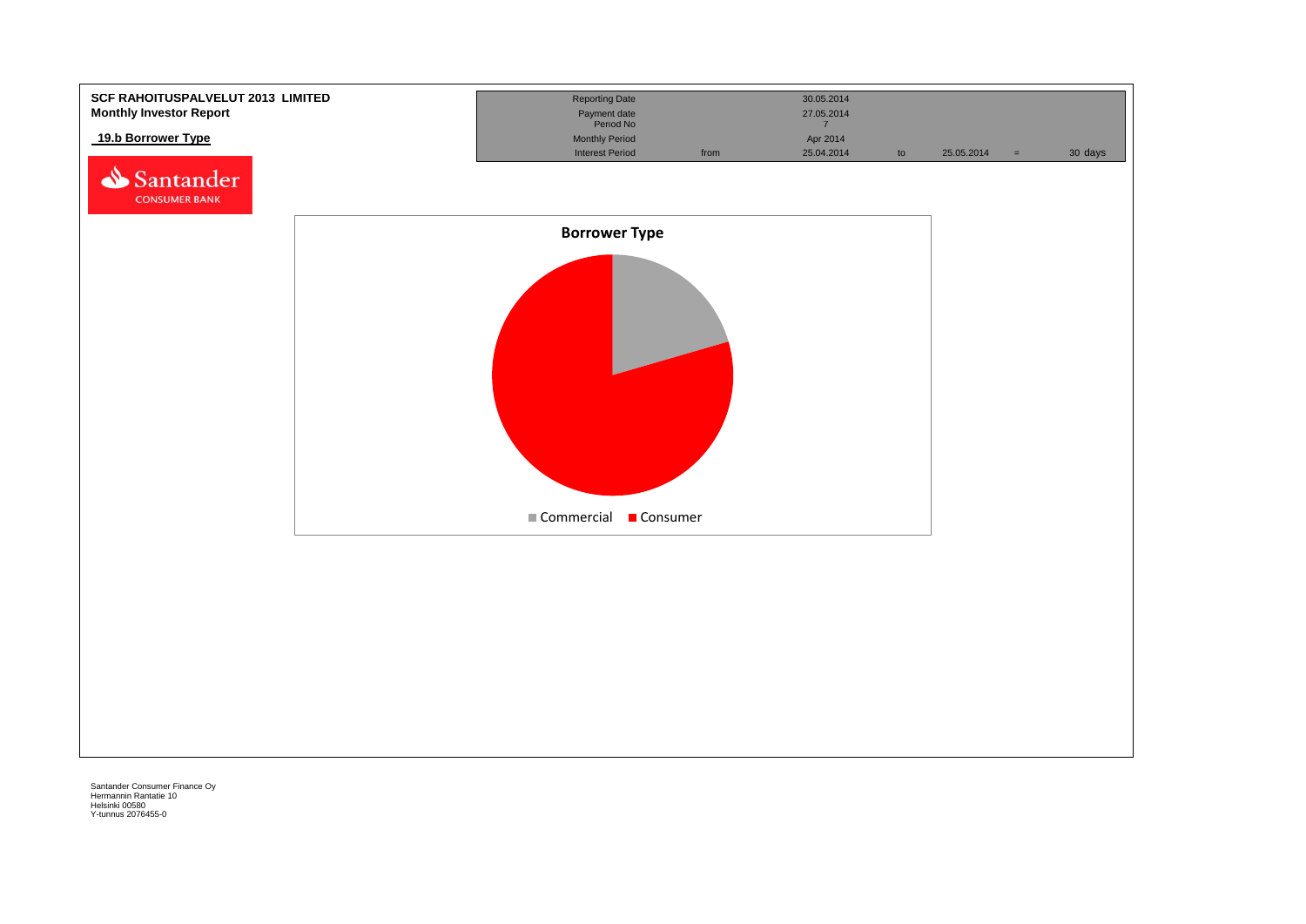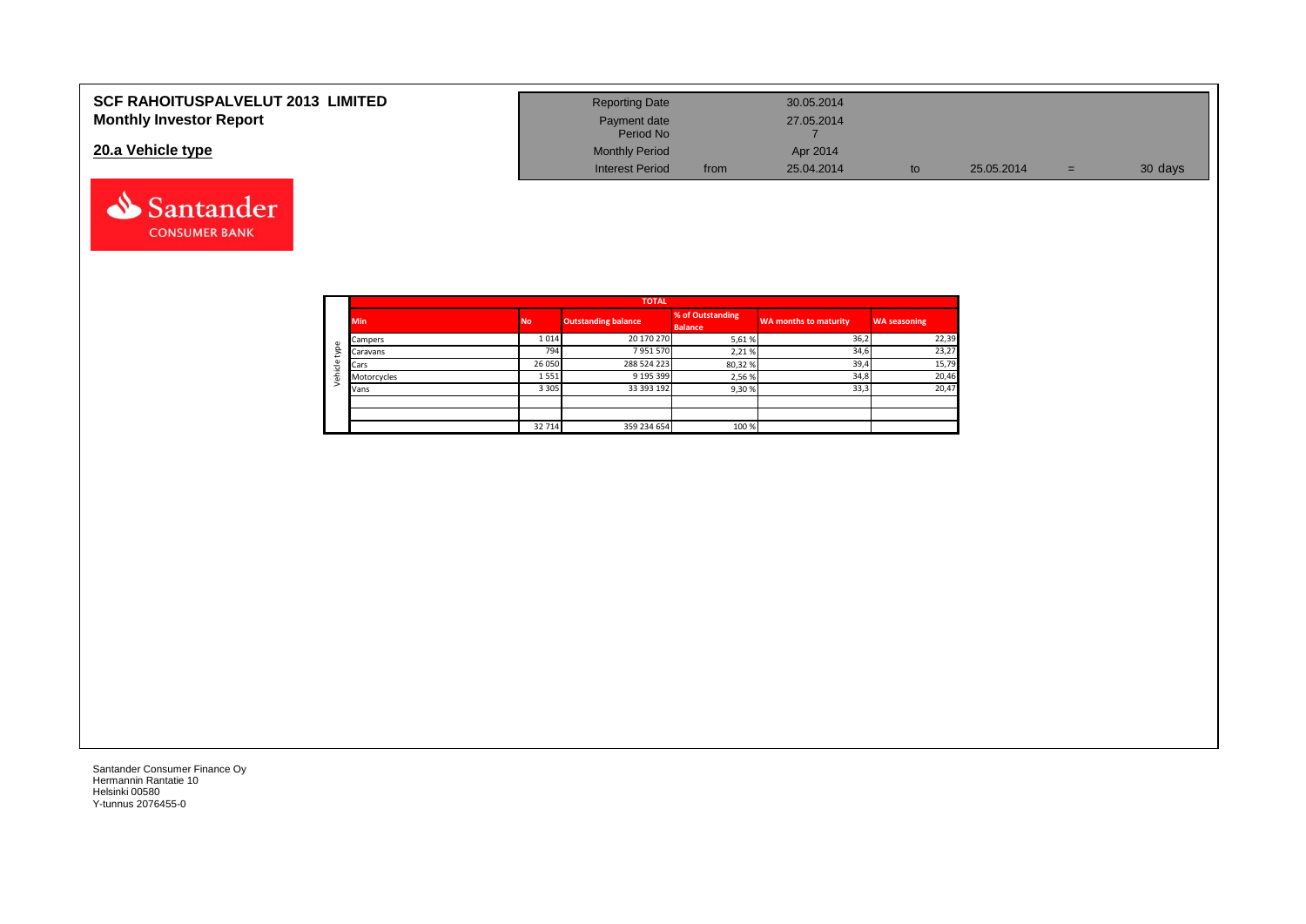| SCF RAHOITUSPALVELUT 2013 LIMITED | <b>Reporting Date</b>     |      | 30.05.2014 |    |            |         |
|-----------------------------------|---------------------------|------|------------|----|------------|---------|
| <b>Monthly Investor Report</b>    | Payment date<br>Period No |      | 27.05.2014 |    |            |         |
| 20.a Vehicle type                 | <b>Monthly Period</b>     |      | Apr 2014   |    |            |         |
|                                   | <b>Interest Period</b>    | from | 25.04.2014 | to | 25.05.2014 | 30 days |



Santander **CONSUMER BANK**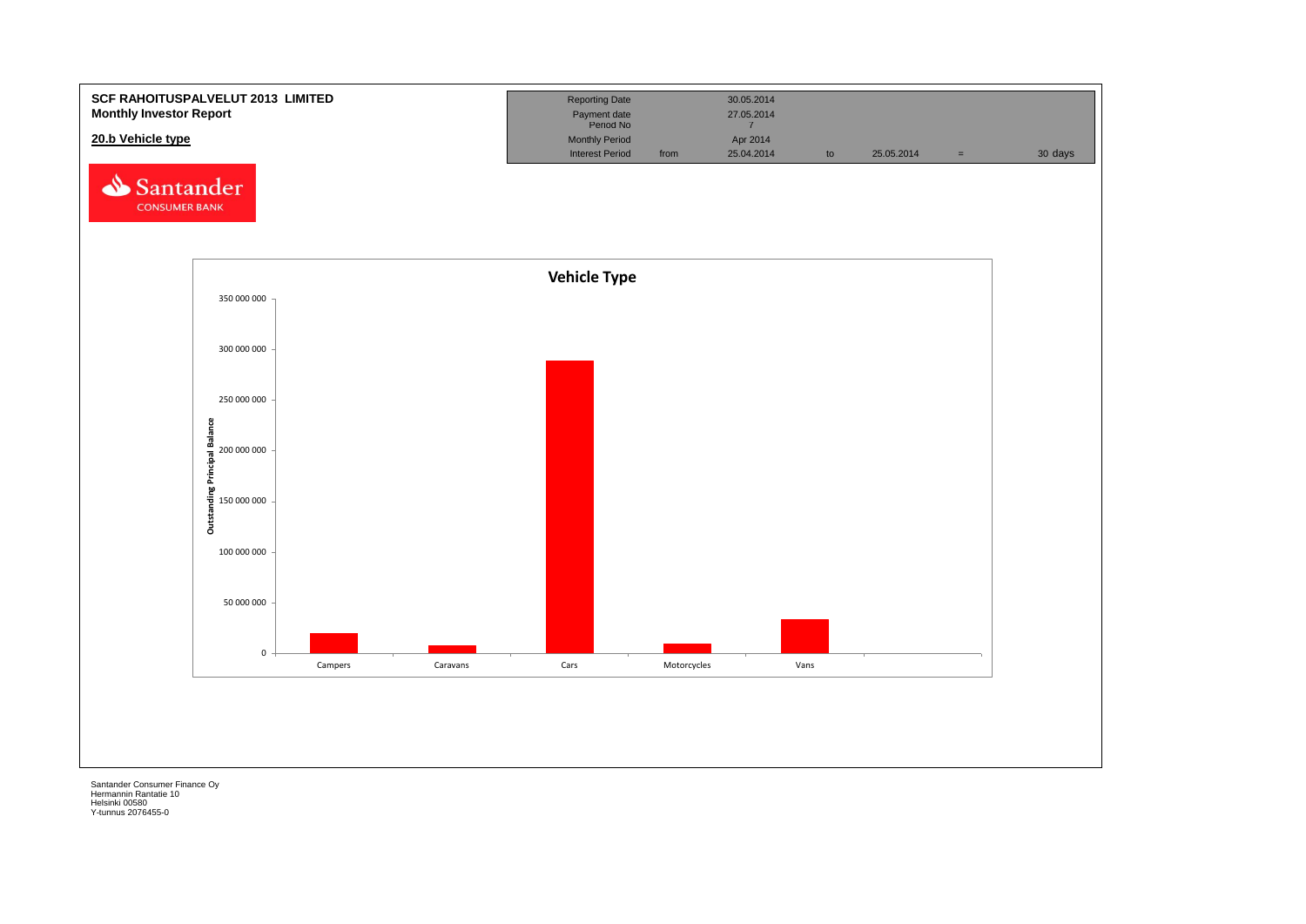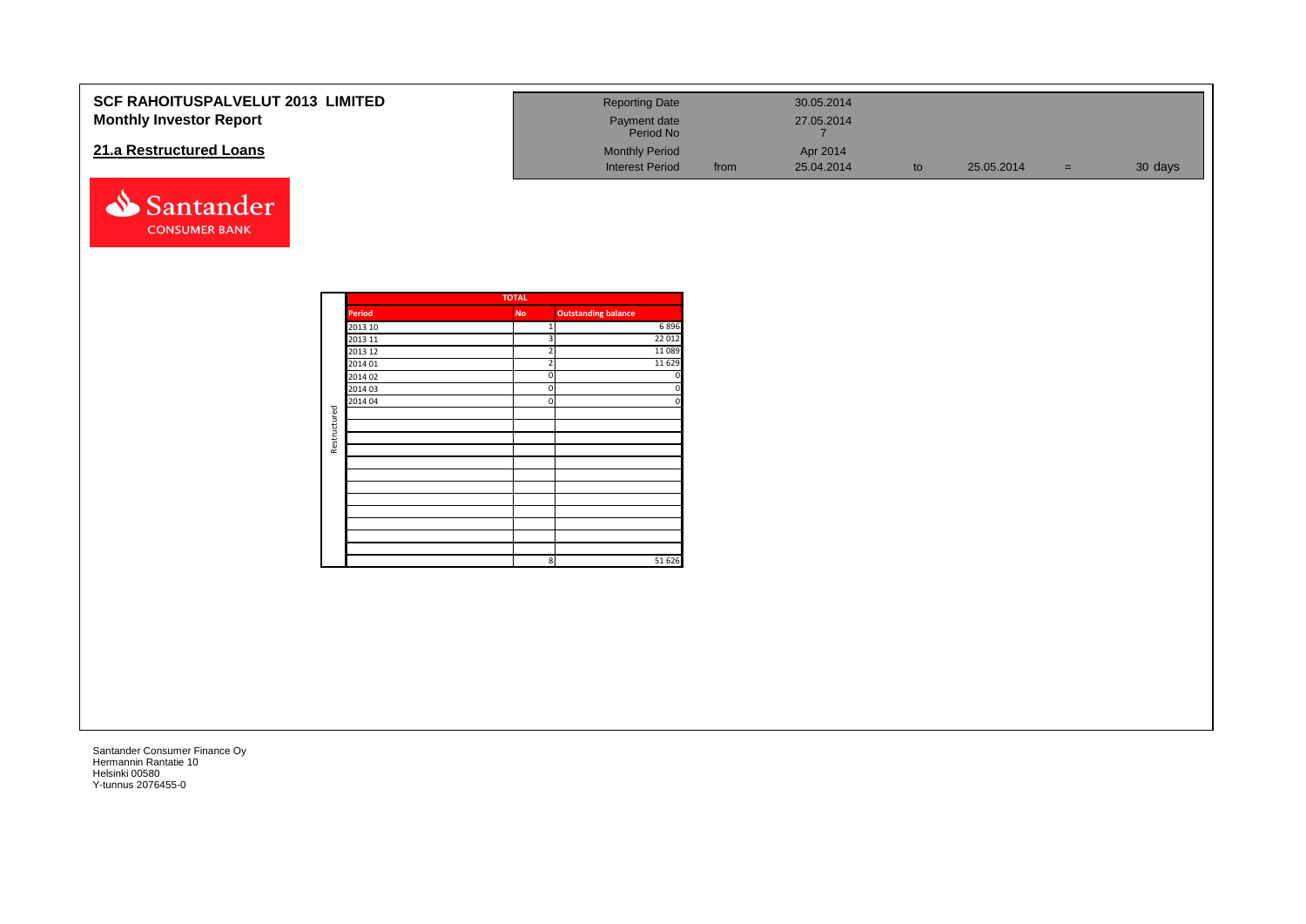| SCF RAHOITUSPALVELUT 2013 LIMITED<br><b>Monthly Investor Report</b><br>21.a Restructured Loans<br>Santander<br><b>CONSUMER BANK</b> |                                                                                     |                    | <b>Reporting Date</b><br>Payment date<br>Period No<br><b>Monthly Period</b><br><b>Interest Period</b>                                                              | from | 30.05.2014<br>27.05.2014<br>$\overline{7}$<br>Apr 2014<br>25.04.2014 | to | 25.05.2014 | $=$ . | 30 days |
|-------------------------------------------------------------------------------------------------------------------------------------|-------------------------------------------------------------------------------------|--------------------|--------------------------------------------------------------------------------------------------------------------------------------------------------------------|------|----------------------------------------------------------------------|----|------------|-------|---------|
| Restructured                                                                                                                        | Period<br>2013 10<br>2013 11<br>2013 12<br>2014 01<br>2014 02<br>2014 03<br>2014 04 | <b>TOTAL</b><br>No | <b>Outstanding balance</b><br>6896<br>22 012<br>11 0 8 9<br>$\overline{\phantom{a}}$<br>11 6 29<br>$\Omega$<br>$\mathbf 0$<br>$\Omega$<br>51 626<br>8 <sup>1</sup> |      |                                                                      |    |            |       |         |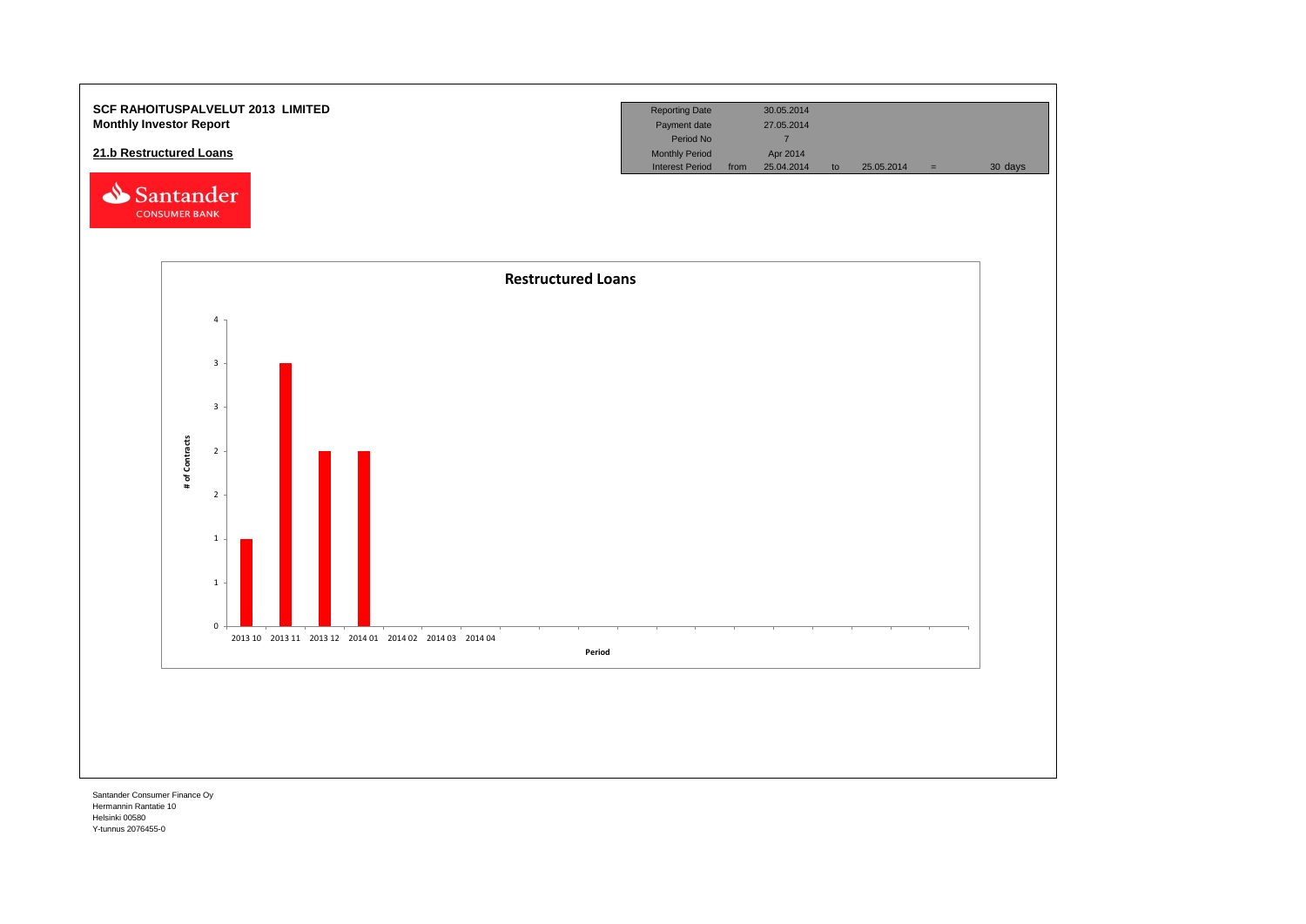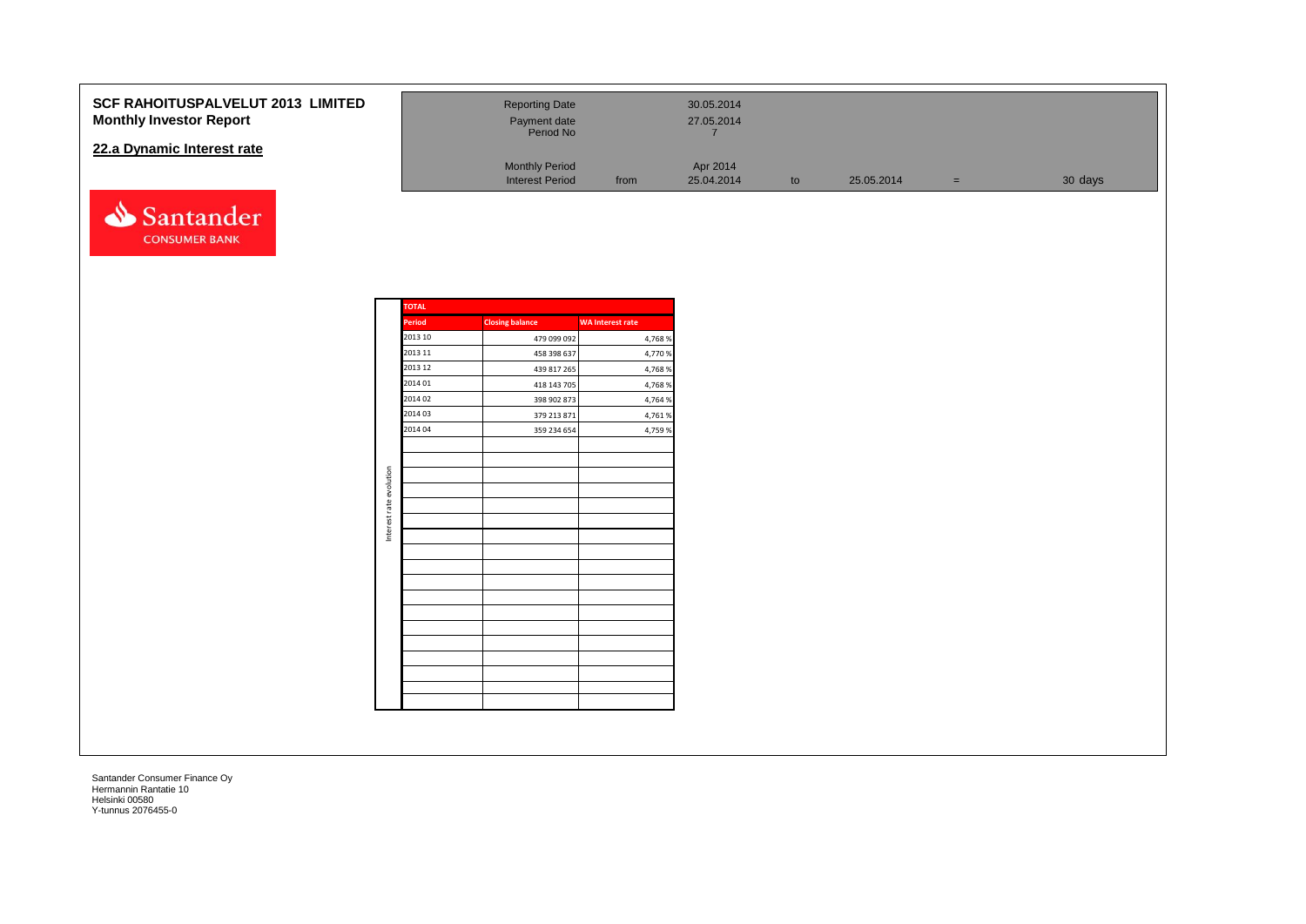#### **SCF RAHOITUSPALVELUT 2013 Monthly Investor Report**

#### **22.a Dynamic Interest rate**



| <b>LIMITED</b> | <b>Reporting Date</b><br>Payment date<br>Period No |      | 30.05.2014<br>27.05.2014 |    |            |     |         |
|----------------|----------------------------------------------------|------|--------------------------|----|------------|-----|---------|
|                | <b>Monthly Period</b><br><b>Interest Period</b>    | from | Apr 2014<br>25.04.2014   | to | 25.05.2014 | $=$ | 30 days |

| <b>TOTAL</b>  |                        |                         |
|---------------|------------------------|-------------------------|
| <b>Period</b> | <b>Closing balance</b> | <b>WA Interest rate</b> |
| 2013 10       | 479 099 092            | 4,768%                  |
| 2013 11       | 458 398 637            | 4,770 %                 |
| 2013 12       | 439 817 265            | 4,768 %                 |
| 2014 01       | 418 143 705            | 4,768%                  |
| 2014 02       | 398 902 873            | 4,764 %                 |
| 2014 03       | 379 213 871            | 4,761%                  |
| 2014 04       | 359 234 654            | 4,759 %                 |
|               |                        |                         |
|               |                        |                         |
|               |                        |                         |
|               |                        |                         |
|               |                        |                         |
|               |                        |                         |
|               |                        |                         |
|               |                        |                         |
|               |                        |                         |
|               |                        |                         |
|               |                        |                         |
|               |                        |                         |
|               |                        |                         |
|               |                        |                         |
|               |                        |                         |
|               |                        |                         |
|               |                        |                         |
|               |                        |                         |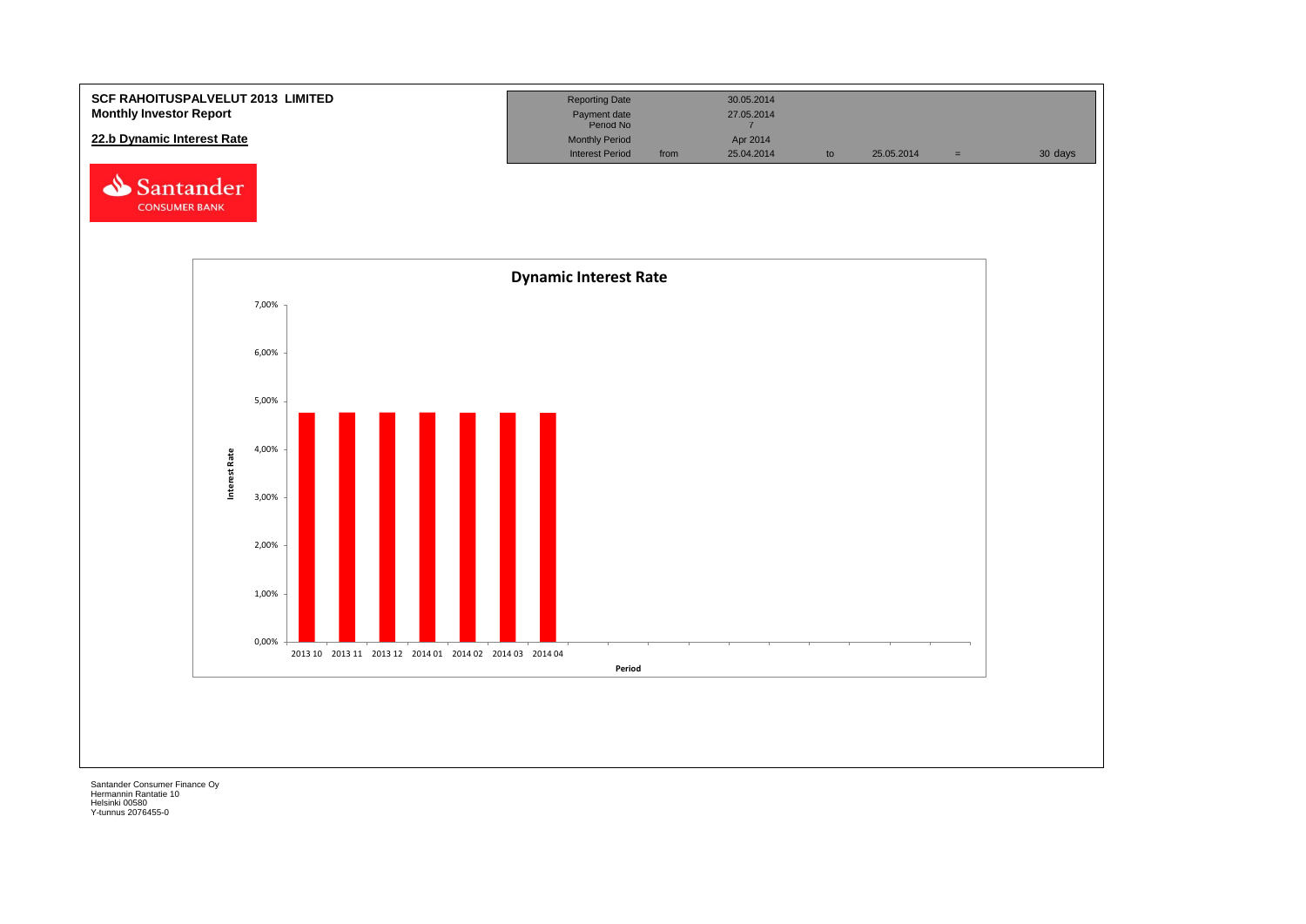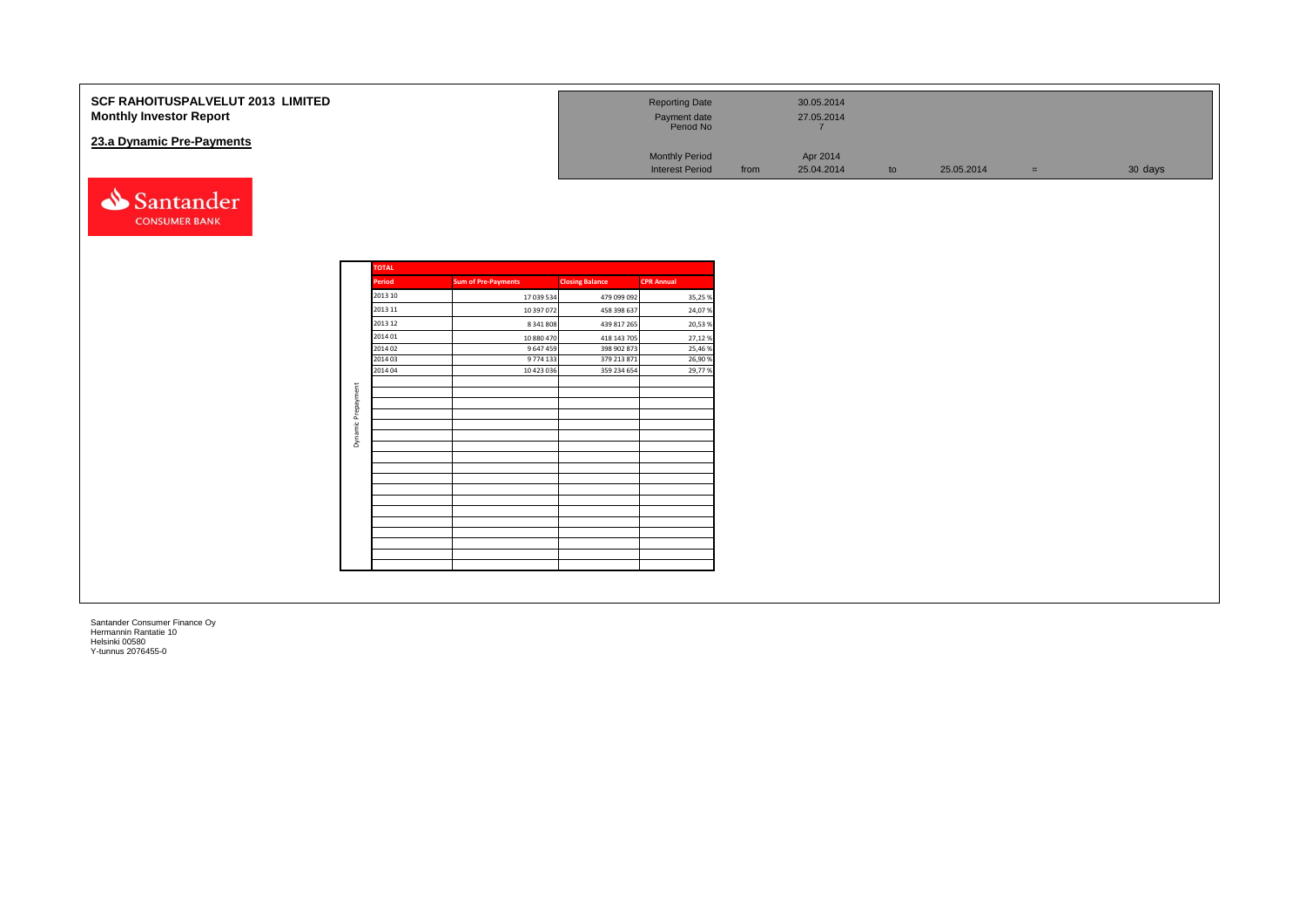| SCF RAHOITUSPALVELUT 2013 LIMITED<br><b>Monthly Investor Report</b><br>23.a Dynamic Pre-Payments |                    |                            |                            | <b>Reporting Date</b><br>Payment date<br>Period No<br><b>Monthly Period</b><br><b>Interest Period</b> | from | 30.05.2014<br>27.05.2014<br>$\overline{7}$<br>Apr 2014<br>25.04.2014 | to | 25.05.2014 | $=$ $\,$ | 30 days |
|--------------------------------------------------------------------------------------------------|--------------------|----------------------------|----------------------------|-------------------------------------------------------------------------------------------------------|------|----------------------------------------------------------------------|----|------------|----------|---------|
| Santander<br><b>CONSUMER BANK</b>                                                                | <b>TOTAL</b>       |                            |                            |                                                                                                       |      |                                                                      |    |            |          |         |
|                                                                                                  | Period             | <b>Sum of Pre-Payments</b> | <b>Closing Balance</b>     | <b>CPR Annual</b>                                                                                     |      |                                                                      |    |            |          |         |
|                                                                                                  | 2013 10            | 17 039 534                 | 479 099 092                | 35,25 %                                                                                               |      |                                                                      |    |            |          |         |
|                                                                                                  | 2013 11            | 10 397 072                 | 458 398 637                | 24,07%                                                                                                |      |                                                                      |    |            |          |         |
|                                                                                                  | 2013 12            | 8 341 808                  | 439 817 265                | 20,53 %                                                                                               |      |                                                                      |    |            |          |         |
|                                                                                                  | 2014 01            | 10 880 470                 | 418 143 705                | 27,12%                                                                                                |      |                                                                      |    |            |          |         |
|                                                                                                  | 2014 02            | 9 647 459                  | 398 902 873                | 25,46 %                                                                                               |      |                                                                      |    |            |          |         |
|                                                                                                  | 2014 03<br>2014 04 | 9 774 133<br>10 423 036    | 379 213 871<br>359 234 654 | 26,90 %<br>29,77%                                                                                     |      |                                                                      |    |            |          |         |
|                                                                                                  |                    |                            |                            |                                                                                                       |      |                                                                      |    |            |          |         |
| Prepayment                                                                                       |                    |                            |                            |                                                                                                       |      |                                                                      |    |            |          |         |
|                                                                                                  |                    |                            |                            |                                                                                                       |      |                                                                      |    |            |          |         |
| ੰ≝                                                                                               |                    |                            |                            |                                                                                                       |      |                                                                      |    |            |          |         |
|                                                                                                  |                    |                            |                            |                                                                                                       |      |                                                                      |    |            |          |         |
| Бmа                                                                                              |                    |                            |                            |                                                                                                       |      |                                                                      |    |            |          |         |
|                                                                                                  |                    |                            |                            |                                                                                                       |      |                                                                      |    |            |          |         |
|                                                                                                  |                    |                            |                            |                                                                                                       |      |                                                                      |    |            |          |         |
|                                                                                                  |                    |                            |                            |                                                                                                       |      |                                                                      |    |            |          |         |
|                                                                                                  |                    |                            |                            |                                                                                                       |      |                                                                      |    |            |          |         |
|                                                                                                  |                    |                            |                            |                                                                                                       |      |                                                                      |    |            |          |         |
|                                                                                                  |                    |                            |                            |                                                                                                       |      |                                                                      |    |            |          |         |
|                                                                                                  |                    |                            |                            |                                                                                                       |      |                                                                      |    |            |          |         |
|                                                                                                  |                    |                            |                            |                                                                                                       |      |                                                                      |    |            |          |         |
|                                                                                                  |                    |                            |                            |                                                                                                       |      |                                                                      |    |            |          |         |
|                                                                                                  |                    |                            |                            |                                                                                                       |      |                                                                      |    |            |          |         |
|                                                                                                  |                    |                            |                            |                                                                                                       |      |                                                                      |    |            |          |         |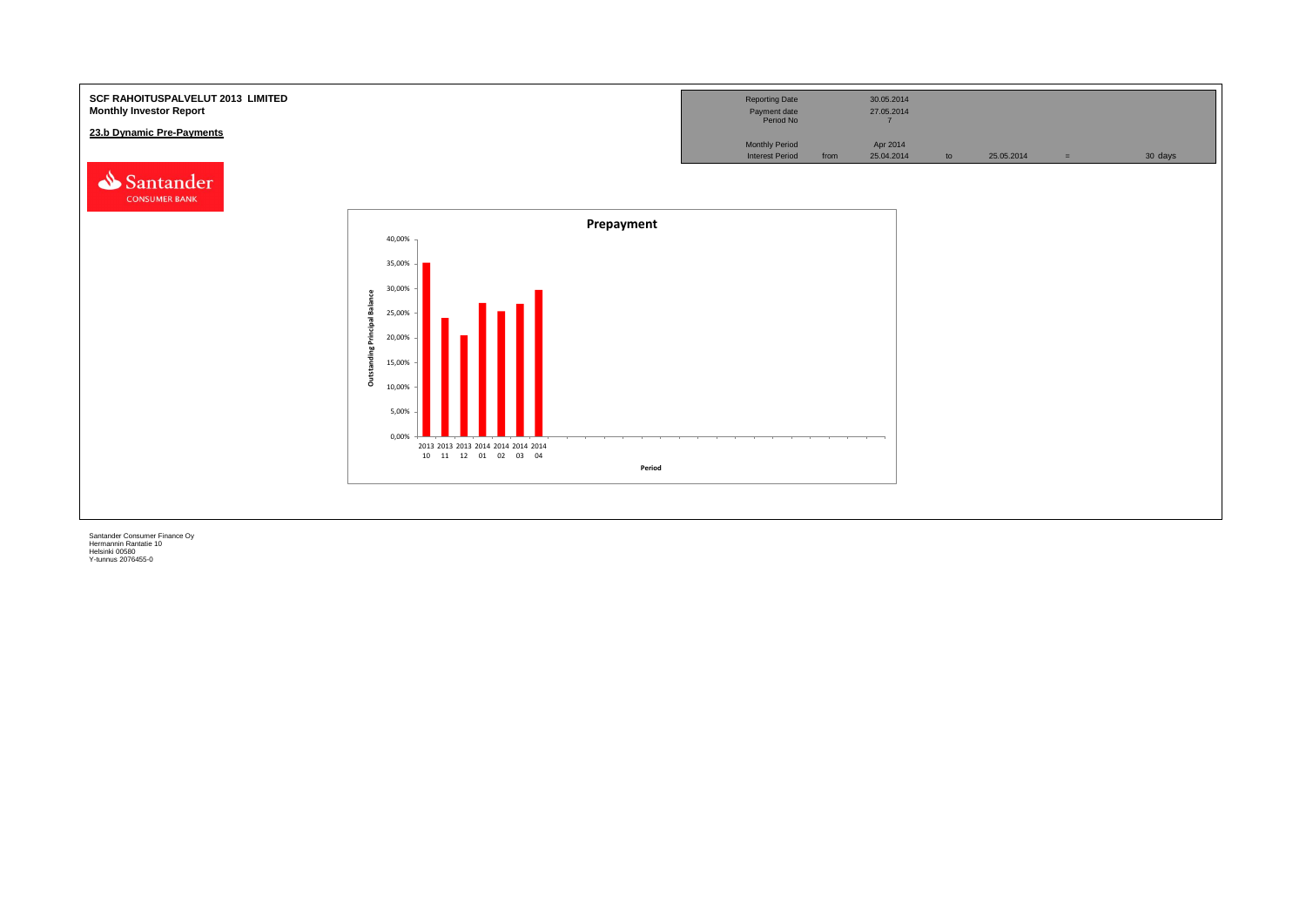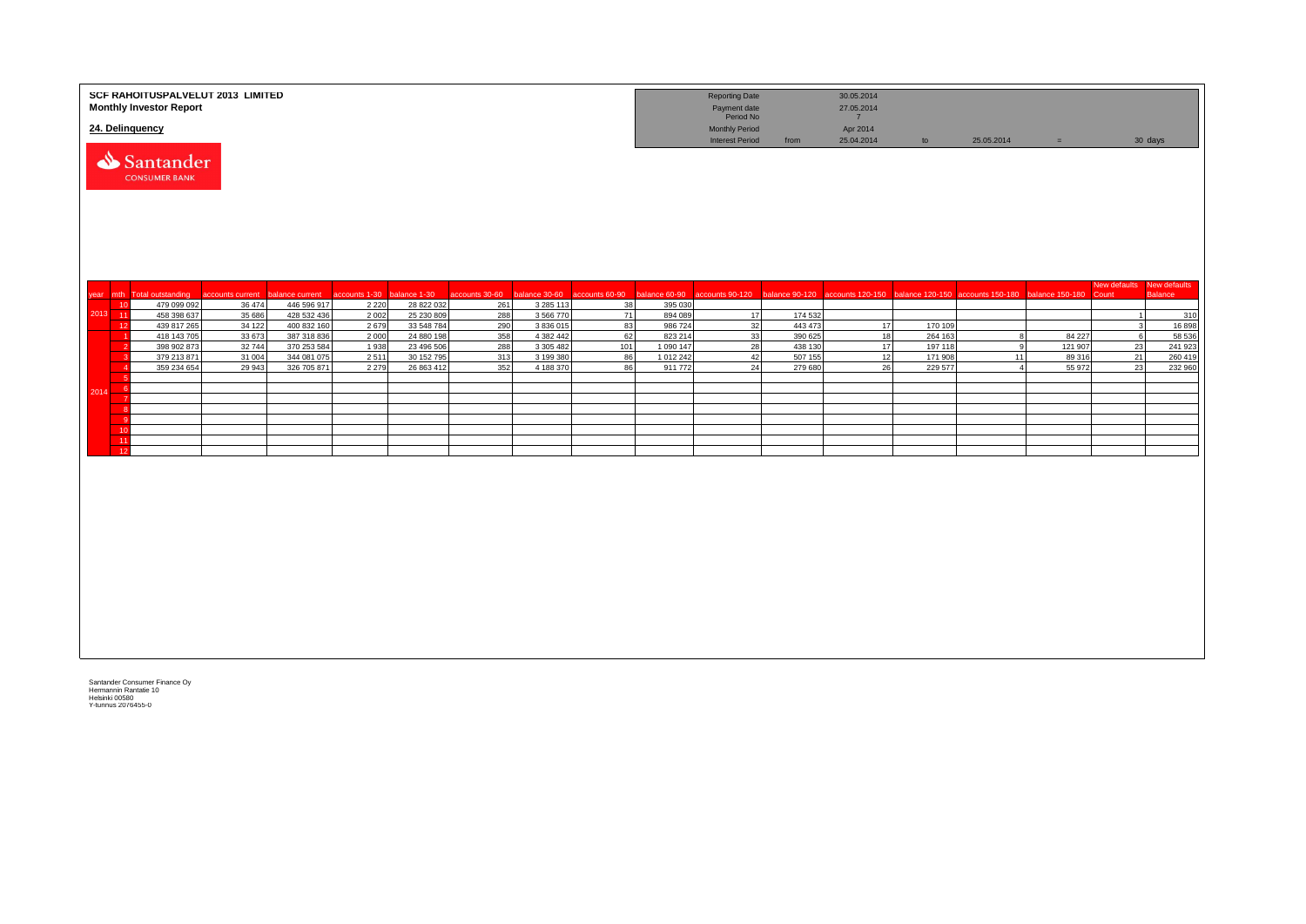|         | SCF RAHOITUSPALVELUT 2013 LIMITED<br><b>Monthly Investor Report</b><br>24. Delinquency |                            |                                |                          |                            |                                                    |                            |           |                      | <b>Reporting Date</b><br>Payment date<br>Period No<br><b>Monthly Period</b> |                    | 30.05.2014<br>27.05.2014<br>7<br>Apr 2014 |                    |                                                                   |                   |                           |                   |
|---------|----------------------------------------------------------------------------------------|----------------------------|--------------------------------|--------------------------|----------------------------|----------------------------------------------------|----------------------------|-----------|----------------------|-----------------------------------------------------------------------------|--------------------|-------------------------------------------|--------------------|-------------------------------------------------------------------|-------------------|---------------------------|-------------------|
|         | Santander<br><b>CONSUMER BANK</b>                                                      |                            |                                |                          |                            |                                                    |                            |           |                      | <b>Interest Period</b>                                                      | from               | 25.04.2014                                | to                 | 25.05.2014                                                        | $=$               |                           | 30 days           |
|         |                                                                                        |                            |                                |                          |                            |                                                    |                            |           |                      |                                                                             |                    |                                           |                    |                                                                   |                   | New defaults New defaults |                   |
|         | year mth Total outstanding<br>479 099 092<br>10                                        | accounts current<br>36 474 | balance current<br>446 596 917 | accounts 1-30<br>2 2 2 0 | balance 1-30<br>28 822 032 | accounts 30-60 balance 30-60 accounts 60-90<br>261 | 3 285 113                  | 38        | 395 030              | balance 60-90 accounts 90-120                                               | balance 90-120     |                                           |                    | accounts 120-150 balance 120-150 accounts 150-180 balance 150-180 |                   | Count                     | <b>Balance</b>    |
| 2013 11 | 458 398 637                                                                            | 35 686                     | 428 532 436                    | 2 0 0 2                  | 25 230 809                 | 288                                                | 3 5 6 7 7 0                | 71        | 894 089              | 17                                                                          | 174 532            |                                           |                    |                                                                   |                   |                           | 310               |
|         | 439 817 265<br>12                                                                      | 34 122                     | 400 832 160                    | 2679                     | 33 548 784                 | 290                                                | 3 836 015                  | 83        | 986 724              | 32                                                                          | 443 473            | 17                                        | 170 109            |                                                                   |                   |                           | 16898             |
|         | 418 143 705<br>398 902 873                                                             | 33 673<br>32744            | 387 318 836<br>370 253 584     | 2000<br>1938             | 24 880 198<br>23 496 506   | 358<br>288                                         | 4 382 442<br>3 3 0 5 4 8 2 | 62<br>101 | 823 214<br>1 090 147 | 33<br>28                                                                    | 390 625<br>438 130 | 18<br>17                                  | 264 163<br>197 118 | 9                                                                 | 84 227<br>121 907 | 6<br>23                   | 58 536<br>241 923 |
|         | 379 213 871                                                                            | 31 004                     | 344 081 075                    | 2511                     | 30 152 795                 | 313                                                | 3 199 380                  | 86        | 1 012 242            | 42                                                                          | 507 155            | 12                                        | 171 908            | 11                                                                | 89 316            | 21                        | 260 419           |
|         | 359 234 654                                                                            | 29 943                     | 326 705 871                    | 2 2 7 9                  | 26 863 412                 | 352                                                | 4 188 370                  | 86        | 911772               | 24                                                                          | 279 680            | 26                                        | 229 577            |                                                                   | 55 972            | 23                        | 232 960           |
|         |                                                                                        |                            |                                |                          |                            |                                                    |                            |           |                      |                                                                             |                    |                                           |                    |                                                                   |                   |                           |                   |
| 2014    | -6                                                                                     |                            |                                |                          |                            |                                                    |                            |           |                      |                                                                             |                    |                                           |                    |                                                                   |                   |                           |                   |
|         |                                                                                        |                            |                                |                          |                            |                                                    |                            |           |                      |                                                                             |                    |                                           |                    |                                                                   |                   |                           |                   |
|         | - C                                                                                    |                            |                                |                          |                            |                                                    |                            |           |                      |                                                                             |                    |                                           |                    |                                                                   |                   |                           |                   |
|         | 10                                                                                     |                            |                                |                          |                            |                                                    |                            |           |                      |                                                                             |                    |                                           |                    |                                                                   |                   |                           |                   |
|         | $-11$                                                                                  |                            |                                |                          |                            |                                                    |                            |           |                      |                                                                             |                    |                                           |                    |                                                                   |                   |                           |                   |
|         | 12                                                                                     |                            |                                |                          |                            |                                                    |                            |           |                      |                                                                             |                    |                                           |                    |                                                                   |                   |                           |                   |
|         |                                                                                        |                            |                                |                          |                            |                                                    |                            |           |                      |                                                                             |                    |                                           |                    |                                                                   |                   |                           |                   |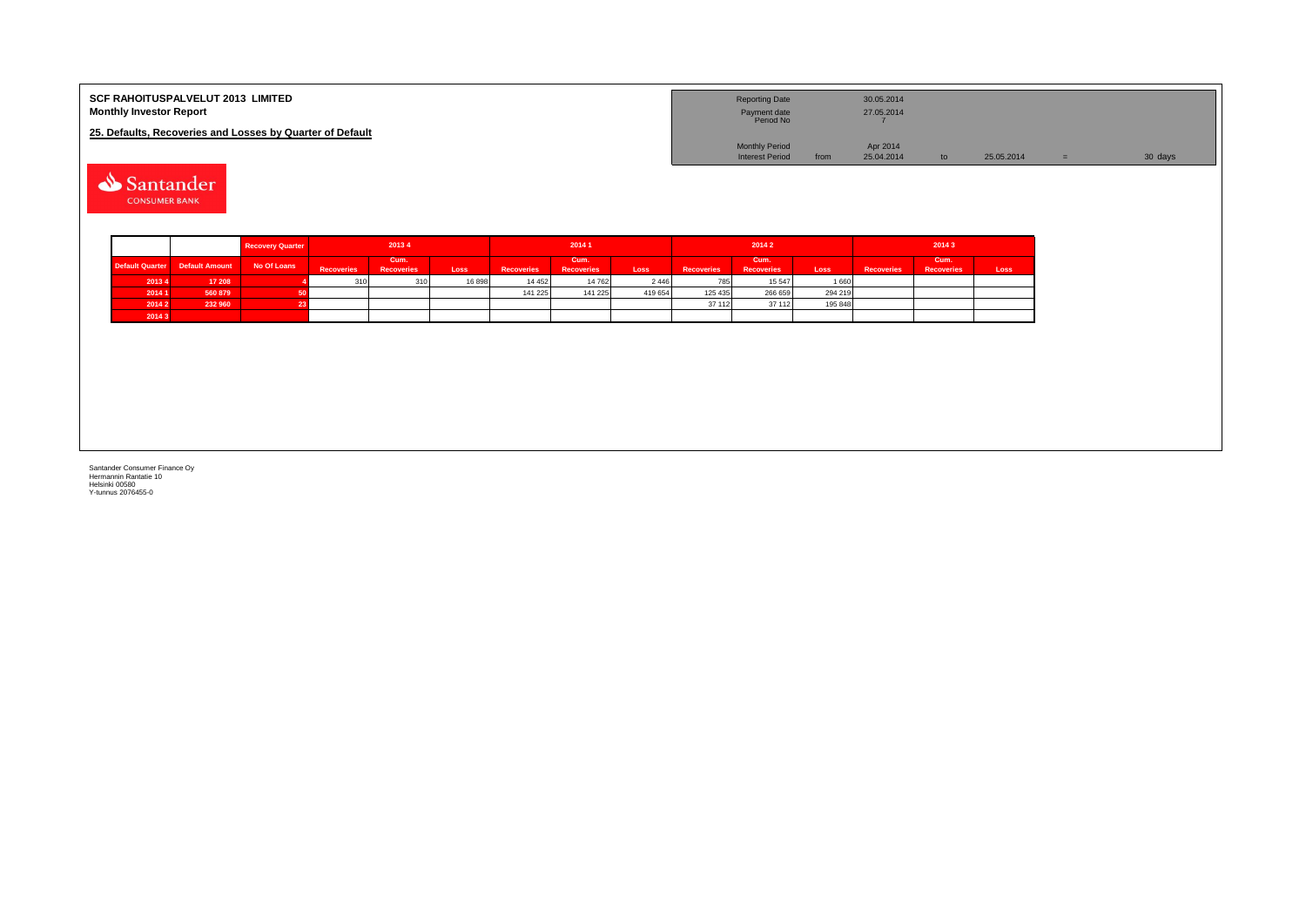| <b>SCF RAHOITUSPALVELUT 2013 LIMITED</b><br><b>Monthly Investor Report</b> | <b>Reporting Date</b><br>Payment date<br>Period No |      | 30.05.2014<br>27.05.2014 |               |            |         |
|----------------------------------------------------------------------------|----------------------------------------------------|------|--------------------------|---------------|------------|---------|
| 25. Defaults, Recoveries and Losses by Quarter of Default                  |                                                    |      |                          |               |            |         |
|                                                                            | <b>Monthly Period</b>                              |      | Apr 2014                 |               |            |         |
|                                                                            | <b>Interest Period</b>                             | from | 25.04.2014               | $\mathsf{to}$ | 25.05.2014 | 30 days |

Santander **CONSUMER BANK** 

|        |                                | <b>Recovery Quarter</b> |                   | 20134                     |       |                   | 2014 1                    |         |                   | 20142                     |         | 2014 3            |                           |      |  |
|--------|--------------------------------|-------------------------|-------------------|---------------------------|-------|-------------------|---------------------------|---------|-------------------|---------------------------|---------|-------------------|---------------------------|------|--|
|        | Default Quarter Default Amount | No Of Loans             | <b>Recoveries</b> | Cum.<br><b>Recoveries</b> | Loss  | <b>Recoveries</b> | Cum.<br><b>Recoveries</b> | Loss    | <b>Recoveries</b> | Cum.<br><b>Recoveries</b> | Loss    | <b>Recoveries</b> | Cum.<br><b>Recoveries</b> | Loss |  |
| 2013 4 | 17 208                         |                         | 310               | 310                       | 16898 | 14 4 5 2          | 14 762                    | 2 4 4 6 | 785               | 15 547                    | 1 660   |                   |                           |      |  |
| 2014 1 | 560 879                        |                         |                   |                           |       | 141 225           | 141 225                   | 419 654 | 125 435           | 266 659                   | 294 219 |                   |                           |      |  |
| 2014 2 | 232 960                        |                         |                   |                           |       |                   |                           |         | 37 112            | 37 112                    | 195 848 |                   |                           |      |  |
| 2014 3 |                                |                         |                   |                           |       |                   |                           |         |                   |                           |         |                   |                           |      |  |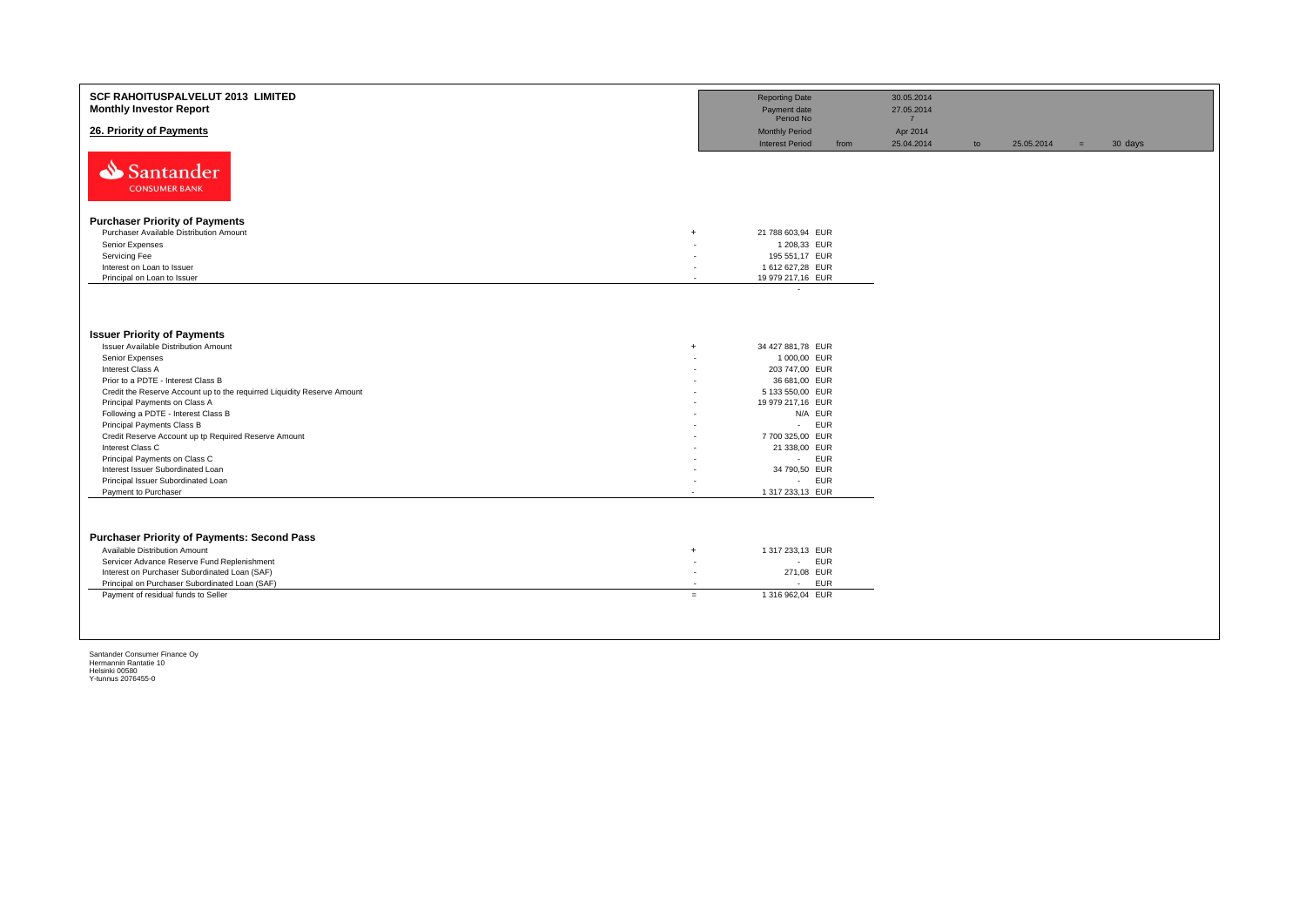| <b>SCF RAHOITUSPALVELUT 2013 LIMITED</b><br><b>Monthly Investor Report</b>                   |                          | <b>Reporting Date</b><br>Payment date<br>Period No |      | 30.05.2014<br>27.05.2014<br>$\overline{7}$ |    |            |     |         |
|----------------------------------------------------------------------------------------------|--------------------------|----------------------------------------------------|------|--------------------------------------------|----|------------|-----|---------|
| 26. Priority of Payments                                                                     |                          | <b>Monthly Period</b><br><b>Interest Period</b>    | from | Apr 2014<br>25.04.2014                     | to | 25.05.2014 | $=$ | 30 days |
| Santander<br><b>CONSUMER BANK</b>                                                            |                          |                                                    |      |                                            |    |            |     |         |
| <b>Purchaser Priority of Payments</b>                                                        |                          |                                                    |      |                                            |    |            |     |         |
| Purchaser Available Distribution Amount<br>$+$                                               |                          | 21 788 603,94 EUR                                  |      |                                            |    |            |     |         |
| Senior Expenses                                                                              |                          | 1 208,33 EUR                                       |      |                                            |    |            |     |         |
| Servicing Fee                                                                                |                          | 195 551,17 EUR                                     |      |                                            |    |            |     |         |
| Interest on Loan to Issuer                                                                   | $\overline{a}$           | 1 612 627,28 EUR                                   |      |                                            |    |            |     |         |
| Principal on Loan to Issuer                                                                  | $\overline{\phantom{a}}$ | 19 979 217,16 EUR                                  |      |                                            |    |            |     |         |
|                                                                                              |                          | $\sim$                                             |      |                                            |    |            |     |         |
| <b>Issuer Priority of Payments</b>                                                           |                          |                                                    |      |                                            |    |            |     |         |
| <b>Issuer Available Distribution Amount</b><br>$+$                                           |                          | 34 427 881,78 EUR                                  |      |                                            |    |            |     |         |
| Senior Expenses                                                                              |                          | 1 000,00 EUR                                       |      |                                            |    |            |     |         |
| Interest Class A                                                                             | $\overline{\phantom{a}}$ | 203 747,00 EUR                                     |      |                                            |    |            |     |         |
| Prior to a PDTE - Interest Class B                                                           |                          | 36 681,00 EUR                                      |      |                                            |    |            |     |         |
| Credit the Reserve Account up to the requirred Liquidity Reserve Amount                      |                          | 5 133 550,00 EUR                                   |      |                                            |    |            |     |         |
| Principal Payments on Class A<br>Following a PDTE - Interest Class B                         |                          | 19 979 217,16 EUR                                  |      |                                            |    |            |     |         |
| Principal Payments Class B                                                                   |                          | N/A EUR<br>- EUR                                   |      |                                            |    |            |     |         |
| Credit Reserve Account up tp Required Reserve Amount                                         |                          | 7700325,00 EUR                                     |      |                                            |    |            |     |         |
| Interest Class C                                                                             |                          | 21 338,00 EUR                                      |      |                                            |    |            |     |         |
| Principal Payments on Class C                                                                |                          | - EUR                                              |      |                                            |    |            |     |         |
| Interest Issuer Subordinated Loan                                                            |                          | 34 790,50 EUR                                      |      |                                            |    |            |     |         |
| Principal Issuer Subordinated Loan                                                           |                          | - EUR                                              |      |                                            |    |            |     |         |
| Payment to Purchaser                                                                         |                          | 1 317 233,13 EUR                                   |      |                                            |    |            |     |         |
|                                                                                              |                          |                                                    |      |                                            |    |            |     |         |
| <b>Purchaser Priority of Payments: Second Pass</b>                                           |                          |                                                    |      |                                            |    |            |     |         |
| Available Distribution Amount<br>$+$                                                         |                          | 1 317 233,13 EUR                                   |      |                                            |    |            |     |         |
| Servicer Advance Reserve Fund Replenishment<br>٠.                                            |                          | - EUR                                              |      |                                            |    |            |     |         |
| Interest on Purchaser Subordinated Loan (SAF)                                                | ٠                        | 271,08 EUR                                         |      |                                            |    |            |     |         |
| Principal on Purchaser Subordinated Loan (SAF)<br>Payment of residual funds to Seller<br>$=$ | $\overline{\phantom{a}}$ | - EUR<br>1 316 962,04 EUR                          |      |                                            |    |            |     |         |
|                                                                                              |                          |                                                    |      |                                            |    |            |     |         |
|                                                                                              |                          |                                                    |      |                                            |    |            |     |         |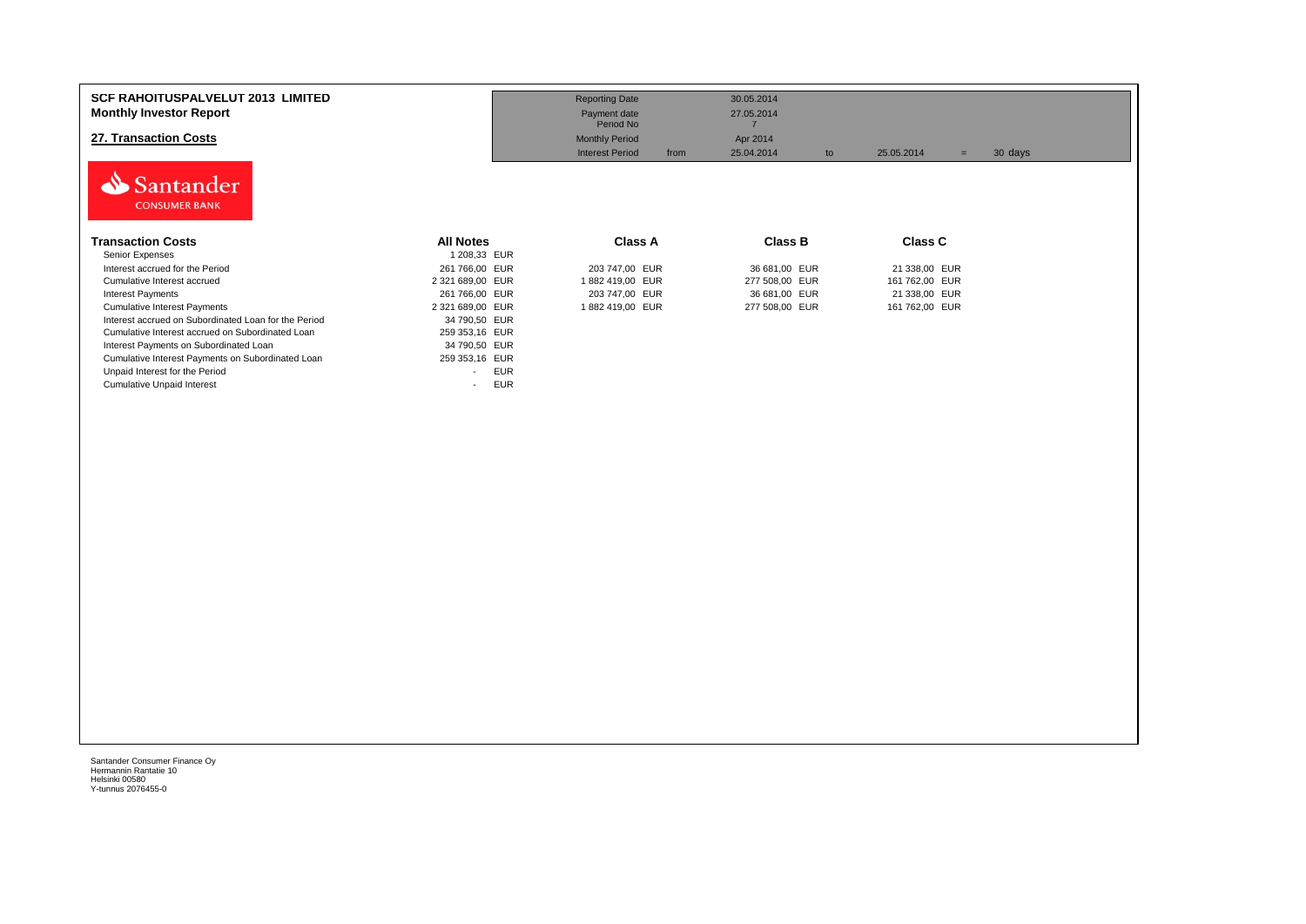| <b>SCF RAHOITUSPALVELUT 2013 LIMITED</b><br><b>Monthly Investor Report</b><br>27. Transaction Costs |                                        | <b>Reporting Date</b><br>Payment date<br>Period No<br><b>Monthly Period</b><br><b>Interest Period</b><br>from | 30.05.2014<br>27.05.2014<br>Apr 2014<br>25.04.2014<br>to | 25.05.2014<br>$=$ | 30 days |
|-----------------------------------------------------------------------------------------------------|----------------------------------------|---------------------------------------------------------------------------------------------------------------|----------------------------------------------------------|-------------------|---------|
| Santander<br><b>CONSUMER BANK</b>                                                                   |                                        |                                                                                                               |                                                          |                   |         |
| <b>Transaction Costs</b><br>Senior Expenses                                                         | <b>All Notes</b><br>1 208,33 EUR       | <b>Class A</b>                                                                                                | <b>Class B</b>                                           | <b>Class C</b>    |         |
| Interest accrued for the Period                                                                     | 261 766,00 EUR                         | 203 747,00 EUR                                                                                                | 36 681,00 EUR                                            | 21 338,00 EUR     |         |
| Cumulative Interest accrued                                                                         | 2 321 689,00 EUR                       | 1882 419,00 EUR                                                                                               | 277 508,00 EUR                                           | 161 762,00 EUR    |         |
| <b>Interest Payments</b>                                                                            | 261 766,00 EUR                         | 203 747,00 EUR                                                                                                | 36 681,00 EUR                                            | 21 338,00 EUR     |         |
| <b>Cumulative Interest Payments</b>                                                                 | 2 321 689,00 EUR                       | 1882 419,00 EUR                                                                                               | 277 508,00 EUR                                           | 161 762,00 EUR    |         |
| Interest accrued on Subordinated Loan for the Period                                                | 34 790,50 EUR                          |                                                                                                               |                                                          |                   |         |
| Cumulative Interest accrued on Subordinated Loan                                                    | 259 353,16 EUR                         |                                                                                                               |                                                          |                   |         |
| Interest Payments on Subordinated Loan                                                              | 34 790,50 EUR                          |                                                                                                               |                                                          |                   |         |
| Cumulative Interest Payments on Subordinated Loan                                                   | 259 353,16 EUR                         |                                                                                                               |                                                          |                   |         |
| Unpaid Interest for the Period                                                                      | <b>EUR</b><br>$\blacksquare$           |                                                                                                               |                                                          |                   |         |
| <b>Cumulative Unpaid Interest</b>                                                                   | <b>EUR</b><br>$\overline{\phantom{0}}$ |                                                                                                               |                                                          |                   |         |